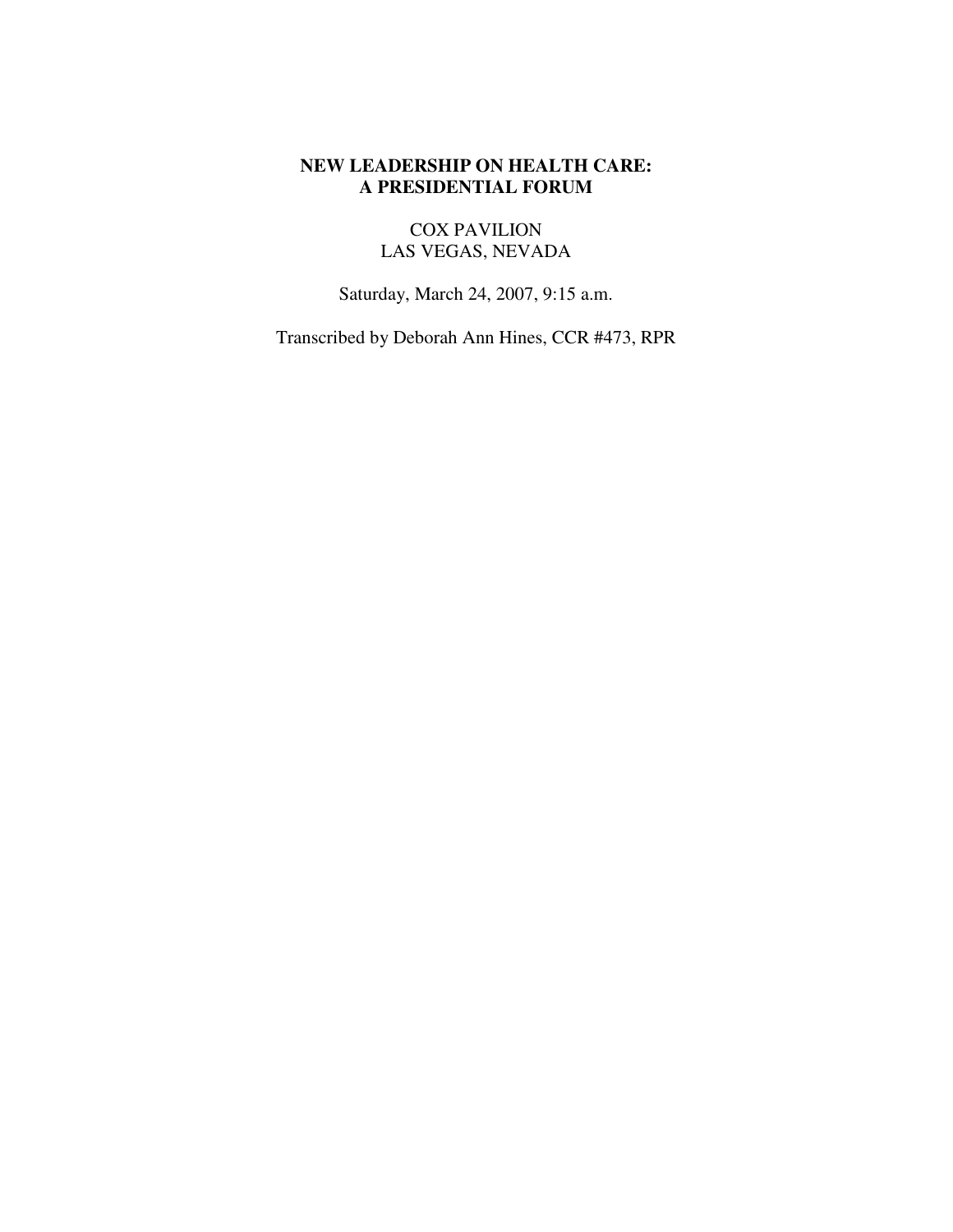## **NEW LEADERSHIP ON HEALTH CARE: A PRESIDENTIAL FORUM**

# COX PAVILION LAS VEGAS, NEVADA

Saturday, March 24, 2007, 9:15 a.m.

Transcribed by Deborah Ann Hines, CCR #473, RPR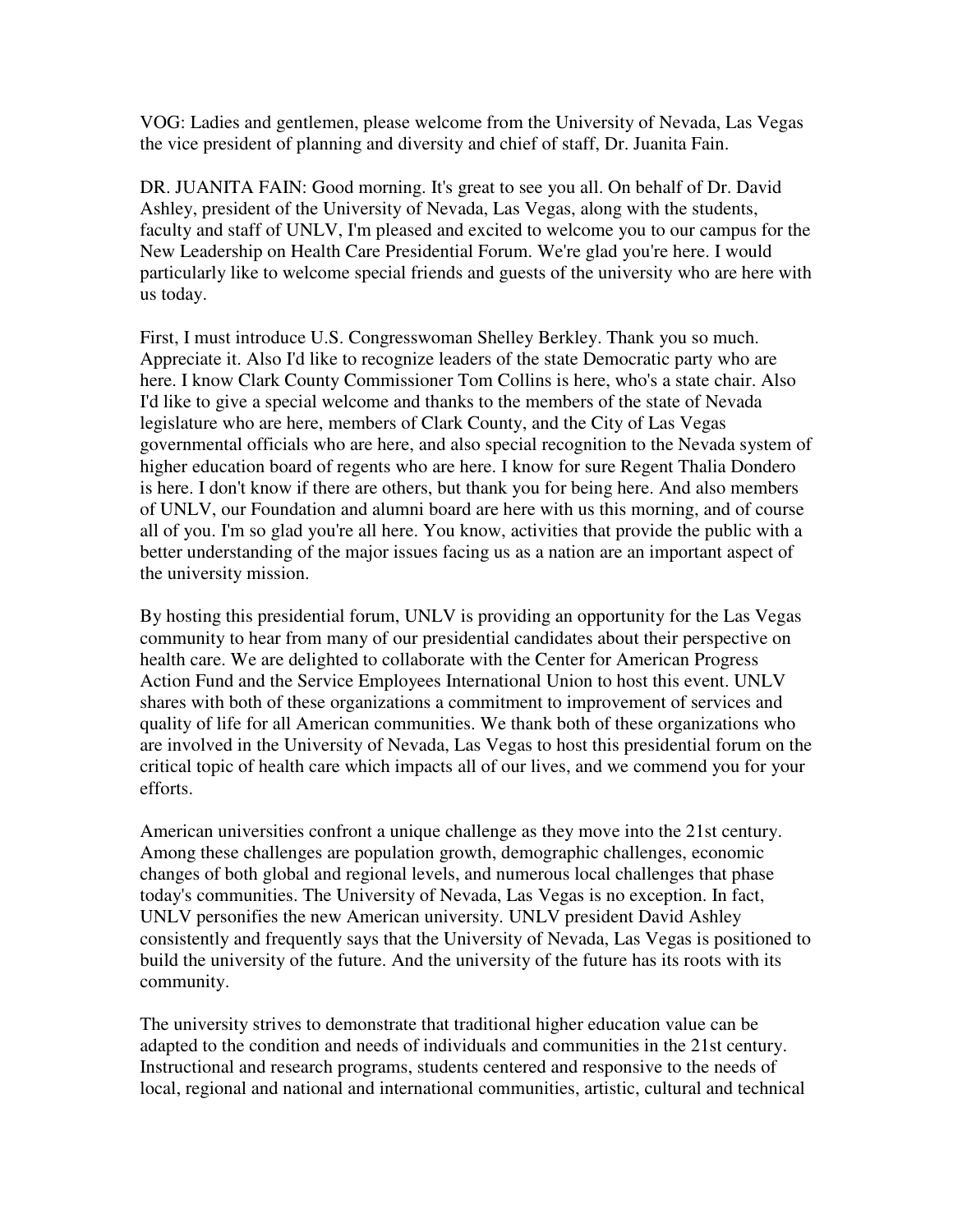VOG: Ladies and gentlemen, please welcome from the University of Nevada, Las Vegas the vice president of planning and diversity and chief of staff, Dr. Juanita Fain.

DR. JUANITA FAIN: Good morning. It's great to see you all. On behalf of Dr. David Ashley, president of the University of Nevada, Las Vegas, along with the students, faculty and staff of UNLV, I'm pleased and excited to welcome you to our campus for the New Leadership on Health Care Presidential Forum. We're glad you're here. I would particularly like to welcome special friends and guests of the university who are here with us today.

First, I must introduce U.S. Congresswoman Shelley Berkley. Thank you so much. Appreciate it. Also I'd like to recognize leaders of the state Democratic party who are here. I know Clark County Commissioner Tom Collins is here, who's a state chair. Also I'd like to give a special welcome and thanks to the members of the state of Nevada legislature who are here, members of Clark County, and the City of Las Vegas governmental officials who are here, and also special recognition to the Nevada system of higher education board of regents who are here. I know for sure Regent Thalia Dondero is here. I don't know if there are others, but thank you for being here. And also members of UNLV, our Foundation and alumni board are here with us this morning, and of course all of you. I'm so glad you're all here. You know, activities that provide the public with a better understanding of the major issues facing us as a nation are an important aspect of the university mission.

By hosting this presidential forum, UNLV is providing an opportunity for the Las Vegas community to hear from many of our presidential candidates about their perspective on health care. We are delighted to collaborate with the Center for American Progress Action Fund and the Service Employees International Union to host this event. UNLV shares with both of these organizations a commitment to improvement of services and quality of life for all American communities. We thank both of these organizations who are involved in the University of Nevada, Las Vegas to host this presidential forum on the critical topic of health care which impacts all of our lives, and we commend you for your efforts.

American universities confront a unique challenge as they move into the 21st century. Among these challenges are population growth, demographic challenges, economic changes of both global and regional levels, and numerous local challenges that phase today's communities. The University of Nevada, Las Vegas is no exception. In fact, UNLV personifies the new American university. UNLV president David Ashley consistently and frequently says that the University of Nevada, Las Vegas is positioned to build the university of the future. And the university of the future has its roots with its community.

The university strives to demonstrate that traditional higher education value can be adapted to the condition and needs of individuals and communities in the 21st century. Instructional and research programs, students centered and responsive to the needs of local, regional and national and international communities, artistic, cultural and technical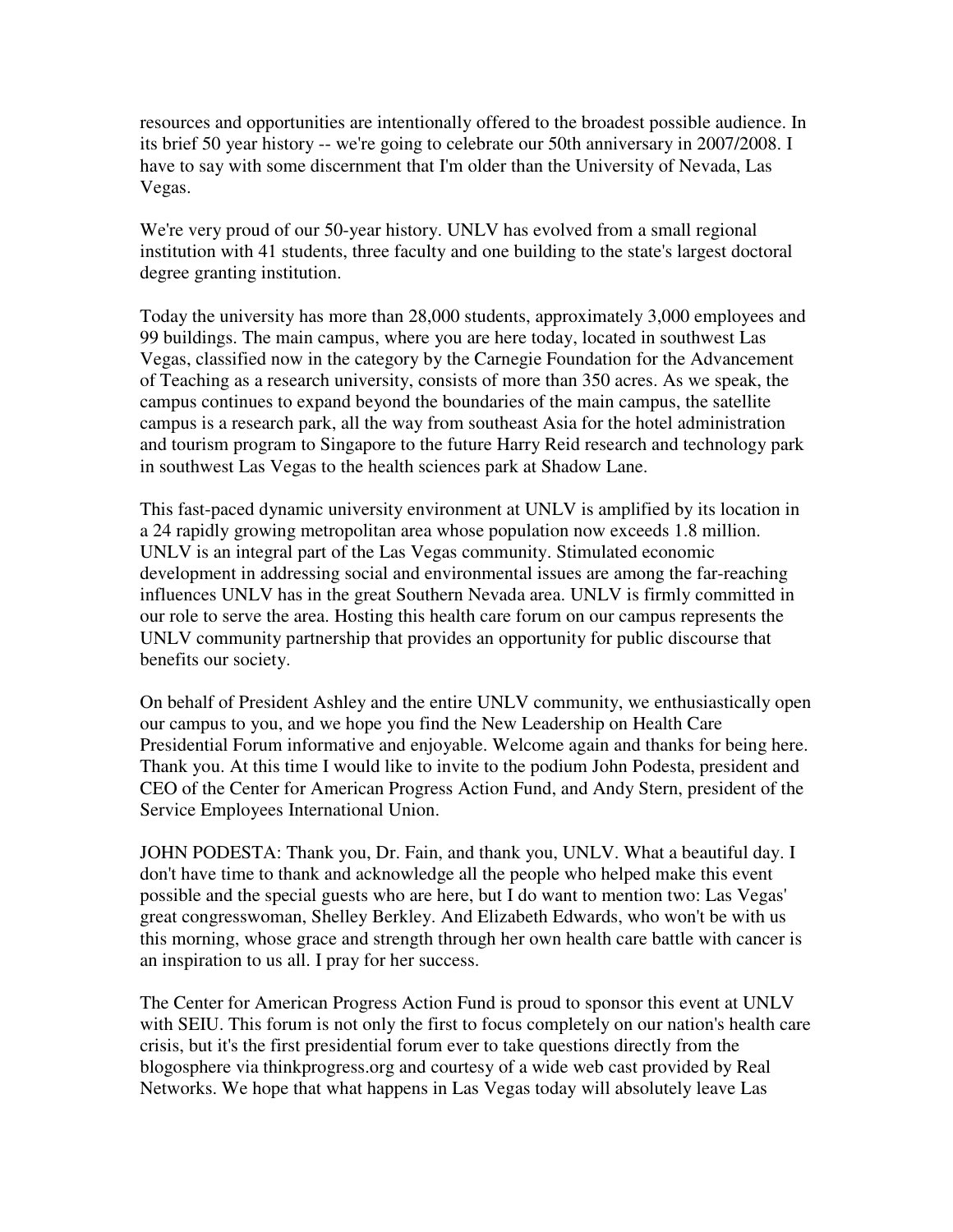resources and opportunities are intentionally offered to the broadest possible audience. In its brief 50 year history -- we're going to celebrate our 50th anniversary in 2007/2008. I have to say with some discernment that I'm older than the University of Nevada, Las Vegas.

We're very proud of our 50-year history. UNLV has evolved from a small regional institution with 41 students, three faculty and one building to the state's largest doctoral degree granting institution.

Today the university has more than 28,000 students, approximately 3,000 employees and 99 buildings. The main campus, where you are here today, located in southwest Las Vegas, classified now in the category by the Carnegie Foundation for the Advancement of Teaching as a research university, consists of more than 350 acres. As we speak, the campus continues to expand beyond the boundaries of the main campus, the satellite campus is a research park, all the way from southeast Asia for the hotel administration and tourism program to Singapore to the future Harry Reid research and technology park in southwest Las Vegas to the health sciences park at Shadow Lane.

This fast-paced dynamic university environment at UNLV is amplified by its location in a 24 rapidly growing metropolitan area whose population now exceeds 1.8 million. UNLV is an integral part of the Las Vegas community. Stimulated economic development in addressing social and environmental issues are among the far-reaching influences UNLV has in the great Southern Nevada area. UNLV is firmly committed in our role to serve the area. Hosting this health care forum on our campus represents the UNLV community partnership that provides an opportunity for public discourse that benefits our society.

On behalf of President Ashley and the entire UNLV community, we enthusiastically open our campus to you, and we hope you find the New Leadership on Health Care Presidential Forum informative and enjoyable. Welcome again and thanks for being here. Thank you. At this time I would like to invite to the podium John Podesta, president and CEO of the Center for American Progress Action Fund, and Andy Stern, president of the Service Employees International Union.

JOHN PODESTA: Thank you, Dr. Fain, and thank you, UNLV. What a beautiful day. I don't have time to thank and acknowledge all the people who helped make this event possible and the special guests who are here, but I do want to mention two: Las Vegas' great congresswoman, Shelley Berkley. And Elizabeth Edwards, who won't be with us this morning, whose grace and strength through her own health care battle with cancer is an inspiration to us all. I pray for her success.

The Center for American Progress Action Fund is proud to sponsor this event at UNLV with SEIU. This forum is not only the first to focus completely on our nation's health care crisis, but it's the first presidential forum ever to take questions directly from the blogosphere via thinkprogress.org and courtesy of a wide web cast provided by Real Networks. We hope that what happens in Las Vegas today will absolutely leave Las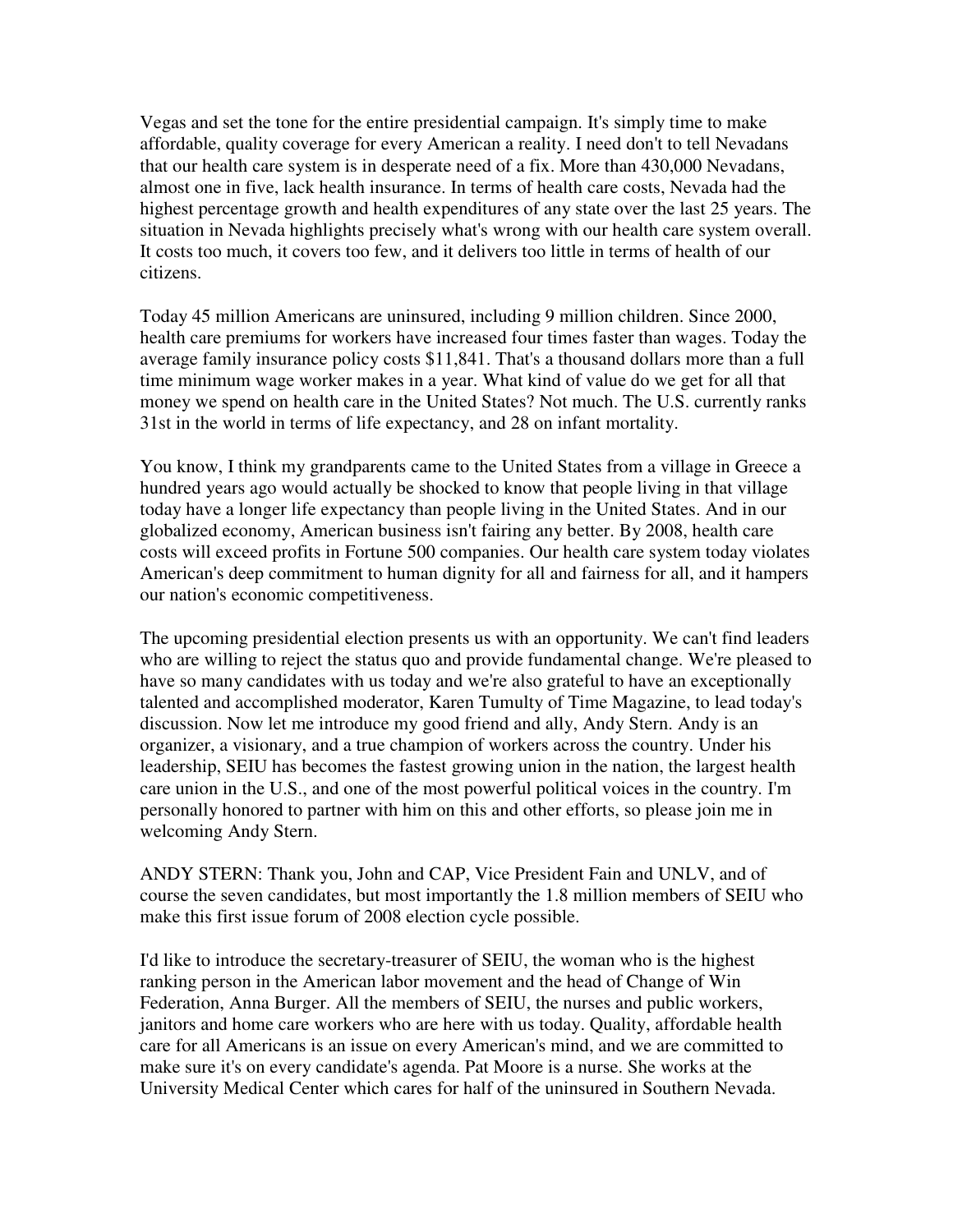Vegas and set the tone for the entire presidential campaign. It's simply time to make affordable, quality coverage for every American a reality. I need don't to tell Nevadans that our health care system is in desperate need of a fix. More than 430,000 Nevadans, almost one in five, lack health insurance. In terms of health care costs, Nevada had the highest percentage growth and health expenditures of any state over the last 25 years. The situation in Nevada highlights precisely what's wrong with our health care system overall. It costs too much, it covers too few, and it delivers too little in terms of health of our citizens.

Today 45 million Americans are uninsured, including 9 million children. Since 2000, health care premiums for workers have increased four times faster than wages. Today the average family insurance policy costs \$11,841. That's a thousand dollars more than a full time minimum wage worker makes in a year. What kind of value do we get for all that money we spend on health care in the United States? Not much. The U.S. currently ranks 31st in the world in terms of life expectancy, and 28 on infant mortality.

You know, I think my grandparents came to the United States from a village in Greece a hundred years ago would actually be shocked to know that people living in that village today have a longer life expectancy than people living in the United States. And in our globalized economy, American business isn't fairing any better. By 2008, health care costs will exceed profits in Fortune 500 companies. Our health care system today violates American's deep commitment to human dignity for all and fairness for all, and it hampers our nation's economic competitiveness.

The upcoming presidential election presents us with an opportunity. We can't find leaders who are willing to reject the status quo and provide fundamental change. We're pleased to have so many candidates with us today and we're also grateful to have an exceptionally talented and accomplished moderator, Karen Tumulty of Time Magazine, to lead today's discussion. Now let me introduce my good friend and ally, Andy Stern. Andy is an organizer, a visionary, and a true champion of workers across the country. Under his leadership, SEIU has becomes the fastest growing union in the nation, the largest health care union in the U.S., and one of the most powerful political voices in the country. I'm personally honored to partner with him on this and other efforts, so please join me in welcoming Andy Stern.

ANDY STERN: Thank you, John and CAP, Vice President Fain and UNLV, and of course the seven candidates, but most importantly the 1.8 million members of SEIU who make this first issue forum of 2008 election cycle possible.

I'd like to introduce the secretary-treasurer of SEIU, the woman who is the highest ranking person in the American labor movement and the head of Change of Win Federation, Anna Burger. All the members of SEIU, the nurses and public workers, janitors and home care workers who are here with us today. Quality, affordable health care for all Americans is an issue on every American's mind, and we are committed to make sure it's on every candidate's agenda. Pat Moore is a nurse. She works at the University Medical Center which cares for half of the uninsured in Southern Nevada.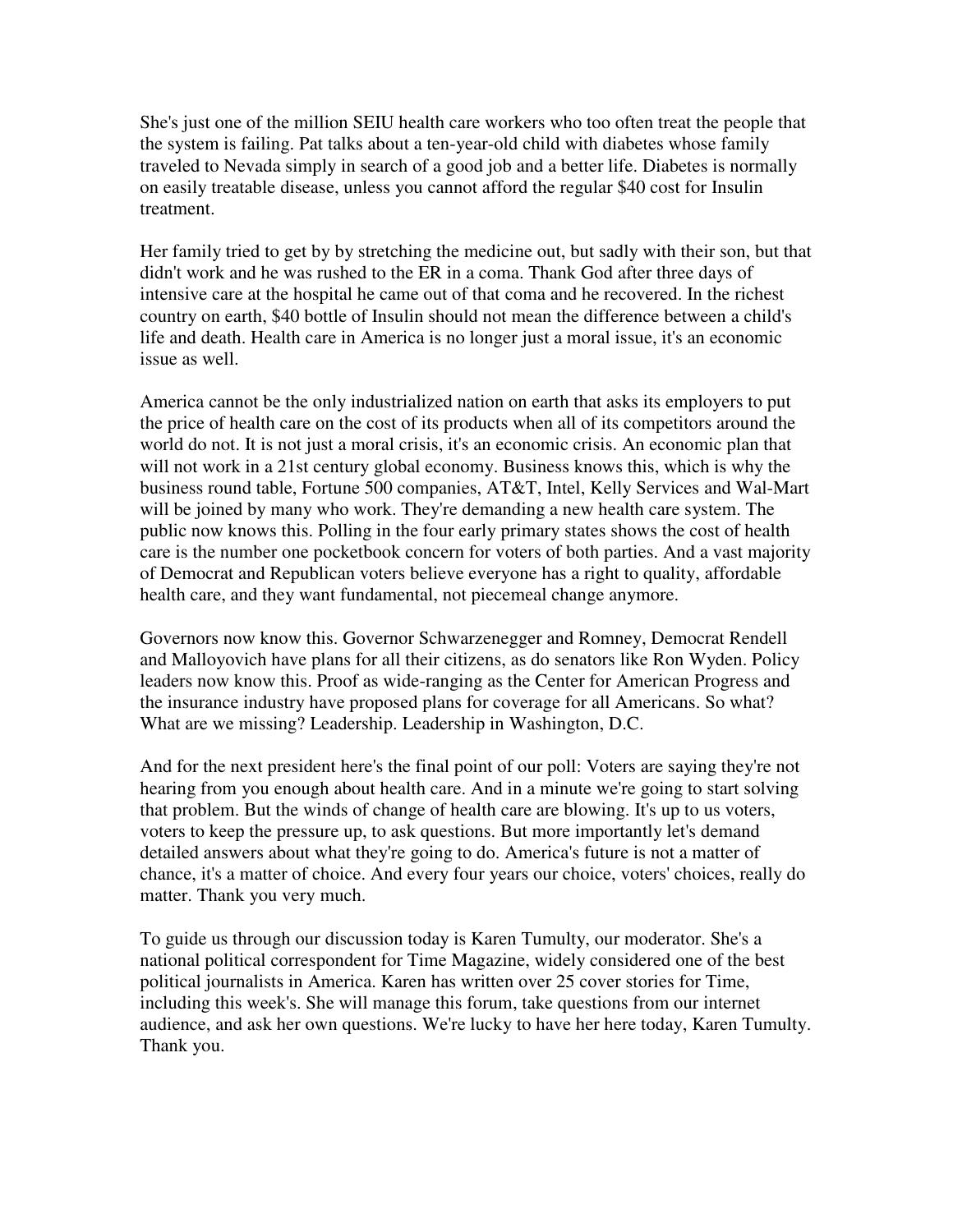She's just one of the million SEIU health care workers who too often treat the people that the system is failing. Pat talks about a ten-year-old child with diabetes whose family traveled to Nevada simply in search of a good job and a better life. Diabetes is normally on easily treatable disease, unless you cannot afford the regular \$40 cost for Insulin treatment.

Her family tried to get by by stretching the medicine out, but sadly with their son, but that didn't work and he was rushed to the ER in a coma. Thank God after three days of intensive care at the hospital he came out of that coma and he recovered. In the richest country on earth, \$40 bottle of Insulin should not mean the difference between a child's life and death. Health care in America is no longer just a moral issue, it's an economic issue as well.

America cannot be the only industrialized nation on earth that asks its employers to put the price of health care on the cost of its products when all of its competitors around the world do not. It is not just a moral crisis, it's an economic crisis. An economic plan that will not work in a 21st century global economy. Business knows this, which is why the business round table, Fortune 500 companies, AT&T, Intel, Kelly Services and Wal-Mart will be joined by many who work. They're demanding a new health care system. The public now knows this. Polling in the four early primary states shows the cost of health care is the number one pocketbook concern for voters of both parties. And a vast majority of Democrat and Republican voters believe everyone has a right to quality, affordable health care, and they want fundamental, not piecemeal change anymore.

Governors now know this. Governor Schwarzenegger and Romney, Democrat Rendell and Malloyovich have plans for all their citizens, as do senators like Ron Wyden. Policy leaders now know this. Proof as wide-ranging as the Center for American Progress and the insurance industry have proposed plans for coverage for all Americans. So what? What are we missing? Leadership. Leadership in Washington, D.C.

And for the next president here's the final point of our poll: Voters are saying they're not hearing from you enough about health care. And in a minute we're going to start solving that problem. But the winds of change of health care are blowing. It's up to us voters, voters to keep the pressure up, to ask questions. But more importantly let's demand detailed answers about what they're going to do. America's future is not a matter of chance, it's a matter of choice. And every four years our choice, voters' choices, really do matter. Thank you very much.

To guide us through our discussion today is Karen Tumulty, our moderator. She's a national political correspondent for Time Magazine, widely considered one of the best political journalists in America. Karen has written over 25 cover stories for Time, including this week's. She will manage this forum, take questions from our internet audience, and ask her own questions. We're lucky to have her here today, Karen Tumulty. Thank you.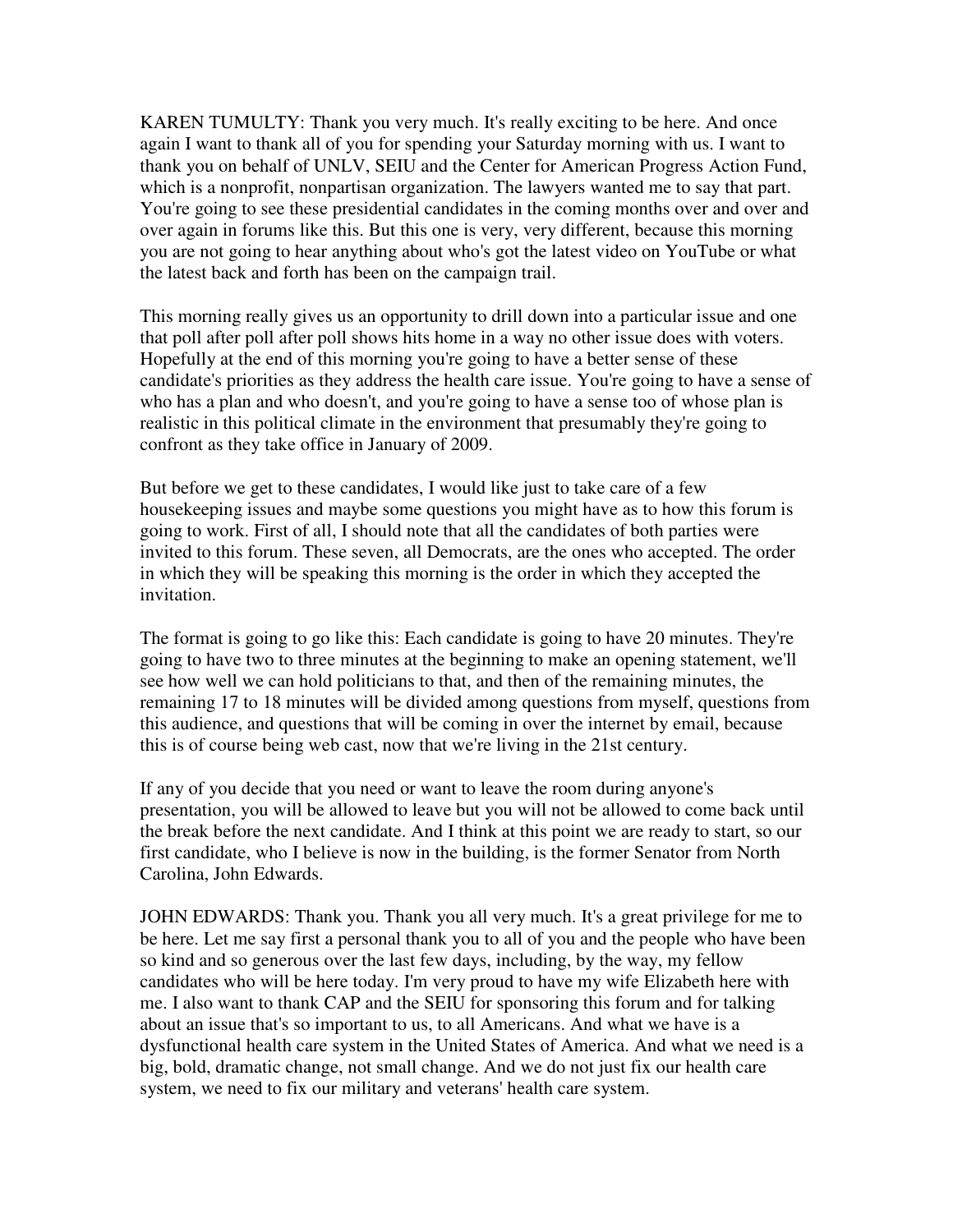KAREN TUMULTY: Thank you very much. It's really exciting to be here. And once again I want to thank all of you for spending your Saturday morning with us. I want to thank you on behalf of UNLV, SEIU and the Center for American Progress Action Fund, which is a nonprofit, nonpartisan organization. The lawyers wanted me to say that part. You're going to see these presidential candidates in the coming months over and over and over again in forums like this. But this one is very, very different, because this morning you are not going to hear anything about who's got the latest video on YouTube or what the latest back and forth has been on the campaign trail.

This morning really gives us an opportunity to drill down into a particular issue and one that poll after poll after poll shows hits home in a way no other issue does with voters. Hopefully at the end of this morning you're going to have a better sense of these candidate's priorities as they address the health care issue. You're going to have a sense of who has a plan and who doesn't, and you're going to have a sense too of whose plan is realistic in this political climate in the environment that presumably they're going to confront as they take office in January of 2009.

But before we get to these candidates, I would like just to take care of a few housekeeping issues and maybe some questions you might have as to how this forum is going to work. First of all, I should note that all the candidates of both parties were invited to this forum. These seven, all Democrats, are the ones who accepted. The order in which they will be speaking this morning is the order in which they accepted the invitation.

The format is going to go like this: Each candidate is going to have 20 minutes. They're going to have two to three minutes at the beginning to make an opening statement, we'll see how well we can hold politicians to that, and then of the remaining minutes, the remaining 17 to 18 minutes will be divided among questions from myself, questions from this audience, and questions that will be coming in over the internet by email, because this is of course being web cast, now that we're living in the 21st century.

If any of you decide that you need or want to leave the room during anyone's presentation, you will be allowed to leave but you will not be allowed to come back until the break before the next candidate. And I think at this point we are ready to start, so our first candidate, who I believe is now in the building, is the former Senator from North Carolina, John Edwards.

JOHN EDWARDS: Thank you. Thank you all very much. It's a great privilege for me to be here. Let me say first a personal thank you to all of you and the people who have been so kind and so generous over the last few days, including, by the way, my fellow candidates who will be here today. I'm very proud to have my wife Elizabeth here with me. I also want to thank CAP and the SEIU for sponsoring this forum and for talking about an issue that's so important to us, to all Americans. And what we have is a dysfunctional health care system in the United States of America. And what we need is a big, bold, dramatic change, not small change. And we do not just fix our health care system, we need to fix our military and veterans' health care system.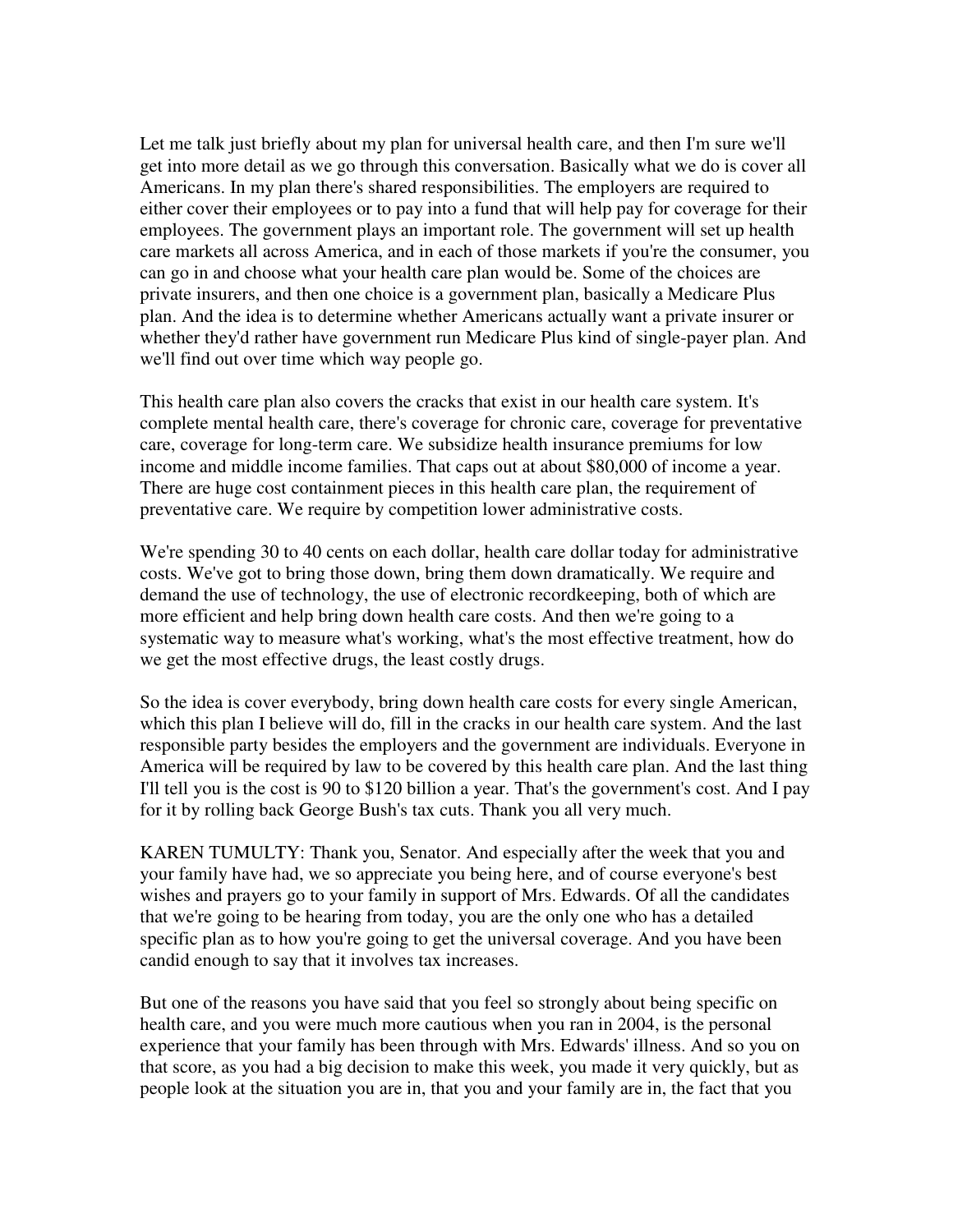Let me talk just briefly about my plan for universal health care, and then I'm sure we'll get into more detail as we go through this conversation. Basically what we do is cover all Americans. In my plan there's shared responsibilities. The employers are required to either cover their employees or to pay into a fund that will help pay for coverage for their employees. The government plays an important role. The government will set up health care markets all across America, and in each of those markets if you're the consumer, you can go in and choose what your health care plan would be. Some of the choices are private insurers, and then one choice is a government plan, basically a Medicare Plus plan. And the idea is to determine whether Americans actually want a private insurer or whether they'd rather have government run Medicare Plus kind of single-payer plan. And we'll find out over time which way people go.

This health care plan also covers the cracks that exist in our health care system. It's complete mental health care, there's coverage for chronic care, coverage for preventative care, coverage for long-term care. We subsidize health insurance premiums for low income and middle income families. That caps out at about \$80,000 of income a year. There are huge cost containment pieces in this health care plan, the requirement of preventative care. We require by competition lower administrative costs.

We're spending 30 to 40 cents on each dollar, health care dollar today for administrative costs. We've got to bring those down, bring them down dramatically. We require and demand the use of technology, the use of electronic recordkeeping, both of which are more efficient and help bring down health care costs. And then we're going to a systematic way to measure what's working, what's the most effective treatment, how do we get the most effective drugs, the least costly drugs.

So the idea is cover everybody, bring down health care costs for every single American, which this plan I believe will do, fill in the cracks in our health care system. And the last responsible party besides the employers and the government are individuals. Everyone in America will be required by law to be covered by this health care plan. And the last thing I'll tell you is the cost is 90 to \$120 billion a year. That's the government's cost. And I pay for it by rolling back George Bush's tax cuts. Thank you all very much.

KAREN TUMULTY: Thank you, Senator. And especially after the week that you and your family have had, we so appreciate you being here, and of course everyone's best wishes and prayers go to your family in support of Mrs. Edwards. Of all the candidates that we're going to be hearing from today, you are the only one who has a detailed specific plan as to how you're going to get the universal coverage. And you have been candid enough to say that it involves tax increases.

But one of the reasons you have said that you feel so strongly about being specific on health care, and you were much more cautious when you ran in 2004, is the personal experience that your family has been through with Mrs. Edwards' illness. And so you on that score, as you had a big decision to make this week, you made it very quickly, but as people look at the situation you are in, that you and your family are in, the fact that you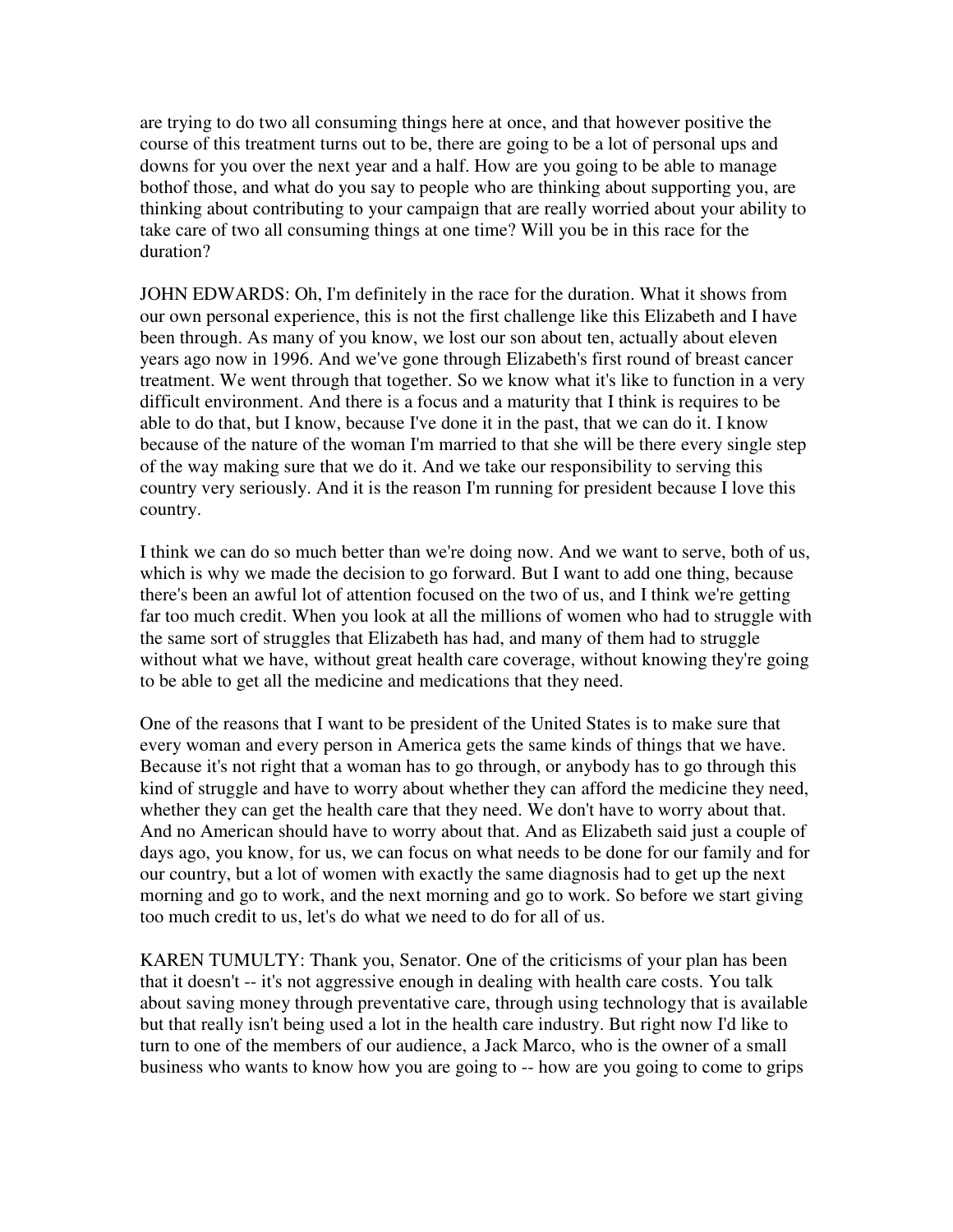are trying to do two all consuming things here at once, and that however positive the course of this treatment turns out to be, there are going to be a lot of personal ups and downs for you over the next year and a half. How are you going to be able to manage bothof those, and what do you say to people who are thinking about supporting you, are thinking about contributing to your campaign that are really worried about your ability to take care of two all consuming things at one time? Will you be in this race for the duration?

JOHN EDWARDS: Oh, I'm definitely in the race for the duration. What it shows from our own personal experience, this is not the first challenge like this Elizabeth and I have been through. As many of you know, we lost our son about ten, actually about eleven years ago now in 1996. And we've gone through Elizabeth's first round of breast cancer treatment. We went through that together. So we know what it's like to function in a very difficult environment. And there is a focus and a maturity that I think is requires to be able to do that, but I know, because I've done it in the past, that we can do it. I know because of the nature of the woman I'm married to that she will be there every single step of the way making sure that we do it. And we take our responsibility to serving this country very seriously. And it is the reason I'm running for president because I love this country.

I think we can do so much better than we're doing now. And we want to serve, both of us, which is why we made the decision to go forward. But I want to add one thing, because there's been an awful lot of attention focused on the two of us, and I think we're getting far too much credit. When you look at all the millions of women who had to struggle with the same sort of struggles that Elizabeth has had, and many of them had to struggle without what we have, without great health care coverage, without knowing they're going to be able to get all the medicine and medications that they need.

One of the reasons that I want to be president of the United States is to make sure that every woman and every person in America gets the same kinds of things that we have. Because it's not right that a woman has to go through, or anybody has to go through this kind of struggle and have to worry about whether they can afford the medicine they need, whether they can get the health care that they need. We don't have to worry about that. And no American should have to worry about that. And as Elizabeth said just a couple of days ago, you know, for us, we can focus on what needs to be done for our family and for our country, but a lot of women with exactly the same diagnosis had to get up the next morning and go to work, and the next morning and go to work. So before we start giving too much credit to us, let's do what we need to do for all of us.

KAREN TUMULTY: Thank you, Senator. One of the criticisms of your plan has been that it doesn't -- it's not aggressive enough in dealing with health care costs. You talk about saving money through preventative care, through using technology that is available but that really isn't being used a lot in the health care industry. But right now I'd like to turn to one of the members of our audience, a Jack Marco, who is the owner of a small business who wants to know how you are going to -- how are you going to come to grips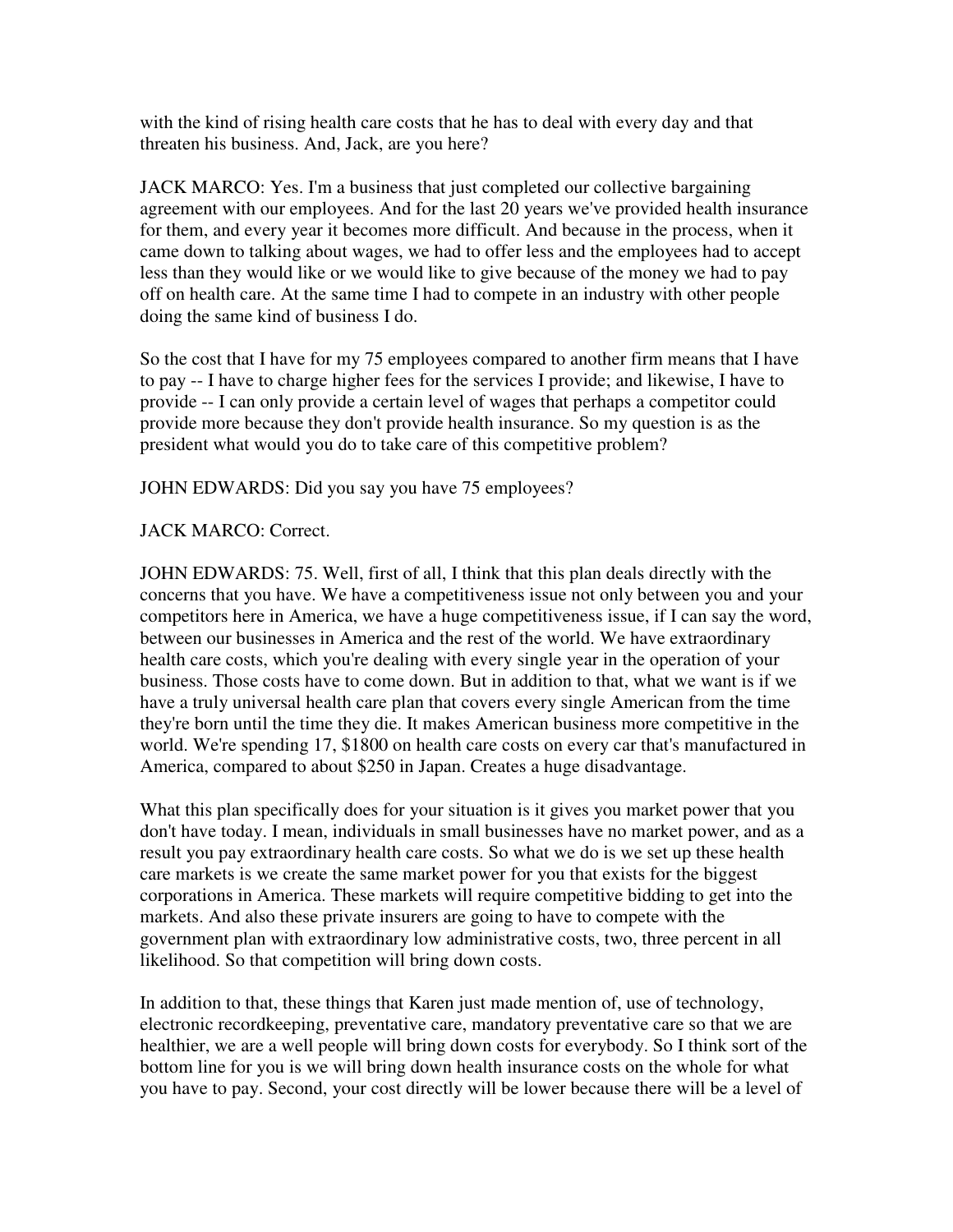with the kind of rising health care costs that he has to deal with every day and that threaten his business. And, Jack, are you here?

JACK MARCO: Yes. I'm a business that just completed our collective bargaining agreement with our employees. And for the last 20 years we've provided health insurance for them, and every year it becomes more difficult. And because in the process, when it came down to talking about wages, we had to offer less and the employees had to accept less than they would like or we would like to give because of the money we had to pay off on health care. At the same time I had to compete in an industry with other people doing the same kind of business I do.

So the cost that I have for my 75 employees compared to another firm means that I have to pay -- I have to charge higher fees for the services I provide; and likewise, I have to provide -- I can only provide a certain level of wages that perhaps a competitor could provide more because they don't provide health insurance. So my question is as the president what would you do to take care of this competitive problem?

JOHN EDWARDS: Did you say you have 75 employees?

## JACK MARCO: Correct.

JOHN EDWARDS: 75. Well, first of all, I think that this plan deals directly with the concerns that you have. We have a competitiveness issue not only between you and your competitors here in America, we have a huge competitiveness issue, if I can say the word, between our businesses in America and the rest of the world. We have extraordinary health care costs, which you're dealing with every single year in the operation of your business. Those costs have to come down. But in addition to that, what we want is if we have a truly universal health care plan that covers every single American from the time they're born until the time they die. It makes American business more competitive in the world. We're spending 17, \$1800 on health care costs on every car that's manufactured in America, compared to about \$250 in Japan. Creates a huge disadvantage.

What this plan specifically does for your situation is it gives you market power that you don't have today. I mean, individuals in small businesses have no market power, and as a result you pay extraordinary health care costs. So what we do is we set up these health care markets is we create the same market power for you that exists for the biggest corporations in America. These markets will require competitive bidding to get into the markets. And also these private insurers are going to have to compete with the government plan with extraordinary low administrative costs, two, three percent in all likelihood. So that competition will bring down costs.

In addition to that, these things that Karen just made mention of, use of technology, electronic recordkeeping, preventative care, mandatory preventative care so that we are healthier, we are a well people will bring down costs for everybody. So I think sort of the bottom line for you is we will bring down health insurance costs on the whole for what you have to pay. Second, your cost directly will be lower because there will be a level of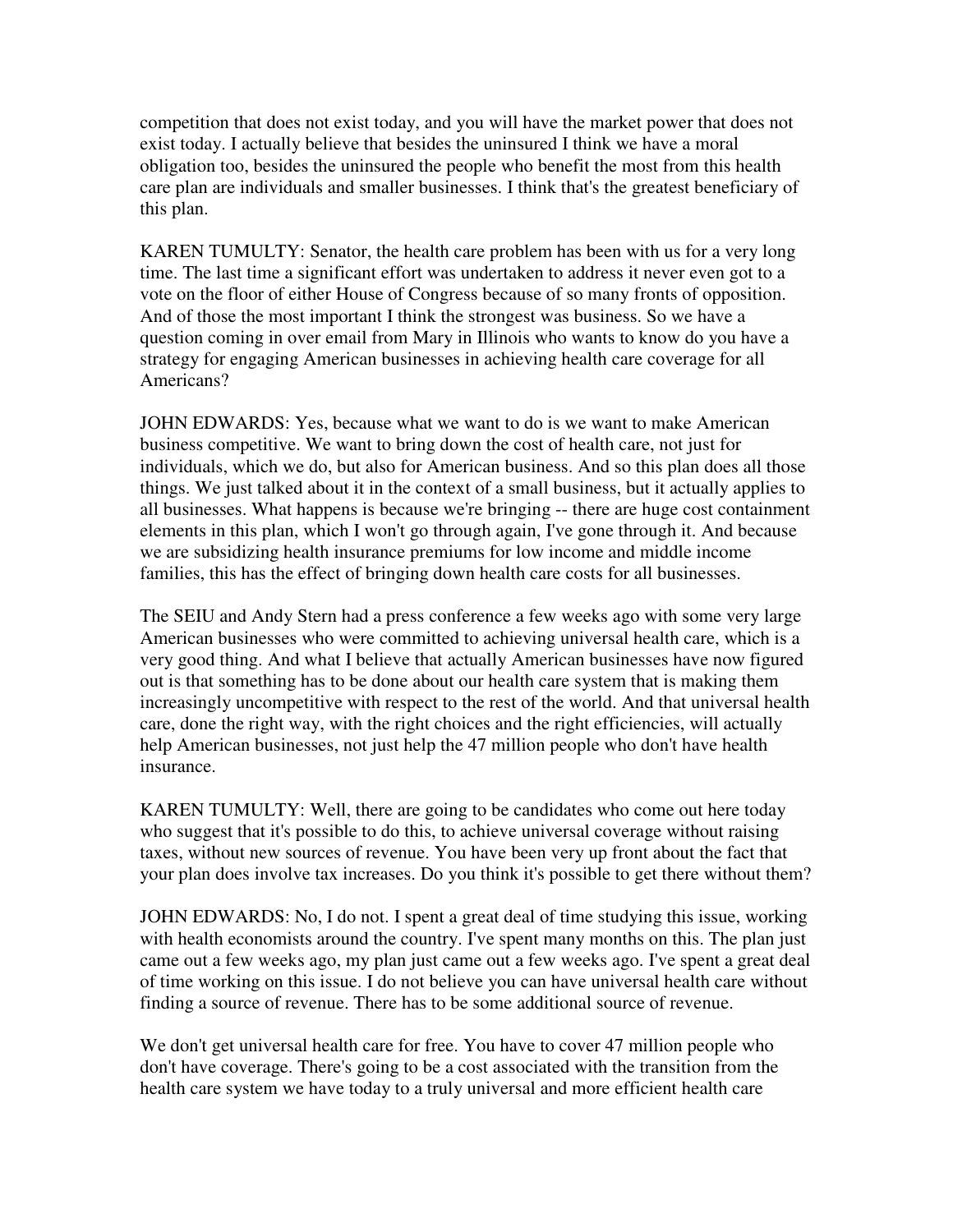competition that does not exist today, and you will have the market power that does not exist today. I actually believe that besides the uninsured I think we have a moral obligation too, besides the uninsured the people who benefit the most from this health care plan are individuals and smaller businesses. I think that's the greatest beneficiary of this plan.

KAREN TUMULTY: Senator, the health care problem has been with us for a very long time. The last time a significant effort was undertaken to address it never even got to a vote on the floor of either House of Congress because of so many fronts of opposition. And of those the most important I think the strongest was business. So we have a question coming in over email from Mary in Illinois who wants to know do you have a strategy for engaging American businesses in achieving health care coverage for all Americans?

JOHN EDWARDS: Yes, because what we want to do is we want to make American business competitive. We want to bring down the cost of health care, not just for individuals, which we do, but also for American business. And so this plan does all those things. We just talked about it in the context of a small business, but it actually applies to all businesses. What happens is because we're bringing -- there are huge cost containment elements in this plan, which I won't go through again, I've gone through it. And because we are subsidizing health insurance premiums for low income and middle income families, this has the effect of bringing down health care costs for all businesses.

The SEIU and Andy Stern had a press conference a few weeks ago with some very large American businesses who were committed to achieving universal health care, which is a very good thing. And what I believe that actually American businesses have now figured out is that something has to be done about our health care system that is making them increasingly uncompetitive with respect to the rest of the world. And that universal health care, done the right way, with the right choices and the right efficiencies, will actually help American businesses, not just help the 47 million people who don't have health insurance.

KAREN TUMULTY: Well, there are going to be candidates who come out here today who suggest that it's possible to do this, to achieve universal coverage without raising taxes, without new sources of revenue. You have been very up front about the fact that your plan does involve tax increases. Do you think it's possible to get there without them?

JOHN EDWARDS: No, I do not. I spent a great deal of time studying this issue, working with health economists around the country. I've spent many months on this. The plan just came out a few weeks ago, my plan just came out a few weeks ago. I've spent a great deal of time working on this issue. I do not believe you can have universal health care without finding a source of revenue. There has to be some additional source of revenue.

We don't get universal health care for free. You have to cover 47 million people who don't have coverage. There's going to be a cost associated with the transition from the health care system we have today to a truly universal and more efficient health care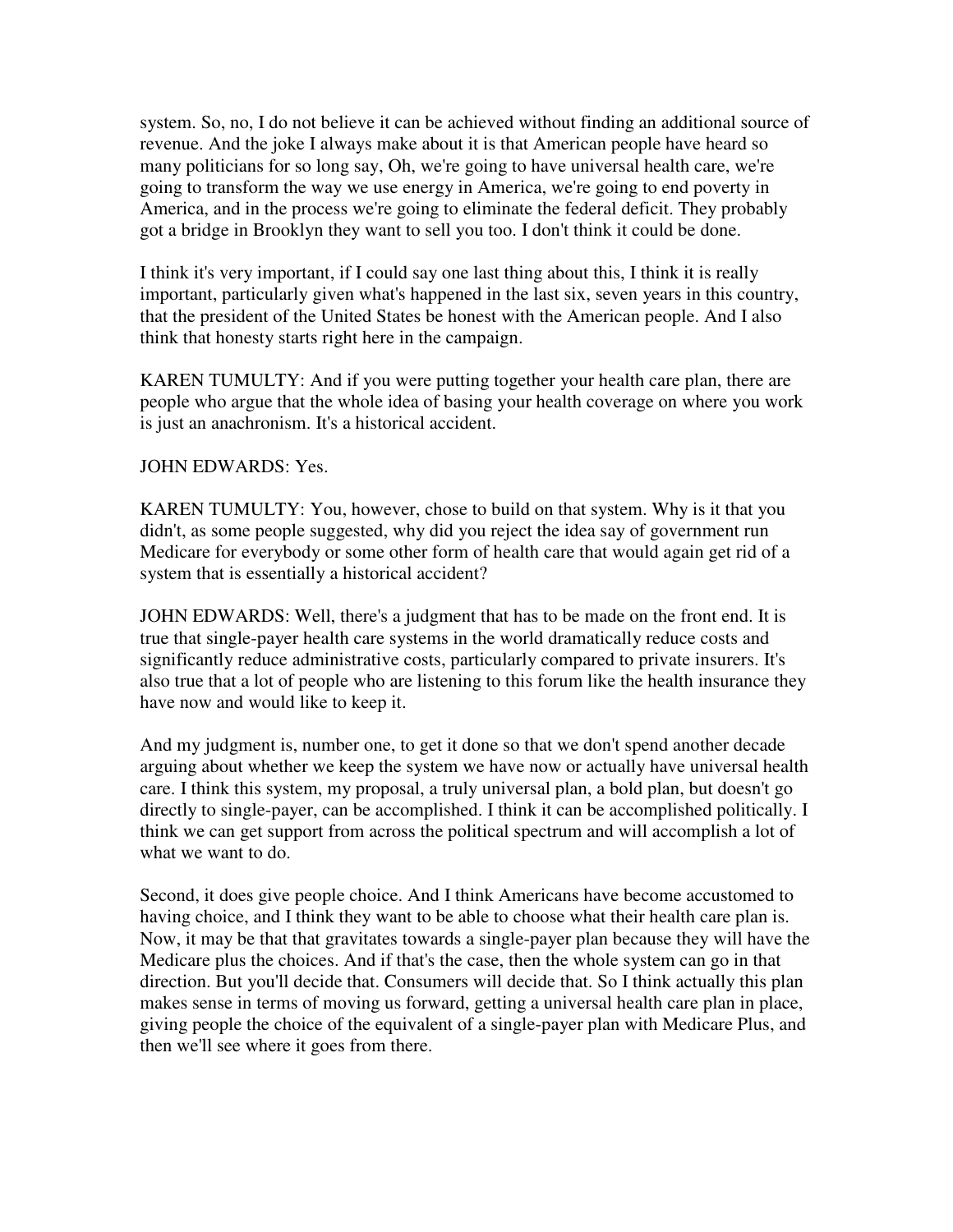system. So, no, I do not believe it can be achieved without finding an additional source of revenue. And the joke I always make about it is that American people have heard so many politicians for so long say, Oh, we're going to have universal health care, we're going to transform the way we use energy in America, we're going to end poverty in America, and in the process we're going to eliminate the federal deficit. They probably got a bridge in Brooklyn they want to sell you too. I don't think it could be done.

I think it's very important, if I could say one last thing about this, I think it is really important, particularly given what's happened in the last six, seven years in this country, that the president of the United States be honest with the American people. And I also think that honesty starts right here in the campaign.

KAREN TUMULTY: And if you were putting together your health care plan, there are people who argue that the whole idea of basing your health coverage on where you work is just an anachronism. It's a historical accident.

#### JOHN EDWARDS: Yes.

KAREN TUMULTY: You, however, chose to build on that system. Why is it that you didn't, as some people suggested, why did you reject the idea say of government run Medicare for everybody or some other form of health care that would again get rid of a system that is essentially a historical accident?

JOHN EDWARDS: Well, there's a judgment that has to be made on the front end. It is true that single-payer health care systems in the world dramatically reduce costs and significantly reduce administrative costs, particularly compared to private insurers. It's also true that a lot of people who are listening to this forum like the health insurance they have now and would like to keep it.

And my judgment is, number one, to get it done so that we don't spend another decade arguing about whether we keep the system we have now or actually have universal health care. I think this system, my proposal, a truly universal plan, a bold plan, but doesn't go directly to single-payer, can be accomplished. I think it can be accomplished politically. I think we can get support from across the political spectrum and will accomplish a lot of what we want to do.

Second, it does give people choice. And I think Americans have become accustomed to having choice, and I think they want to be able to choose what their health care plan is. Now, it may be that that gravitates towards a single-payer plan because they will have the Medicare plus the choices. And if that's the case, then the whole system can go in that direction. But you'll decide that. Consumers will decide that. So I think actually this plan makes sense in terms of moving us forward, getting a universal health care plan in place, giving people the choice of the equivalent of a single-payer plan with Medicare Plus, and then we'll see where it goes from there.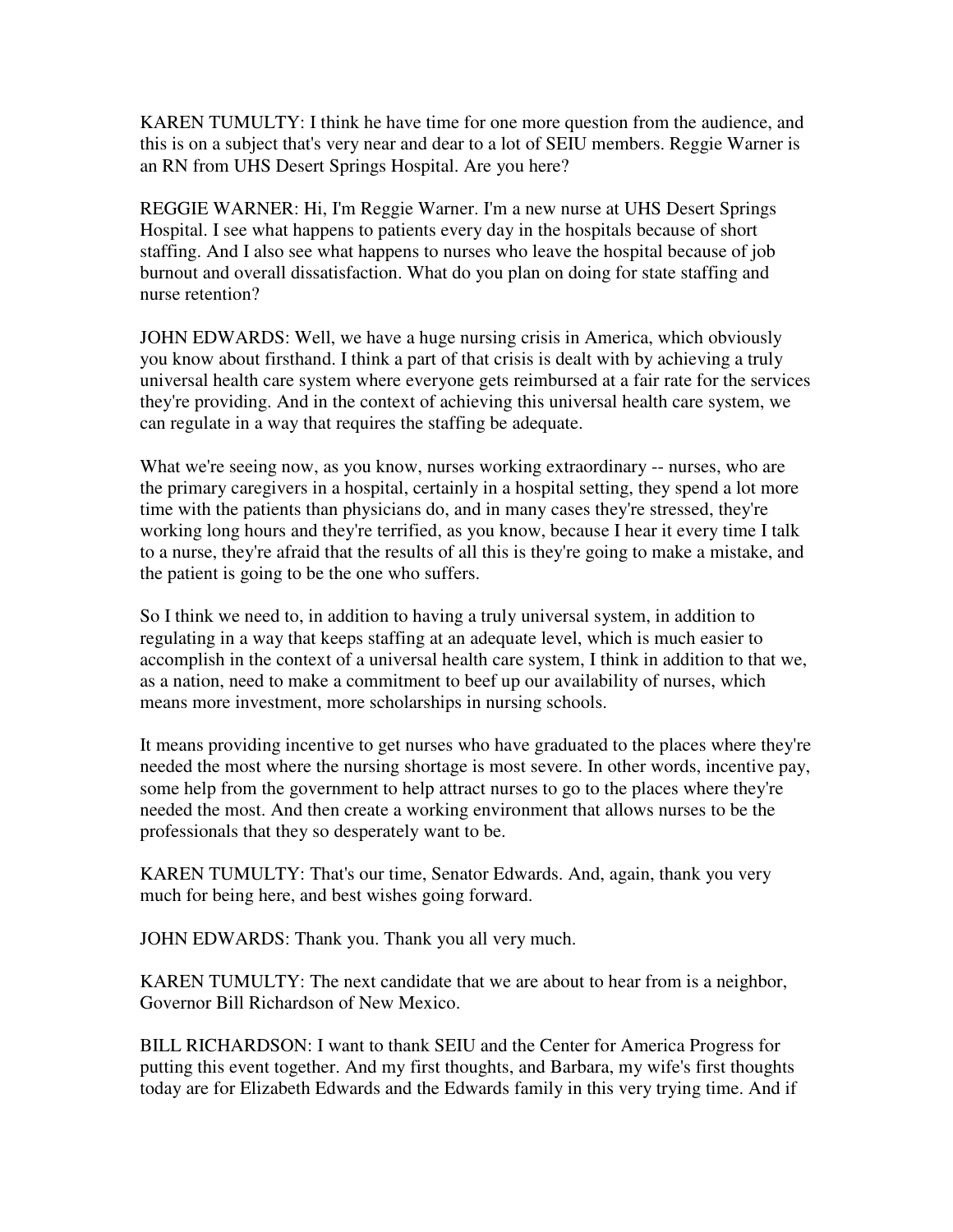KAREN TUMULTY: I think he have time for one more question from the audience, and this is on a subject that's very near and dear to a lot of SEIU members. Reggie Warner is an RN from UHS Desert Springs Hospital. Are you here?

REGGIE WARNER: Hi, I'm Reggie Warner. I'm a new nurse at UHS Desert Springs Hospital. I see what happens to patients every day in the hospitals because of short staffing. And I also see what happens to nurses who leave the hospital because of job burnout and overall dissatisfaction. What do you plan on doing for state staffing and nurse retention?

JOHN EDWARDS: Well, we have a huge nursing crisis in America, which obviously you know about firsthand. I think a part of that crisis is dealt with by achieving a truly universal health care system where everyone gets reimbursed at a fair rate for the services they're providing. And in the context of achieving this universal health care system, we can regulate in a way that requires the staffing be adequate.

What we're seeing now, as you know, nurses working extraordinary -- nurses, who are the primary caregivers in a hospital, certainly in a hospital setting, they spend a lot more time with the patients than physicians do, and in many cases they're stressed, they're working long hours and they're terrified, as you know, because I hear it every time I talk to a nurse, they're afraid that the results of all this is they're going to make a mistake, and the patient is going to be the one who suffers.

So I think we need to, in addition to having a truly universal system, in addition to regulating in a way that keeps staffing at an adequate level, which is much easier to accomplish in the context of a universal health care system, I think in addition to that we, as a nation, need to make a commitment to beef up our availability of nurses, which means more investment, more scholarships in nursing schools.

It means providing incentive to get nurses who have graduated to the places where they're needed the most where the nursing shortage is most severe. In other words, incentive pay, some help from the government to help attract nurses to go to the places where they're needed the most. And then create a working environment that allows nurses to be the professionals that they so desperately want to be.

KAREN TUMULTY: That's our time, Senator Edwards. And, again, thank you very much for being here, and best wishes going forward.

JOHN EDWARDS: Thank you. Thank you all very much.

KAREN TUMULTY: The next candidate that we are about to hear from is a neighbor, Governor Bill Richardson of New Mexico.

BILL RICHARDSON: I want to thank SEIU and the Center for America Progress for putting this event together. And my first thoughts, and Barbara, my wife's first thoughts today are for Elizabeth Edwards and the Edwards family in this very trying time. And if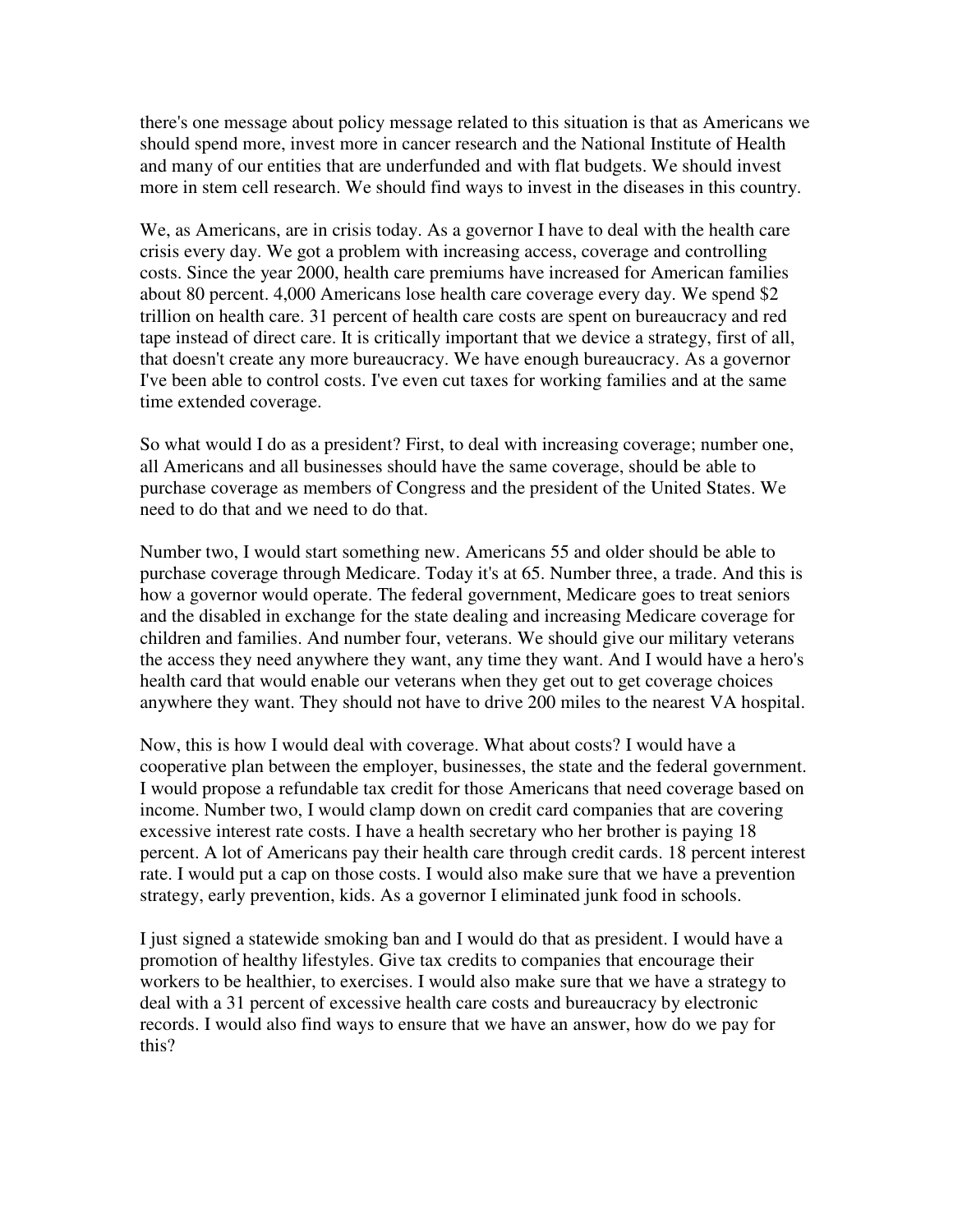there's one message about policy message related to this situation is that as Americans we should spend more, invest more in cancer research and the National Institute of Health and many of our entities that are underfunded and with flat budgets. We should invest more in stem cell research. We should find ways to invest in the diseases in this country.

We, as Americans, are in crisis today. As a governor I have to deal with the health care crisis every day. We got a problem with increasing access, coverage and controlling costs. Since the year 2000, health care premiums have increased for American families about 80 percent. 4,000 Americans lose health care coverage every day. We spend \$2 trillion on health care. 31 percent of health care costs are spent on bureaucracy and red tape instead of direct care. It is critically important that we device a strategy, first of all, that doesn't create any more bureaucracy. We have enough bureaucracy. As a governor I've been able to control costs. I've even cut taxes for working families and at the same time extended coverage.

So what would I do as a president? First, to deal with increasing coverage; number one, all Americans and all businesses should have the same coverage, should be able to purchase coverage as members of Congress and the president of the United States. We need to do that and we need to do that.

Number two, I would start something new. Americans 55 and older should be able to purchase coverage through Medicare. Today it's at 65. Number three, a trade. And this is how a governor would operate. The federal government, Medicare goes to treat seniors and the disabled in exchange for the state dealing and increasing Medicare coverage for children and families. And number four, veterans. We should give our military veterans the access they need anywhere they want, any time they want. And I would have a hero's health card that would enable our veterans when they get out to get coverage choices anywhere they want. They should not have to drive 200 miles to the nearest VA hospital.

Now, this is how I would deal with coverage. What about costs? I would have a cooperative plan between the employer, businesses, the state and the federal government. I would propose a refundable tax credit for those Americans that need coverage based on income. Number two, I would clamp down on credit card companies that are covering excessive interest rate costs. I have a health secretary who her brother is paying 18 percent. A lot of Americans pay their health care through credit cards. 18 percent interest rate. I would put a cap on those costs. I would also make sure that we have a prevention strategy, early prevention, kids. As a governor I eliminated junk food in schools.

I just signed a statewide smoking ban and I would do that as president. I would have a promotion of healthy lifestyles. Give tax credits to companies that encourage their workers to be healthier, to exercises. I would also make sure that we have a strategy to deal with a 31 percent of excessive health care costs and bureaucracy by electronic records. I would also find ways to ensure that we have an answer, how do we pay for this?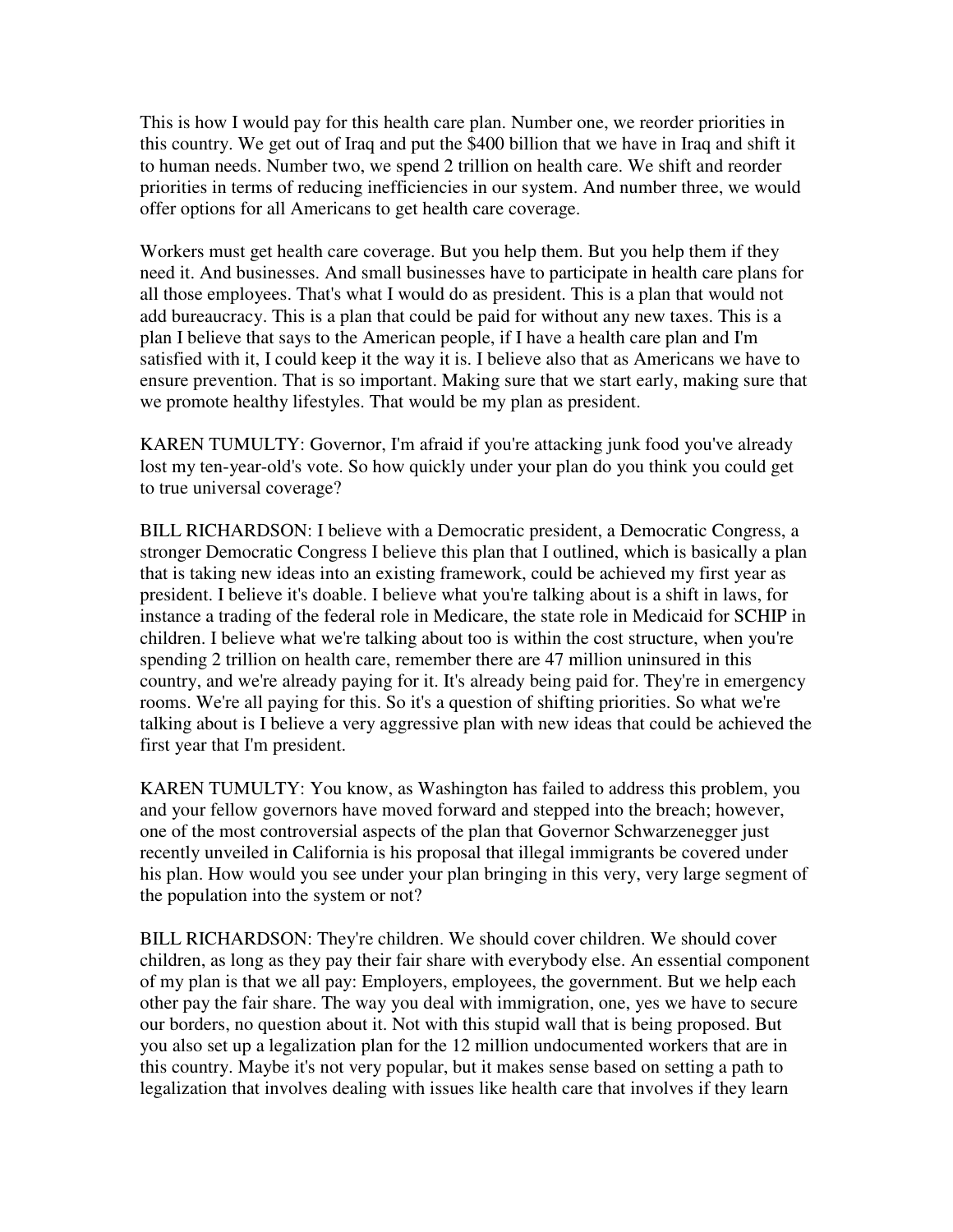This is how I would pay for this health care plan. Number one, we reorder priorities in this country. We get out of Iraq and put the \$400 billion that we have in Iraq and shift it to human needs. Number two, we spend 2 trillion on health care. We shift and reorder priorities in terms of reducing inefficiencies in our system. And number three, we would offer options for all Americans to get health care coverage.

Workers must get health care coverage. But you help them. But you help them if they need it. And businesses. And small businesses have to participate in health care plans for all those employees. That's what I would do as president. This is a plan that would not add bureaucracy. This is a plan that could be paid for without any new taxes. This is a plan I believe that says to the American people, if I have a health care plan and I'm satisfied with it, I could keep it the way it is. I believe also that as Americans we have to ensure prevention. That is so important. Making sure that we start early, making sure that we promote healthy lifestyles. That would be my plan as president.

KAREN TUMULTY: Governor, I'm afraid if you're attacking junk food you've already lost my ten-year-old's vote. So how quickly under your plan do you think you could get to true universal coverage?

BILL RICHARDSON: I believe with a Democratic president, a Democratic Congress, a stronger Democratic Congress I believe this plan that I outlined, which is basically a plan that is taking new ideas into an existing framework, could be achieved my first year as president. I believe it's doable. I believe what you're talking about is a shift in laws, for instance a trading of the federal role in Medicare, the state role in Medicaid for SCHIP in children. I believe what we're talking about too is within the cost structure, when you're spending 2 trillion on health care, remember there are 47 million uninsured in this country, and we're already paying for it. It's already being paid for. They're in emergency rooms. We're all paying for this. So it's a question of shifting priorities. So what we're talking about is I believe a very aggressive plan with new ideas that could be achieved the first year that I'm president.

KAREN TUMULTY: You know, as Washington has failed to address this problem, you and your fellow governors have moved forward and stepped into the breach; however, one of the most controversial aspects of the plan that Governor Schwarzenegger just recently unveiled in California is his proposal that illegal immigrants be covered under his plan. How would you see under your plan bringing in this very, very large segment of the population into the system or not?

BILL RICHARDSON: They're children. We should cover children. We should cover children, as long as they pay their fair share with everybody else. An essential component of my plan is that we all pay: Employers, employees, the government. But we help each other pay the fair share. The way you deal with immigration, one, yes we have to secure our borders, no question about it. Not with this stupid wall that is being proposed. But you also set up a legalization plan for the 12 million undocumented workers that are in this country. Maybe it's not very popular, but it makes sense based on setting a path to legalization that involves dealing with issues like health care that involves if they learn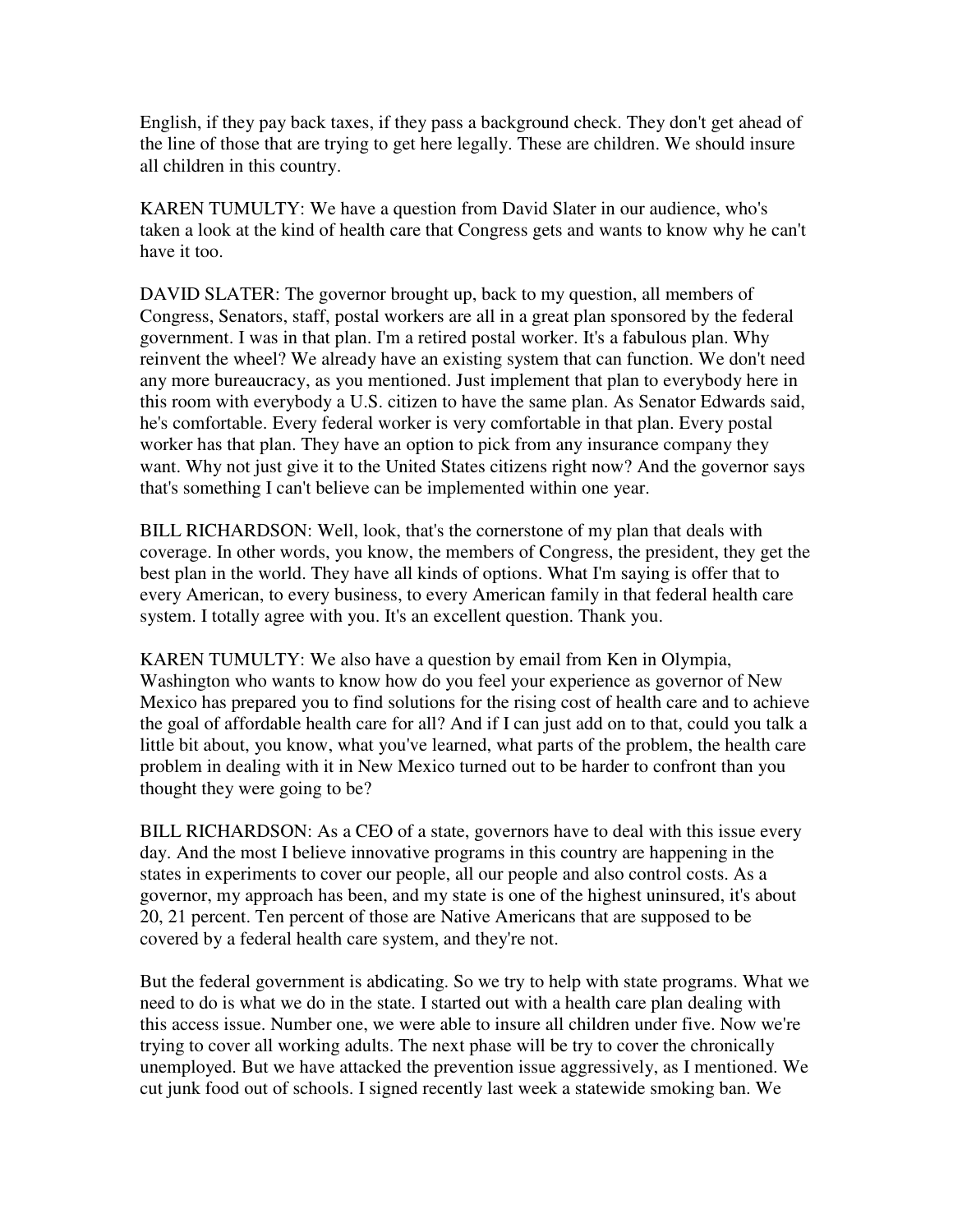English, if they pay back taxes, if they pass a background check. They don't get ahead of the line of those that are trying to get here legally. These are children. We should insure all children in this country.

KAREN TUMULTY: We have a question from David Slater in our audience, who's taken a look at the kind of health care that Congress gets and wants to know why he can't have it too.

DAVID SLATER: The governor brought up, back to my question, all members of Congress, Senators, staff, postal workers are all in a great plan sponsored by the federal government. I was in that plan. I'm a retired postal worker. It's a fabulous plan. Why reinvent the wheel? We already have an existing system that can function. We don't need any more bureaucracy, as you mentioned. Just implement that plan to everybody here in this room with everybody a U.S. citizen to have the same plan. As Senator Edwards said, he's comfortable. Every federal worker is very comfortable in that plan. Every postal worker has that plan. They have an option to pick from any insurance company they want. Why not just give it to the United States citizens right now? And the governor says that's something I can't believe can be implemented within one year.

BILL RICHARDSON: Well, look, that's the cornerstone of my plan that deals with coverage. In other words, you know, the members of Congress, the president, they get the best plan in the world. They have all kinds of options. What I'm saying is offer that to every American, to every business, to every American family in that federal health care system. I totally agree with you. It's an excellent question. Thank you.

KAREN TUMULTY: We also have a question by email from Ken in Olympia, Washington who wants to know how do you feel your experience as governor of New Mexico has prepared you to find solutions for the rising cost of health care and to achieve the goal of affordable health care for all? And if I can just add on to that, could you talk a little bit about, you know, what you've learned, what parts of the problem, the health care problem in dealing with it in New Mexico turned out to be harder to confront than you thought they were going to be?

BILL RICHARDSON: As a CEO of a state, governors have to deal with this issue every day. And the most I believe innovative programs in this country are happening in the states in experiments to cover our people, all our people and also control costs. As a governor, my approach has been, and my state is one of the highest uninsured, it's about 20, 21 percent. Ten percent of those are Native Americans that are supposed to be covered by a federal health care system, and they're not.

But the federal government is abdicating. So we try to help with state programs. What we need to do is what we do in the state. I started out with a health care plan dealing with this access issue. Number one, we were able to insure all children under five. Now we're trying to cover all working adults. The next phase will be try to cover the chronically unemployed. But we have attacked the prevention issue aggressively, as I mentioned. We cut junk food out of schools. I signed recently last week a statewide smoking ban. We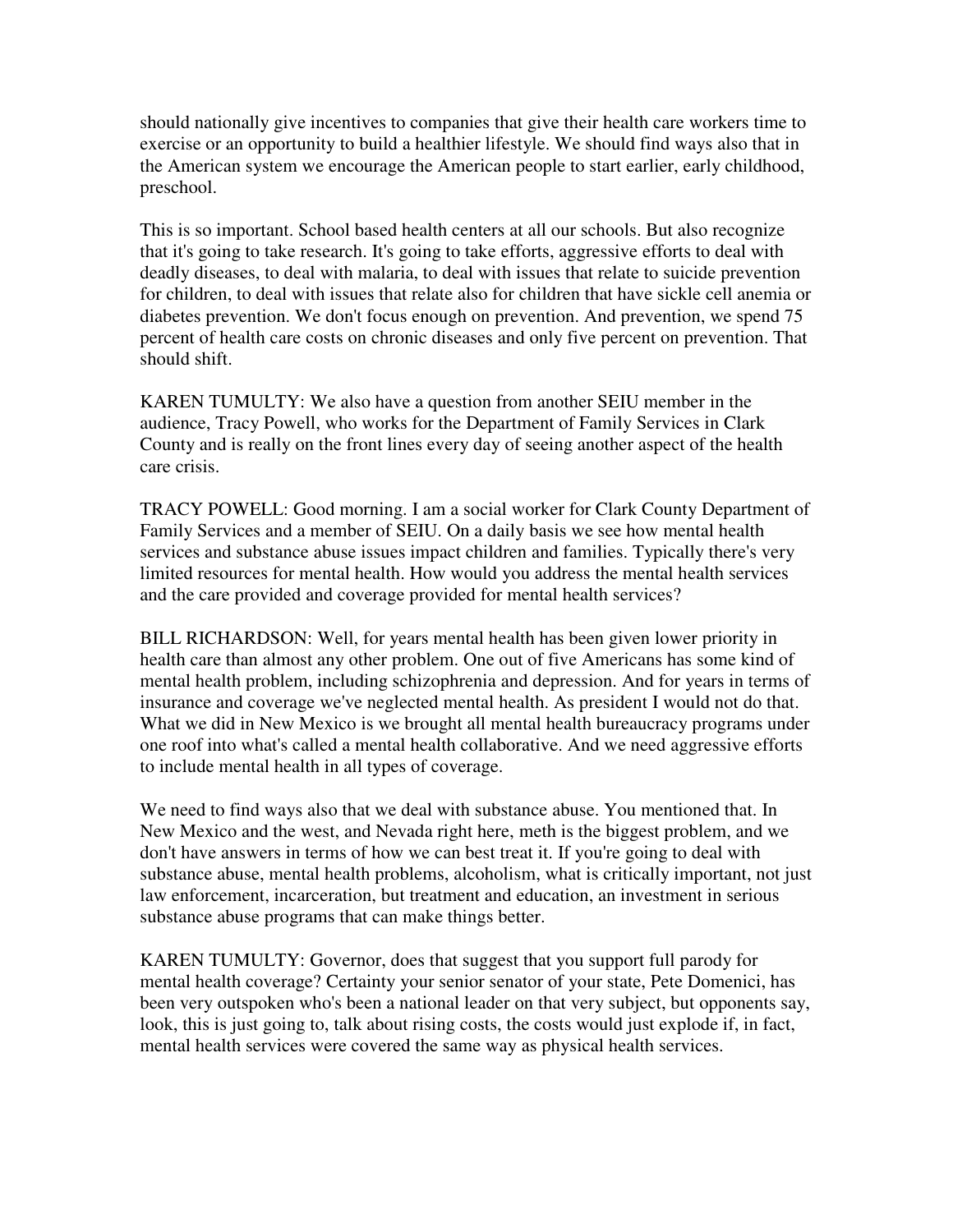should nationally give incentives to companies that give their health care workers time to exercise or an opportunity to build a healthier lifestyle. We should find ways also that in the American system we encourage the American people to start earlier, early childhood, preschool.

This is so important. School based health centers at all our schools. But also recognize that it's going to take research. It's going to take efforts, aggressive efforts to deal with deadly diseases, to deal with malaria, to deal with issues that relate to suicide prevention for children, to deal with issues that relate also for children that have sickle cell anemia or diabetes prevention. We don't focus enough on prevention. And prevention, we spend 75 percent of health care costs on chronic diseases and only five percent on prevention. That should shift.

KAREN TUMULTY: We also have a question from another SEIU member in the audience, Tracy Powell, who works for the Department of Family Services in Clark County and is really on the front lines every day of seeing another aspect of the health care crisis.

TRACY POWELL: Good morning. I am a social worker for Clark County Department of Family Services and a member of SEIU. On a daily basis we see how mental health services and substance abuse issues impact children and families. Typically there's very limited resources for mental health. How would you address the mental health services and the care provided and coverage provided for mental health services?

BILL RICHARDSON: Well, for years mental health has been given lower priority in health care than almost any other problem. One out of five Americans has some kind of mental health problem, including schizophrenia and depression. And for years in terms of insurance and coverage we've neglected mental health. As president I would not do that. What we did in New Mexico is we brought all mental health bureaucracy programs under one roof into what's called a mental health collaborative. And we need aggressive efforts to include mental health in all types of coverage.

We need to find ways also that we deal with substance abuse. You mentioned that. In New Mexico and the west, and Nevada right here, meth is the biggest problem, and we don't have answers in terms of how we can best treat it. If you're going to deal with substance abuse, mental health problems, alcoholism, what is critically important, not just law enforcement, incarceration, but treatment and education, an investment in serious substance abuse programs that can make things better.

KAREN TUMULTY: Governor, does that suggest that you support full parody for mental health coverage? Certainty your senior senator of your state, Pete Domenici, has been very outspoken who's been a national leader on that very subject, but opponents say, look, this is just going to, talk about rising costs, the costs would just explode if, in fact, mental health services were covered the same way as physical health services.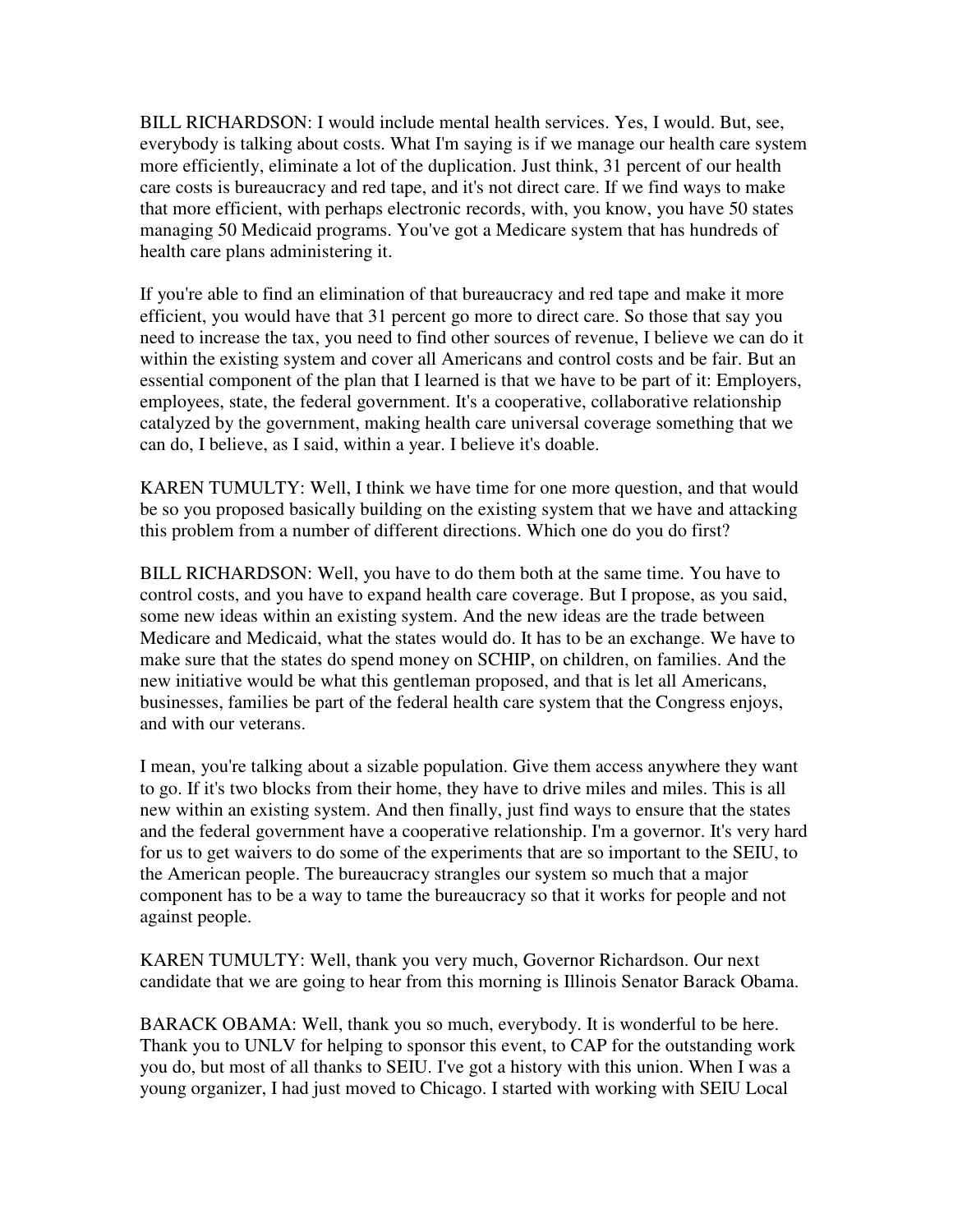BILL RICHARDSON: I would include mental health services. Yes, I would. But, see, everybody is talking about costs. What I'm saying is if we manage our health care system more efficiently, eliminate a lot of the duplication. Just think, 31 percent of our health care costs is bureaucracy and red tape, and it's not direct care. If we find ways to make that more efficient, with perhaps electronic records, with, you know, you have 50 states managing 50 Medicaid programs. You've got a Medicare system that has hundreds of health care plans administering it.

If you're able to find an elimination of that bureaucracy and red tape and make it more efficient, you would have that 31 percent go more to direct care. So those that say you need to increase the tax, you need to find other sources of revenue, I believe we can do it within the existing system and cover all Americans and control costs and be fair. But an essential component of the plan that I learned is that we have to be part of it: Employers, employees, state, the federal government. It's a cooperative, collaborative relationship catalyzed by the government, making health care universal coverage something that we can do, I believe, as I said, within a year. I believe it's doable.

KAREN TUMULTY: Well, I think we have time for one more question, and that would be so you proposed basically building on the existing system that we have and attacking this problem from a number of different directions. Which one do you do first?

BILL RICHARDSON: Well, you have to do them both at the same time. You have to control costs, and you have to expand health care coverage. But I propose, as you said, some new ideas within an existing system. And the new ideas are the trade between Medicare and Medicaid, what the states would do. It has to be an exchange. We have to make sure that the states do spend money on SCHIP, on children, on families. And the new initiative would be what this gentleman proposed, and that is let all Americans, businesses, families be part of the federal health care system that the Congress enjoys, and with our veterans.

I mean, you're talking about a sizable population. Give them access anywhere they want to go. If it's two blocks from their home, they have to drive miles and miles. This is all new within an existing system. And then finally, just find ways to ensure that the states and the federal government have a cooperative relationship. I'm a governor. It's very hard for us to get waivers to do some of the experiments that are so important to the SEIU, to the American people. The bureaucracy strangles our system so much that a major component has to be a way to tame the bureaucracy so that it works for people and not against people.

KAREN TUMULTY: Well, thank you very much, Governor Richardson. Our next candidate that we are going to hear from this morning is Illinois Senator Barack Obama.

BARACK OBAMA: Well, thank you so much, everybody. It is wonderful to be here. Thank you to UNLV for helping to sponsor this event, to CAP for the outstanding work you do, but most of all thanks to SEIU. I've got a history with this union. When I was a young organizer, I had just moved to Chicago. I started with working with SEIU Local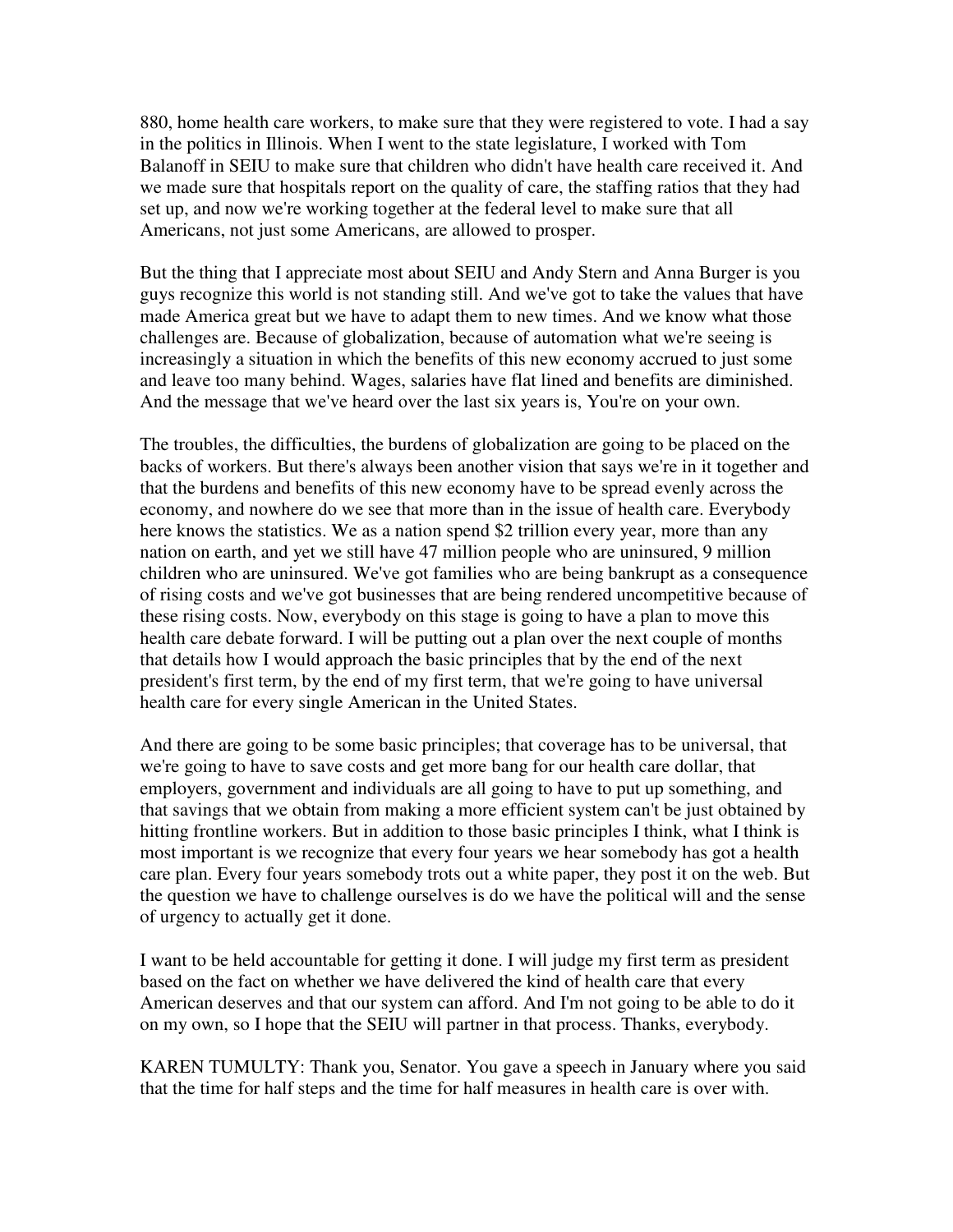880, home health care workers, to make sure that they were registered to vote. I had a say in the politics in Illinois. When I went to the state legislature, I worked with Tom Balanoff in SEIU to make sure that children who didn't have health care received it. And we made sure that hospitals report on the quality of care, the staffing ratios that they had set up, and now we're working together at the federal level to make sure that all Americans, not just some Americans, are allowed to prosper.

But the thing that I appreciate most about SEIU and Andy Stern and Anna Burger is you guys recognize this world is not standing still. And we've got to take the values that have made America great but we have to adapt them to new times. And we know what those challenges are. Because of globalization, because of automation what we're seeing is increasingly a situation in which the benefits of this new economy accrued to just some and leave too many behind. Wages, salaries have flat lined and benefits are diminished. And the message that we've heard over the last six years is, You're on your own.

The troubles, the difficulties, the burdens of globalization are going to be placed on the backs of workers. But there's always been another vision that says we're in it together and that the burdens and benefits of this new economy have to be spread evenly across the economy, and nowhere do we see that more than in the issue of health care. Everybody here knows the statistics. We as a nation spend \$2 trillion every year, more than any nation on earth, and yet we still have 47 million people who are uninsured, 9 million children who are uninsured. We've got families who are being bankrupt as a consequence of rising costs and we've got businesses that are being rendered uncompetitive because of these rising costs. Now, everybody on this stage is going to have a plan to move this health care debate forward. I will be putting out a plan over the next couple of months that details how I would approach the basic principles that by the end of the next president's first term, by the end of my first term, that we're going to have universal health care for every single American in the United States.

And there are going to be some basic principles; that coverage has to be universal, that we're going to have to save costs and get more bang for our health care dollar, that employers, government and individuals are all going to have to put up something, and that savings that we obtain from making a more efficient system can't be just obtained by hitting frontline workers. But in addition to those basic principles I think, what I think is most important is we recognize that every four years we hear somebody has got a health care plan. Every four years somebody trots out a white paper, they post it on the web. But the question we have to challenge ourselves is do we have the political will and the sense of urgency to actually get it done.

I want to be held accountable for getting it done. I will judge my first term as president based on the fact on whether we have delivered the kind of health care that every American deserves and that our system can afford. And I'm not going to be able to do it on my own, so I hope that the SEIU will partner in that process. Thanks, everybody.

KAREN TUMULTY: Thank you, Senator. You gave a speech in January where you said that the time for half steps and the time for half measures in health care is over with.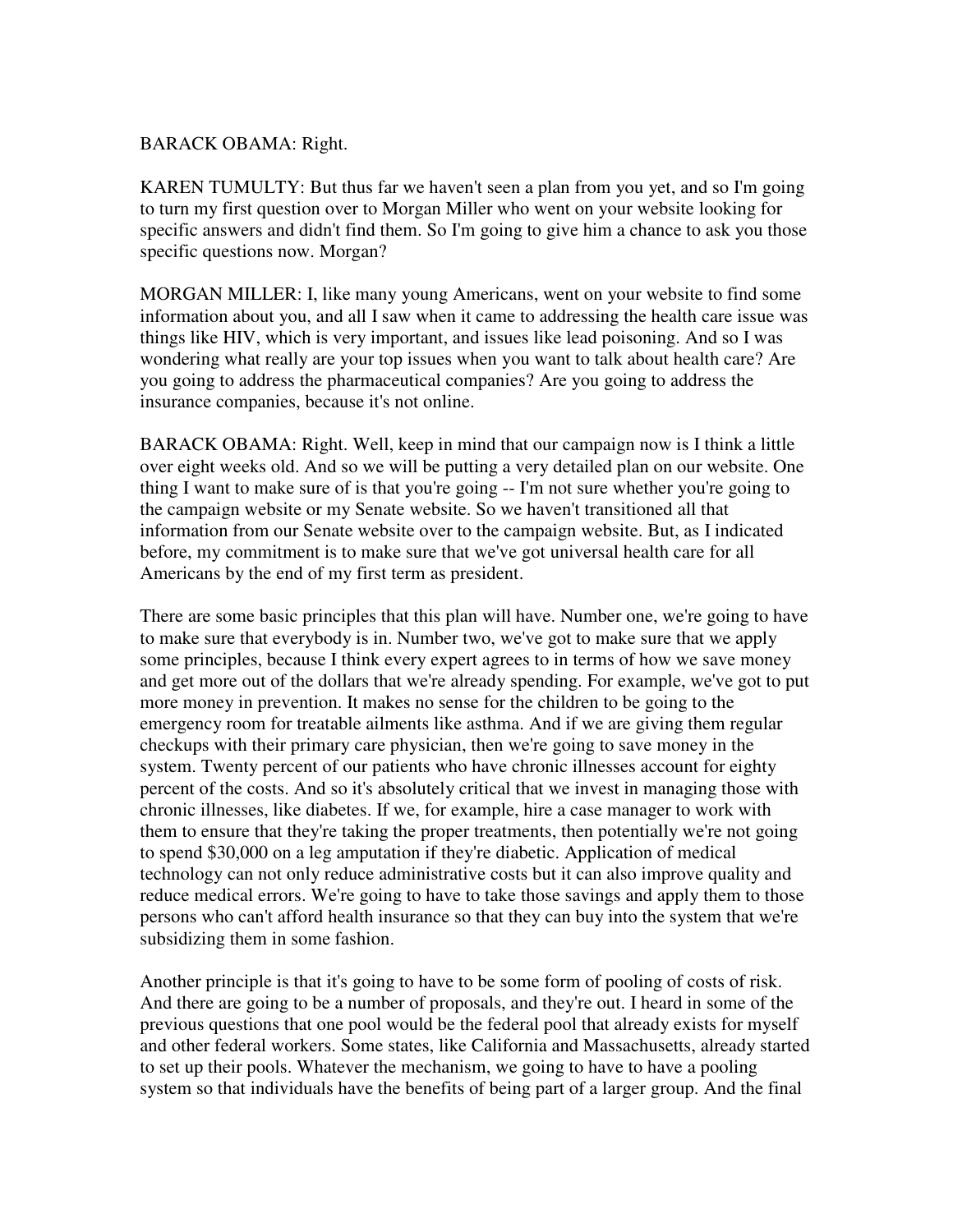#### BARACK OBAMA: Right.

KAREN TUMULTY: But thus far we haven't seen a plan from you yet, and so I'm going to turn my first question over to Morgan Miller who went on your website looking for specific answers and didn't find them. So I'm going to give him a chance to ask you those specific questions now. Morgan?

MORGAN MILLER: I, like many young Americans, went on your website to find some information about you, and all I saw when it came to addressing the health care issue was things like HIV, which is very important, and issues like lead poisoning. And so I was wondering what really are your top issues when you want to talk about health care? Are you going to address the pharmaceutical companies? Are you going to address the insurance companies, because it's not online.

BARACK OBAMA: Right. Well, keep in mind that our campaign now is I think a little over eight weeks old. And so we will be putting a very detailed plan on our website. One thing I want to make sure of is that you're going -- I'm not sure whether you're going to the campaign website or my Senate website. So we haven't transitioned all that information from our Senate website over to the campaign website. But, as I indicated before, my commitment is to make sure that we've got universal health care for all Americans by the end of my first term as president.

There are some basic principles that this plan will have. Number one, we're going to have to make sure that everybody is in. Number two, we've got to make sure that we apply some principles, because I think every expert agrees to in terms of how we save money and get more out of the dollars that we're already spending. For example, we've got to put more money in prevention. It makes no sense for the children to be going to the emergency room for treatable ailments like asthma. And if we are giving them regular checkups with their primary care physician, then we're going to save money in the system. Twenty percent of our patients who have chronic illnesses account for eighty percent of the costs. And so it's absolutely critical that we invest in managing those with chronic illnesses, like diabetes. If we, for example, hire a case manager to work with them to ensure that they're taking the proper treatments, then potentially we're not going to spend \$30,000 on a leg amputation if they're diabetic. Application of medical technology can not only reduce administrative costs but it can also improve quality and reduce medical errors. We're going to have to take those savings and apply them to those persons who can't afford health insurance so that they can buy into the system that we're subsidizing them in some fashion.

Another principle is that it's going to have to be some form of pooling of costs of risk. And there are going to be a number of proposals, and they're out. I heard in some of the previous questions that one pool would be the federal pool that already exists for myself and other federal workers. Some states, like California and Massachusetts, already started to set up their pools. Whatever the mechanism, we going to have to have a pooling system so that individuals have the benefits of being part of a larger group. And the final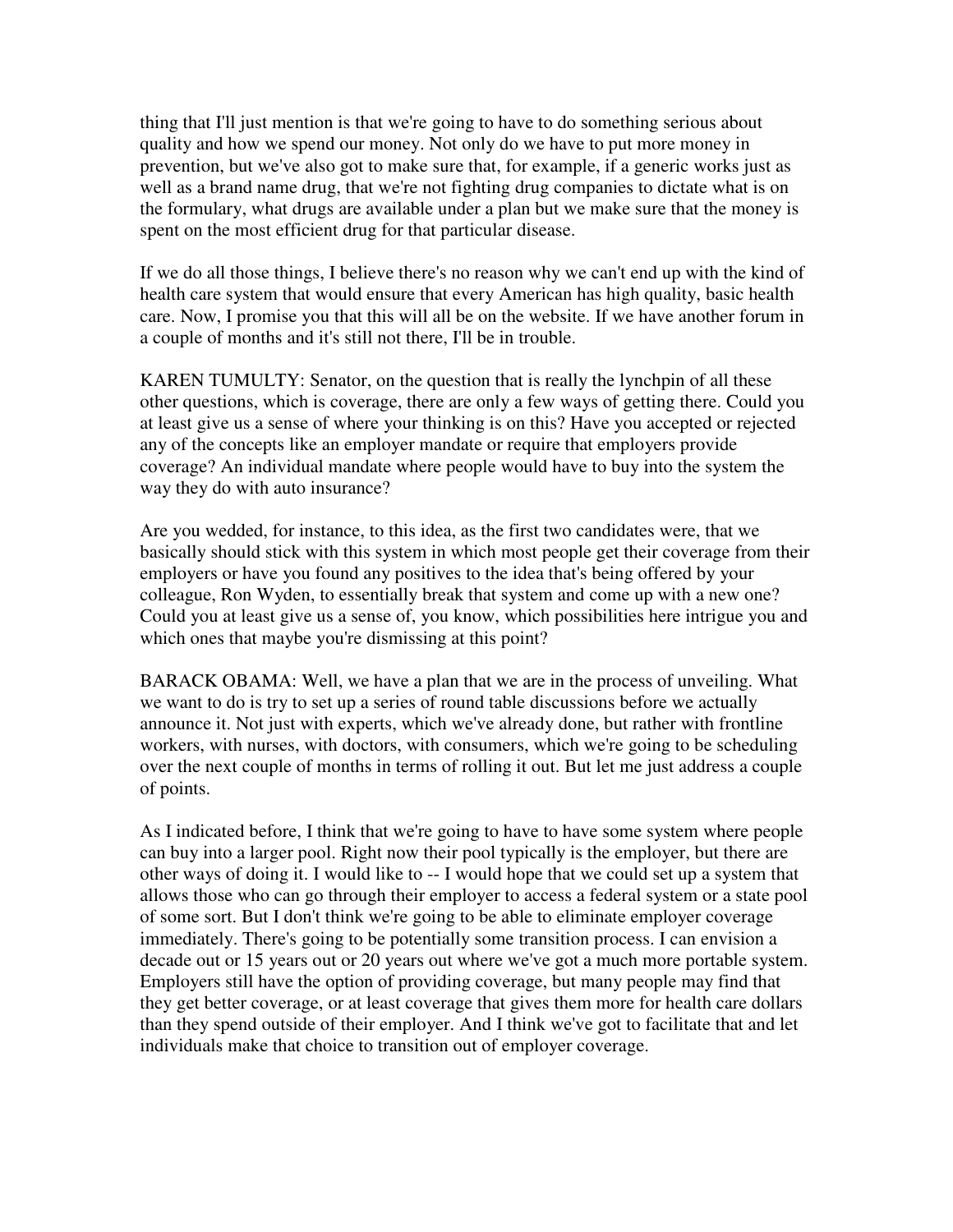thing that I'll just mention is that we're going to have to do something serious about quality and how we spend our money. Not only do we have to put more money in prevention, but we've also got to make sure that, for example, if a generic works just as well as a brand name drug, that we're not fighting drug companies to dictate what is on the formulary, what drugs are available under a plan but we make sure that the money is spent on the most efficient drug for that particular disease.

If we do all those things, I believe there's no reason why we can't end up with the kind of health care system that would ensure that every American has high quality, basic health care. Now, I promise you that this will all be on the website. If we have another forum in a couple of months and it's still not there, I'll be in trouble.

KAREN TUMULTY: Senator, on the question that is really the lynchpin of all these other questions, which is coverage, there are only a few ways of getting there. Could you at least give us a sense of where your thinking is on this? Have you accepted or rejected any of the concepts like an employer mandate or require that employers provide coverage? An individual mandate where people would have to buy into the system the way they do with auto insurance?

Are you wedded, for instance, to this idea, as the first two candidates were, that we basically should stick with this system in which most people get their coverage from their employers or have you found any positives to the idea that's being offered by your colleague, Ron Wyden, to essentially break that system and come up with a new one? Could you at least give us a sense of, you know, which possibilities here intrigue you and which ones that maybe you're dismissing at this point?

BARACK OBAMA: Well, we have a plan that we are in the process of unveiling. What we want to do is try to set up a series of round table discussions before we actually announce it. Not just with experts, which we've already done, but rather with frontline workers, with nurses, with doctors, with consumers, which we're going to be scheduling over the next couple of months in terms of rolling it out. But let me just address a couple of points.

As I indicated before, I think that we're going to have to have some system where people can buy into a larger pool. Right now their pool typically is the employer, but there are other ways of doing it. I would like to -- I would hope that we could set up a system that allows those who can go through their employer to access a federal system or a state pool of some sort. But I don't think we're going to be able to eliminate employer coverage immediately. There's going to be potentially some transition process. I can envision a decade out or 15 years out or 20 years out where we've got a much more portable system. Employers still have the option of providing coverage, but many people may find that they get better coverage, or at least coverage that gives them more for health care dollars than they spend outside of their employer. And I think we've got to facilitate that and let individuals make that choice to transition out of employer coverage.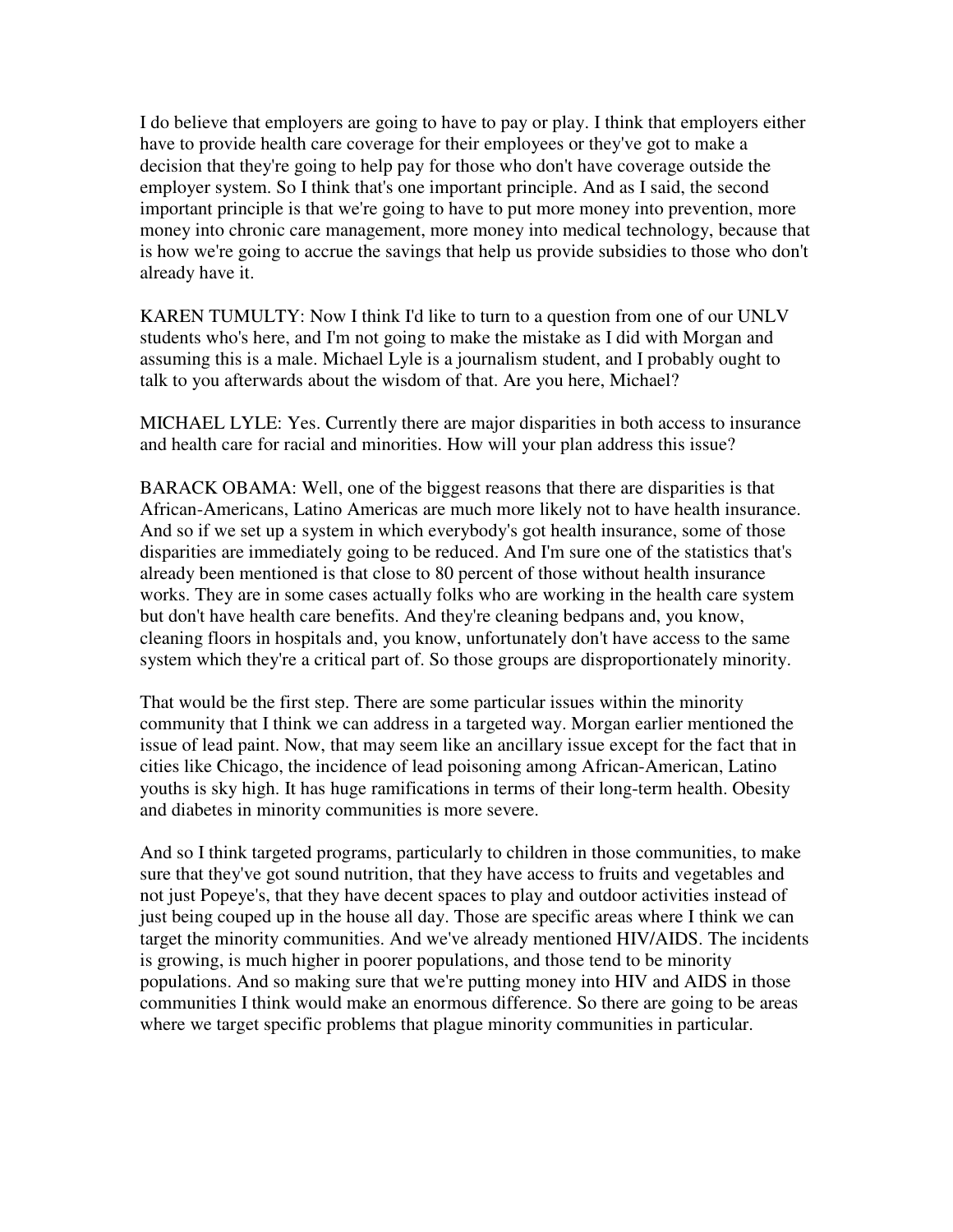I do believe that employers are going to have to pay or play. I think that employers either have to provide health care coverage for their employees or they've got to make a decision that they're going to help pay for those who don't have coverage outside the employer system. So I think that's one important principle. And as I said, the second important principle is that we're going to have to put more money into prevention, more money into chronic care management, more money into medical technology, because that is how we're going to accrue the savings that help us provide subsidies to those who don't already have it.

KAREN TUMULTY: Now I think I'd like to turn to a question from one of our UNLV students who's here, and I'm not going to make the mistake as I did with Morgan and assuming this is a male. Michael Lyle is a journalism student, and I probably ought to talk to you afterwards about the wisdom of that. Are you here, Michael?

MICHAEL LYLE: Yes. Currently there are major disparities in both access to insurance and health care for racial and minorities. How will your plan address this issue?

BARACK OBAMA: Well, one of the biggest reasons that there are disparities is that African-Americans, Latino Americas are much more likely not to have health insurance. And so if we set up a system in which everybody's got health insurance, some of those disparities are immediately going to be reduced. And I'm sure one of the statistics that's already been mentioned is that close to 80 percent of those without health insurance works. They are in some cases actually folks who are working in the health care system but don't have health care benefits. And they're cleaning bedpans and, you know, cleaning floors in hospitals and, you know, unfortunately don't have access to the same system which they're a critical part of. So those groups are disproportionately minority.

That would be the first step. There are some particular issues within the minority community that I think we can address in a targeted way. Morgan earlier mentioned the issue of lead paint. Now, that may seem like an ancillary issue except for the fact that in cities like Chicago, the incidence of lead poisoning among African-American, Latino youths is sky high. It has huge ramifications in terms of their long-term health. Obesity and diabetes in minority communities is more severe.

And so I think targeted programs, particularly to children in those communities, to make sure that they've got sound nutrition, that they have access to fruits and vegetables and not just Popeye's, that they have decent spaces to play and outdoor activities instead of just being couped up in the house all day. Those are specific areas where I think we can target the minority communities. And we've already mentioned HIV/AIDS. The incidents is growing, is much higher in poorer populations, and those tend to be minority populations. And so making sure that we're putting money into HIV and AIDS in those communities I think would make an enormous difference. So there are going to be areas where we target specific problems that plague minority communities in particular.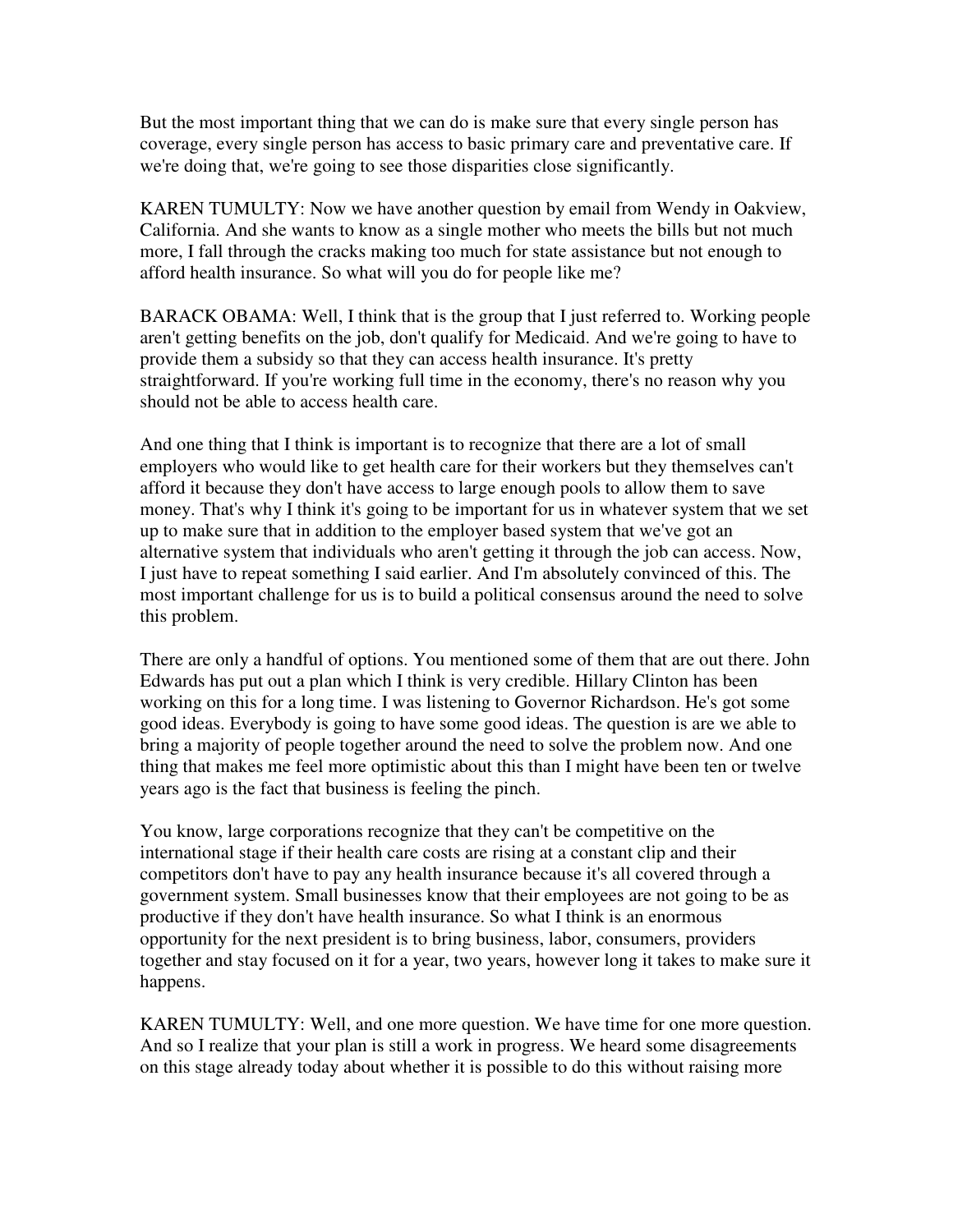But the most important thing that we can do is make sure that every single person has coverage, every single person has access to basic primary care and preventative care. If we're doing that, we're going to see those disparities close significantly.

KAREN TUMULTY: Now we have another question by email from Wendy in Oakview, California. And she wants to know as a single mother who meets the bills but not much more, I fall through the cracks making too much for state assistance but not enough to afford health insurance. So what will you do for people like me?

BARACK OBAMA: Well, I think that is the group that I just referred to. Working people aren't getting benefits on the job, don't qualify for Medicaid. And we're going to have to provide them a subsidy so that they can access health insurance. It's pretty straightforward. If you're working full time in the economy, there's no reason why you should not be able to access health care.

And one thing that I think is important is to recognize that there are a lot of small employers who would like to get health care for their workers but they themselves can't afford it because they don't have access to large enough pools to allow them to save money. That's why I think it's going to be important for us in whatever system that we set up to make sure that in addition to the employer based system that we've got an alternative system that individuals who aren't getting it through the job can access. Now, I just have to repeat something I said earlier. And I'm absolutely convinced of this. The most important challenge for us is to build a political consensus around the need to solve this problem.

There are only a handful of options. You mentioned some of them that are out there. John Edwards has put out a plan which I think is very credible. Hillary Clinton has been working on this for a long time. I was listening to Governor Richardson. He's got some good ideas. Everybody is going to have some good ideas. The question is are we able to bring a majority of people together around the need to solve the problem now. And one thing that makes me feel more optimistic about this than I might have been ten or twelve years ago is the fact that business is feeling the pinch.

You know, large corporations recognize that they can't be competitive on the international stage if their health care costs are rising at a constant clip and their competitors don't have to pay any health insurance because it's all covered through a government system. Small businesses know that their employees are not going to be as productive if they don't have health insurance. So what I think is an enormous opportunity for the next president is to bring business, labor, consumers, providers together and stay focused on it for a year, two years, however long it takes to make sure it happens.

KAREN TUMULTY: Well, and one more question. We have time for one more question. And so I realize that your plan is still a work in progress. We heard some disagreements on this stage already today about whether it is possible to do this without raising more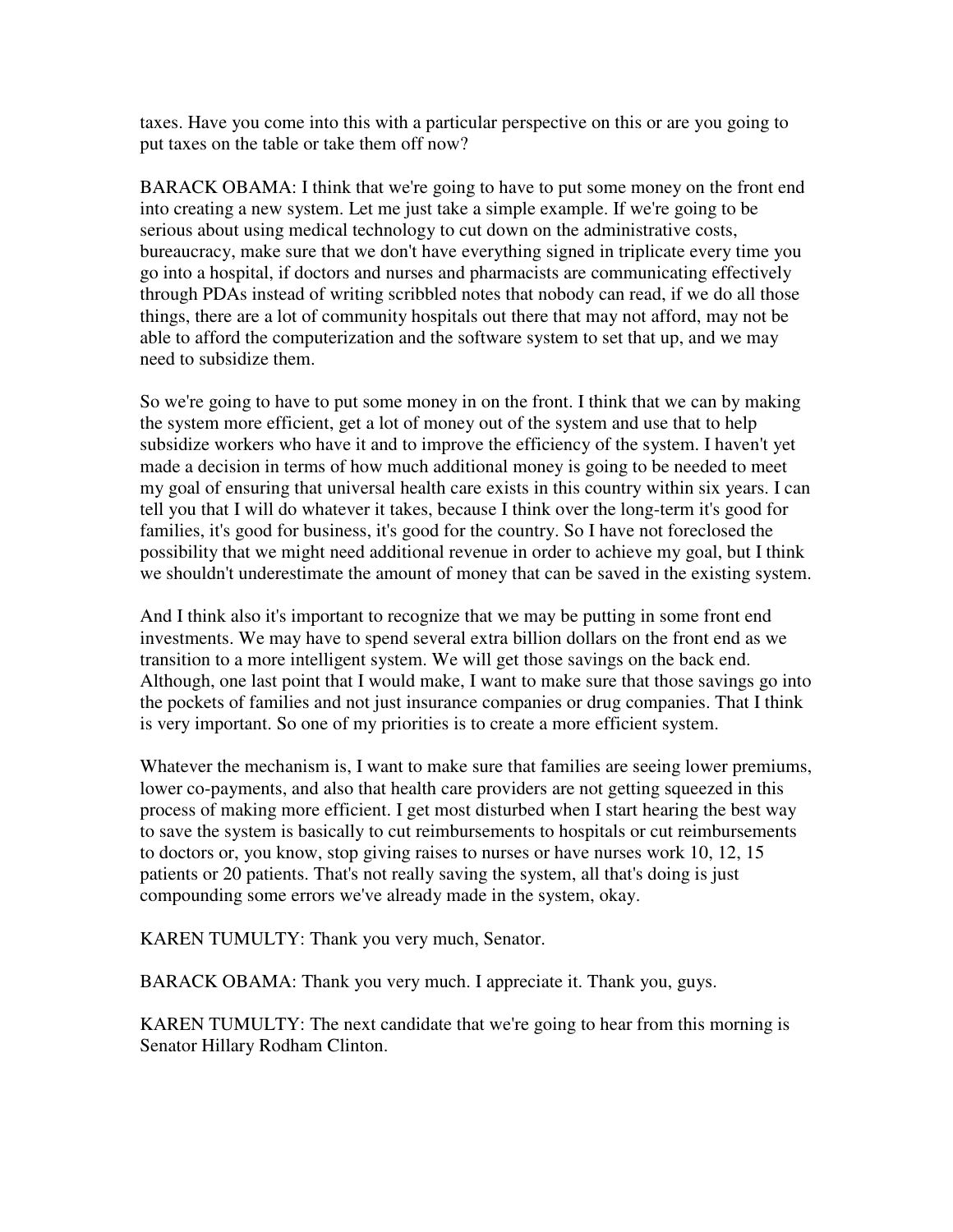taxes. Have you come into this with a particular perspective on this or are you going to put taxes on the table or take them off now?

BARACK OBAMA: I think that we're going to have to put some money on the front end into creating a new system. Let me just take a simple example. If we're going to be serious about using medical technology to cut down on the administrative costs, bureaucracy, make sure that we don't have everything signed in triplicate every time you go into a hospital, if doctors and nurses and pharmacists are communicating effectively through PDAs instead of writing scribbled notes that nobody can read, if we do all those things, there are a lot of community hospitals out there that may not afford, may not be able to afford the computerization and the software system to set that up, and we may need to subsidize them.

So we're going to have to put some money in on the front. I think that we can by making the system more efficient, get a lot of money out of the system and use that to help subsidize workers who have it and to improve the efficiency of the system. I haven't yet made a decision in terms of how much additional money is going to be needed to meet my goal of ensuring that universal health care exists in this country within six years. I can tell you that I will do whatever it takes, because I think over the long-term it's good for families, it's good for business, it's good for the country. So I have not foreclosed the possibility that we might need additional revenue in order to achieve my goal, but I think we shouldn't underestimate the amount of money that can be saved in the existing system.

And I think also it's important to recognize that we may be putting in some front end investments. We may have to spend several extra billion dollars on the front end as we transition to a more intelligent system. We will get those savings on the back end. Although, one last point that I would make, I want to make sure that those savings go into the pockets of families and not just insurance companies or drug companies. That I think is very important. So one of my priorities is to create a more efficient system.

Whatever the mechanism is, I want to make sure that families are seeing lower premiums, lower co-payments, and also that health care providers are not getting squeezed in this process of making more efficient. I get most disturbed when I start hearing the best way to save the system is basically to cut reimbursements to hospitals or cut reimbursements to doctors or, you know, stop giving raises to nurses or have nurses work 10, 12, 15 patients or 20 patients. That's not really saving the system, all that's doing is just compounding some errors we've already made in the system, okay.

KAREN TUMULTY: Thank you very much, Senator.

BARACK OBAMA: Thank you very much. I appreciate it. Thank you, guys.

KAREN TUMULTY: The next candidate that we're going to hear from this morning is Senator Hillary Rodham Clinton.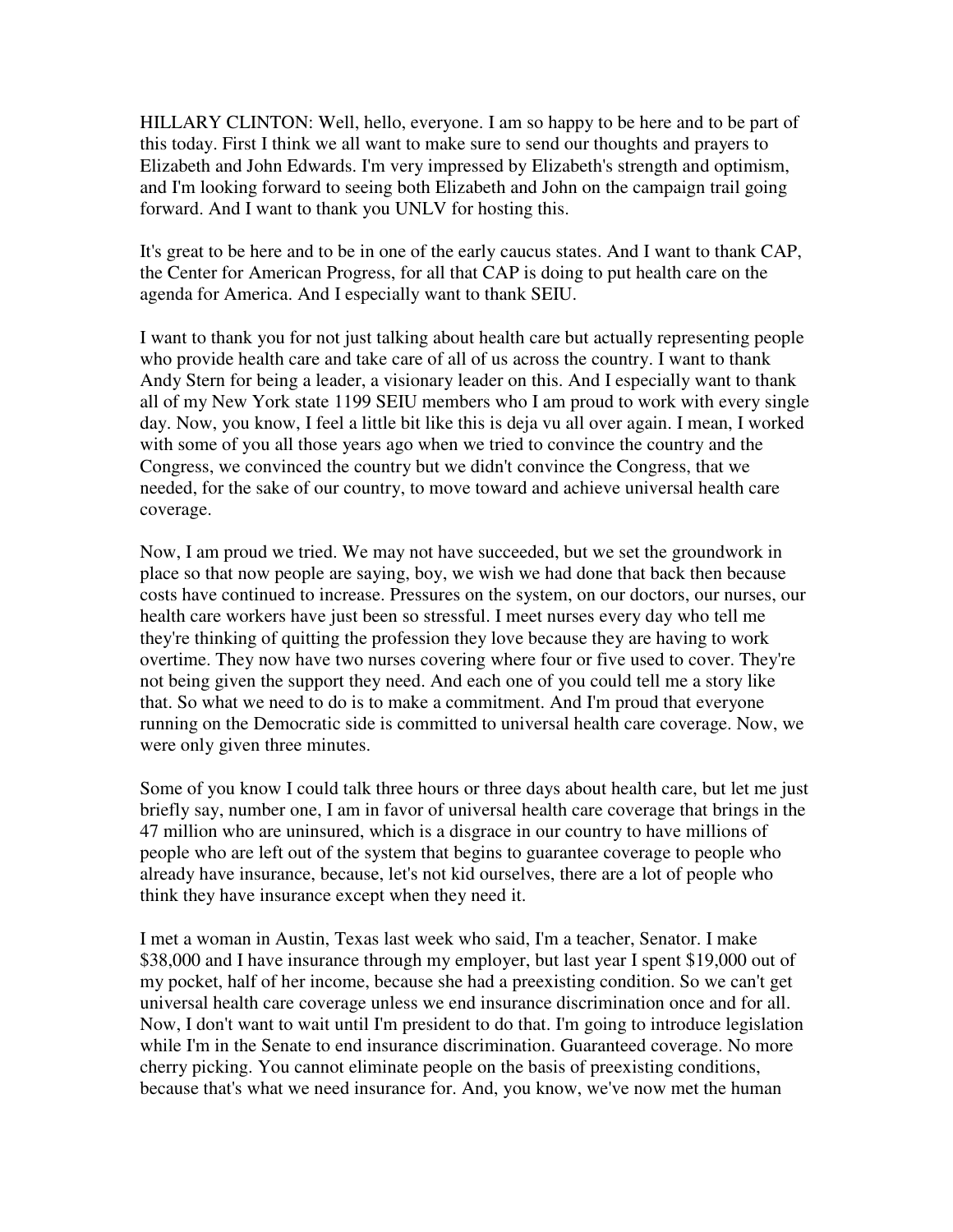HILLARY CLINTON: Well, hello, everyone. I am so happy to be here and to be part of this today. First I think we all want to make sure to send our thoughts and prayers to Elizabeth and John Edwards. I'm very impressed by Elizabeth's strength and optimism, and I'm looking forward to seeing both Elizabeth and John on the campaign trail going forward. And I want to thank you UNLV for hosting this.

It's great to be here and to be in one of the early caucus states. And I want to thank CAP, the Center for American Progress, for all that CAP is doing to put health care on the agenda for America. And I especially want to thank SEIU.

I want to thank you for not just talking about health care but actually representing people who provide health care and take care of all of us across the country. I want to thank Andy Stern for being a leader, a visionary leader on this. And I especially want to thank all of my New York state 1199 SEIU members who I am proud to work with every single day. Now, you know, I feel a little bit like this is deja vu all over again. I mean, I worked with some of you all those years ago when we tried to convince the country and the Congress, we convinced the country but we didn't convince the Congress, that we needed, for the sake of our country, to move toward and achieve universal health care coverage.

Now, I am proud we tried. We may not have succeeded, but we set the groundwork in place so that now people are saying, boy, we wish we had done that back then because costs have continued to increase. Pressures on the system, on our doctors, our nurses, our health care workers have just been so stressful. I meet nurses every day who tell me they're thinking of quitting the profession they love because they are having to work overtime. They now have two nurses covering where four or five used to cover. They're not being given the support they need. And each one of you could tell me a story like that. So what we need to do is to make a commitment. And I'm proud that everyone running on the Democratic side is committed to universal health care coverage. Now, we were only given three minutes.

Some of you know I could talk three hours or three days about health care, but let me just briefly say, number one, I am in favor of universal health care coverage that brings in the 47 million who are uninsured, which is a disgrace in our country to have millions of people who are left out of the system that begins to guarantee coverage to people who already have insurance, because, let's not kid ourselves, there are a lot of people who think they have insurance except when they need it.

I met a woman in Austin, Texas last week who said, I'm a teacher, Senator. I make \$38,000 and I have insurance through my employer, but last year I spent \$19,000 out of my pocket, half of her income, because she had a preexisting condition. So we can't get universal health care coverage unless we end insurance discrimination once and for all. Now, I don't want to wait until I'm president to do that. I'm going to introduce legislation while I'm in the Senate to end insurance discrimination. Guaranteed coverage. No more cherry picking. You cannot eliminate people on the basis of preexisting conditions, because that's what we need insurance for. And, you know, we've now met the human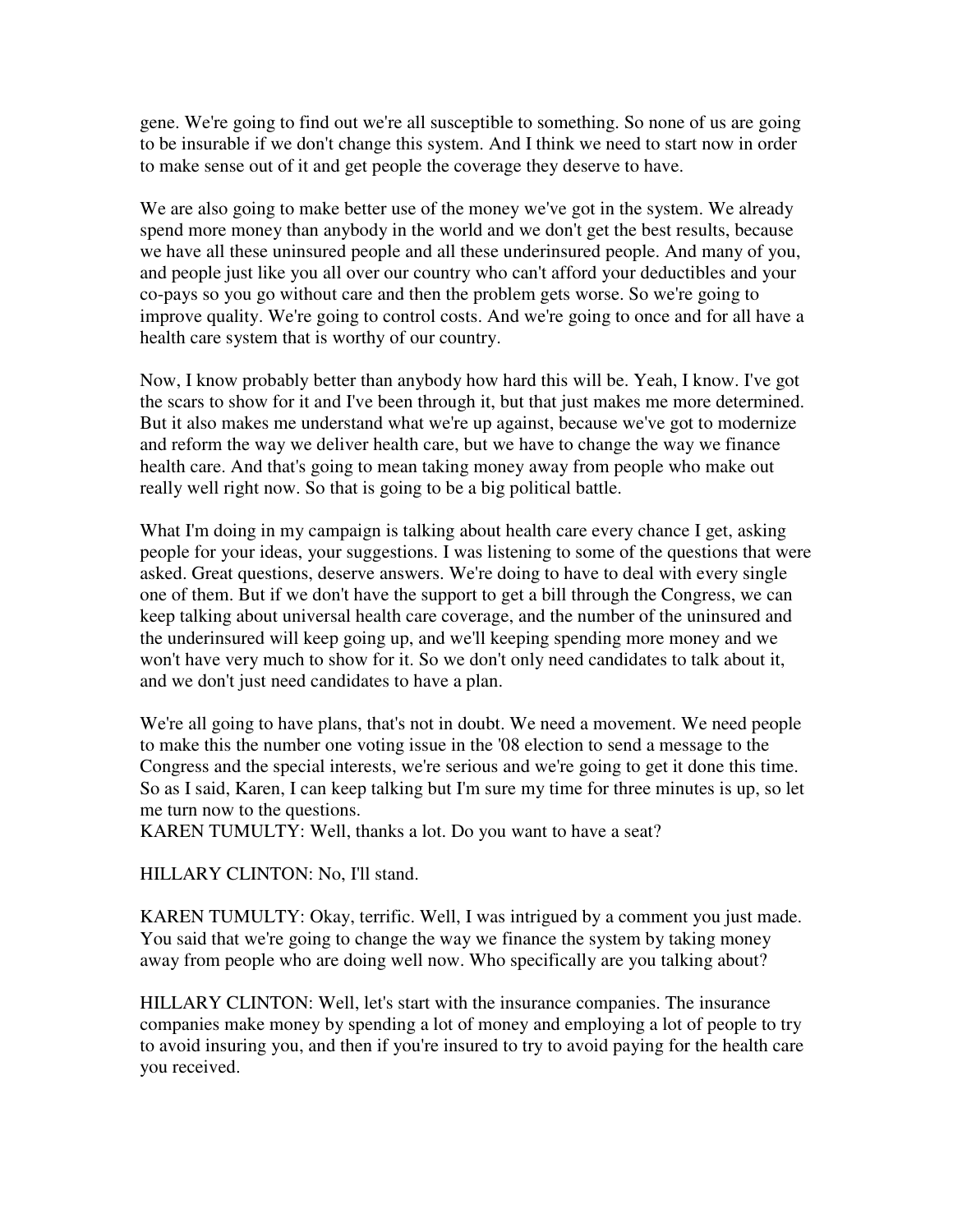gene. We're going to find out we're all susceptible to something. So none of us are going to be insurable if we don't change this system. And I think we need to start now in order to make sense out of it and get people the coverage they deserve to have.

We are also going to make better use of the money we've got in the system. We already spend more money than anybody in the world and we don't get the best results, because we have all these uninsured people and all these underinsured people. And many of you, and people just like you all over our country who can't afford your deductibles and your co-pays so you go without care and then the problem gets worse. So we're going to improve quality. We're going to control costs. And we're going to once and for all have a health care system that is worthy of our country.

Now, I know probably better than anybody how hard this will be. Yeah, I know. I've got the scars to show for it and I've been through it, but that just makes me more determined. But it also makes me understand what we're up against, because we've got to modernize and reform the way we deliver health care, but we have to change the way we finance health care. And that's going to mean taking money away from people who make out really well right now. So that is going to be a big political battle.

What I'm doing in my campaign is talking about health care every chance I get, asking people for your ideas, your suggestions. I was listening to some of the questions that were asked. Great questions, deserve answers. We're doing to have to deal with every single one of them. But if we don't have the support to get a bill through the Congress, we can keep talking about universal health care coverage, and the number of the uninsured and the underinsured will keep going up, and we'll keeping spending more money and we won't have very much to show for it. So we don't only need candidates to talk about it, and we don't just need candidates to have a plan.

We're all going to have plans, that's not in doubt. We need a movement. We need people to make this the number one voting issue in the '08 election to send a message to the Congress and the special interests, we're serious and we're going to get it done this time. So as I said, Karen, I can keep talking but I'm sure my time for three minutes is up, so let me turn now to the questions.

KAREN TUMULTY: Well, thanks a lot. Do you want to have a seat?

HILLARY CLINTON: No, I'll stand.

KAREN TUMULTY: Okay, terrific. Well, I was intrigued by a comment you just made. You said that we're going to change the way we finance the system by taking money away from people who are doing well now. Who specifically are you talking about?

HILLARY CLINTON: Well, let's start with the insurance companies. The insurance companies make money by spending a lot of money and employing a lot of people to try to avoid insuring you, and then if you're insured to try to avoid paying for the health care you received.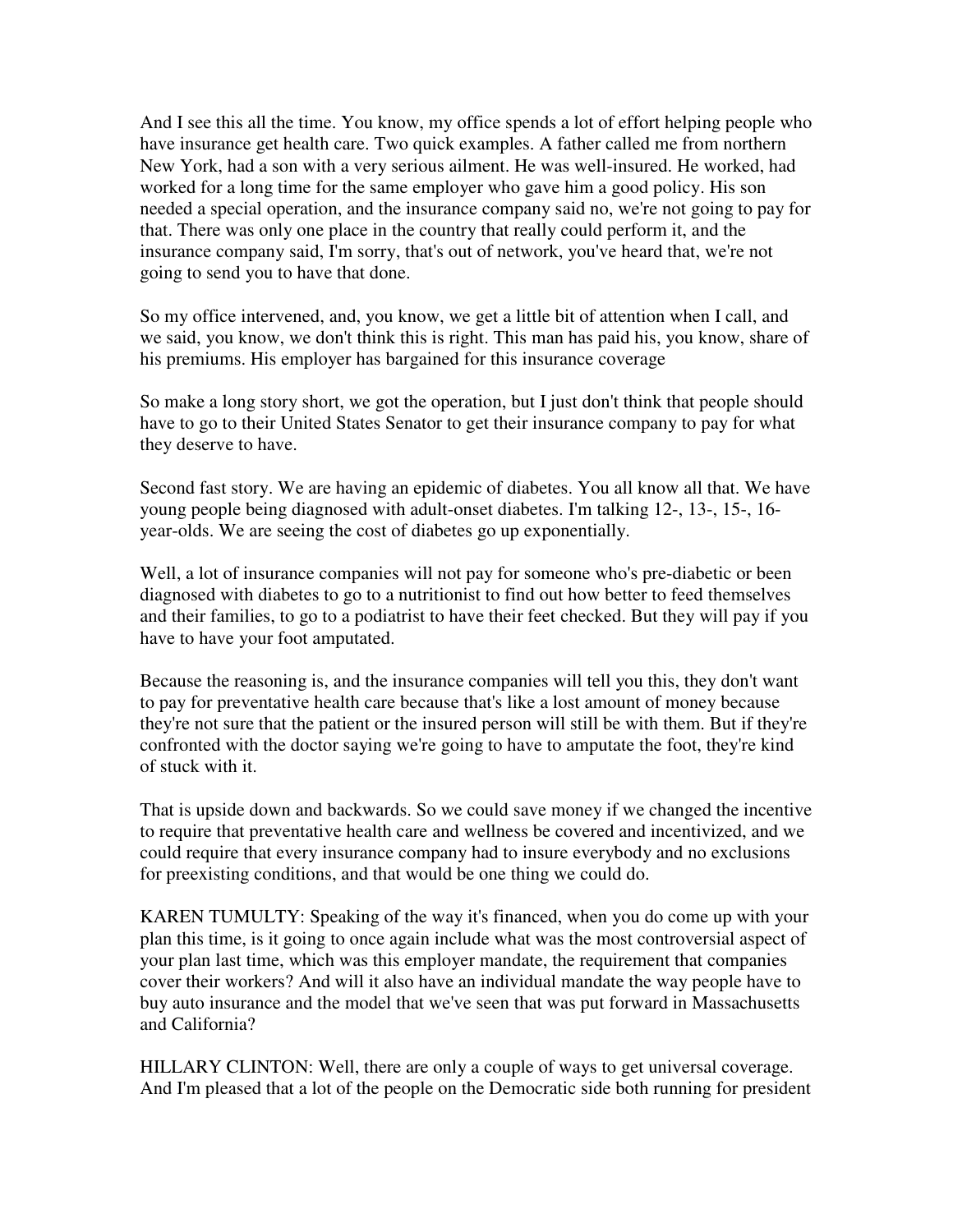And I see this all the time. You know, my office spends a lot of effort helping people who have insurance get health care. Two quick examples. A father called me from northern New York, had a son with a very serious ailment. He was well-insured. He worked, had worked for a long time for the same employer who gave him a good policy. His son needed a special operation, and the insurance company said no, we're not going to pay for that. There was only one place in the country that really could perform it, and the insurance company said, I'm sorry, that's out of network, you've heard that, we're not going to send you to have that done.

So my office intervened, and, you know, we get a little bit of attention when I call, and we said, you know, we don't think this is right. This man has paid his, you know, share of his premiums. His employer has bargained for this insurance coverage

So make a long story short, we got the operation, but I just don't think that people should have to go to their United States Senator to get their insurance company to pay for what they deserve to have.

Second fast story. We are having an epidemic of diabetes. You all know all that. We have young people being diagnosed with adult-onset diabetes. I'm talking 12-, 13-, 15-, 16 year-olds. We are seeing the cost of diabetes go up exponentially.

Well, a lot of insurance companies will not pay for someone who's pre-diabetic or been diagnosed with diabetes to go to a nutritionist to find out how better to feed themselves and their families, to go to a podiatrist to have their feet checked. But they will pay if you have to have your foot amputated.

Because the reasoning is, and the insurance companies will tell you this, they don't want to pay for preventative health care because that's like a lost amount of money because they're not sure that the patient or the insured person will still be with them. But if they're confronted with the doctor saying we're going to have to amputate the foot, they're kind of stuck with it.

That is upside down and backwards. So we could save money if we changed the incentive to require that preventative health care and wellness be covered and incentivized, and we could require that every insurance company had to insure everybody and no exclusions for preexisting conditions, and that would be one thing we could do.

KAREN TUMULTY: Speaking of the way it's financed, when you do come up with your plan this time, is it going to once again include what was the most controversial aspect of your plan last time, which was this employer mandate, the requirement that companies cover their workers? And will it also have an individual mandate the way people have to buy auto insurance and the model that we've seen that was put forward in Massachusetts and California?

HILLARY CLINTON: Well, there are only a couple of ways to get universal coverage. And I'm pleased that a lot of the people on the Democratic side both running for president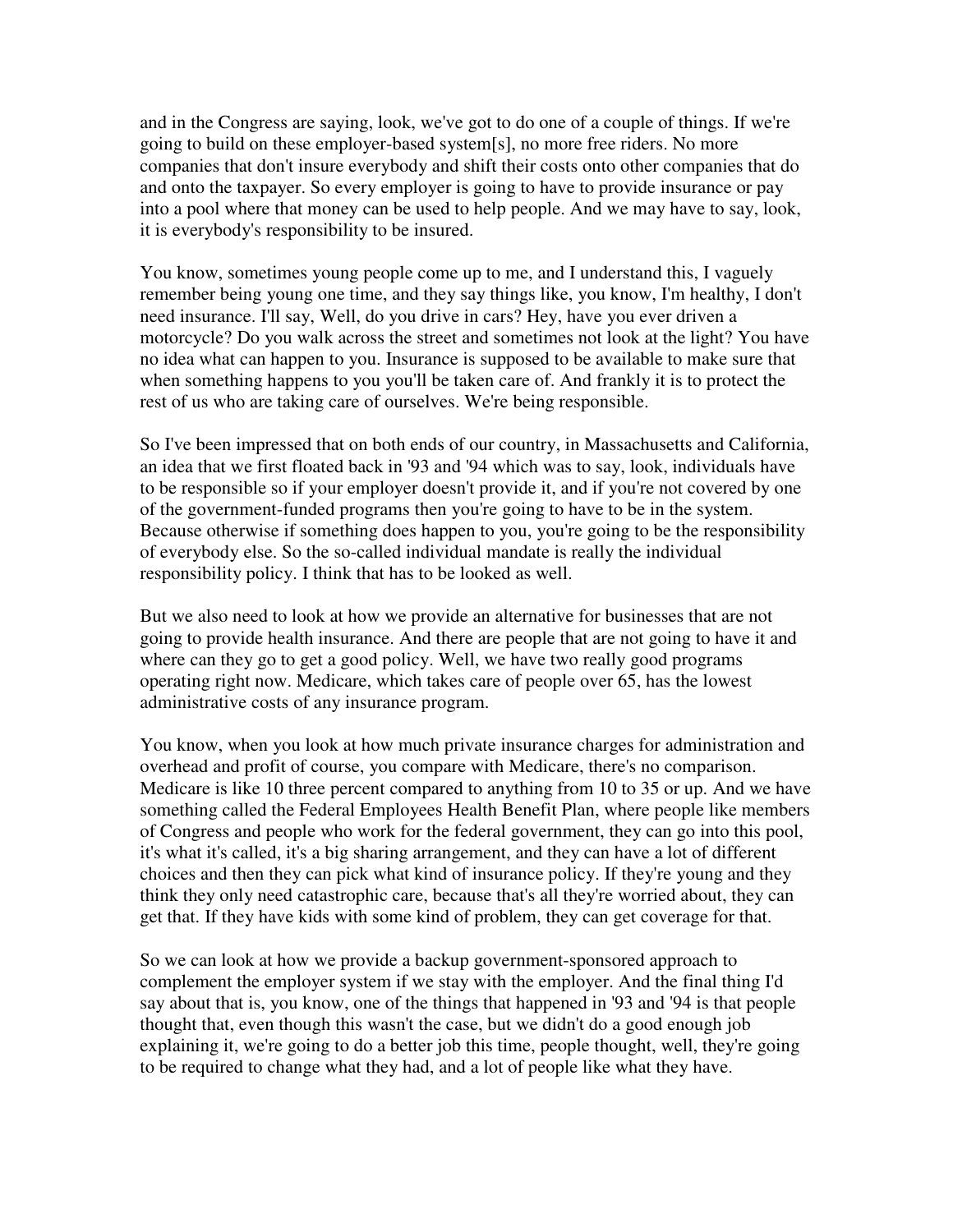and in the Congress are saying, look, we've got to do one of a couple of things. If we're going to build on these employer-based system[s], no more free riders. No more companies that don't insure everybody and shift their costs onto other companies that do and onto the taxpayer. So every employer is going to have to provide insurance or pay into a pool where that money can be used to help people. And we may have to say, look, it is everybody's responsibility to be insured.

You know, sometimes young people come up to me, and I understand this, I vaguely remember being young one time, and they say things like, you know, I'm healthy, I don't need insurance. I'll say, Well, do you drive in cars? Hey, have you ever driven a motorcycle? Do you walk across the street and sometimes not look at the light? You have no idea what can happen to you. Insurance is supposed to be available to make sure that when something happens to you you'll be taken care of. And frankly it is to protect the rest of us who are taking care of ourselves. We're being responsible.

So I've been impressed that on both ends of our country, in Massachusetts and California, an idea that we first floated back in '93 and '94 which was to say, look, individuals have to be responsible so if your employer doesn't provide it, and if you're not covered by one of the government-funded programs then you're going to have to be in the system. Because otherwise if something does happen to you, you're going to be the responsibility of everybody else. So the so-called individual mandate is really the individual responsibility policy. I think that has to be looked as well.

But we also need to look at how we provide an alternative for businesses that are not going to provide health insurance. And there are people that are not going to have it and where can they go to get a good policy. Well, we have two really good programs operating right now. Medicare, which takes care of people over 65, has the lowest administrative costs of any insurance program.

You know, when you look at how much private insurance charges for administration and overhead and profit of course, you compare with Medicare, there's no comparison. Medicare is like 10 three percent compared to anything from 10 to 35 or up. And we have something called the Federal Employees Health Benefit Plan, where people like members of Congress and people who work for the federal government, they can go into this pool, it's what it's called, it's a big sharing arrangement, and they can have a lot of different choices and then they can pick what kind of insurance policy. If they're young and they think they only need catastrophic care, because that's all they're worried about, they can get that. If they have kids with some kind of problem, they can get coverage for that.

So we can look at how we provide a backup government-sponsored approach to complement the employer system if we stay with the employer. And the final thing I'd say about that is, you know, one of the things that happened in '93 and '94 is that people thought that, even though this wasn't the case, but we didn't do a good enough job explaining it, we're going to do a better job this time, people thought, well, they're going to be required to change what they had, and a lot of people like what they have.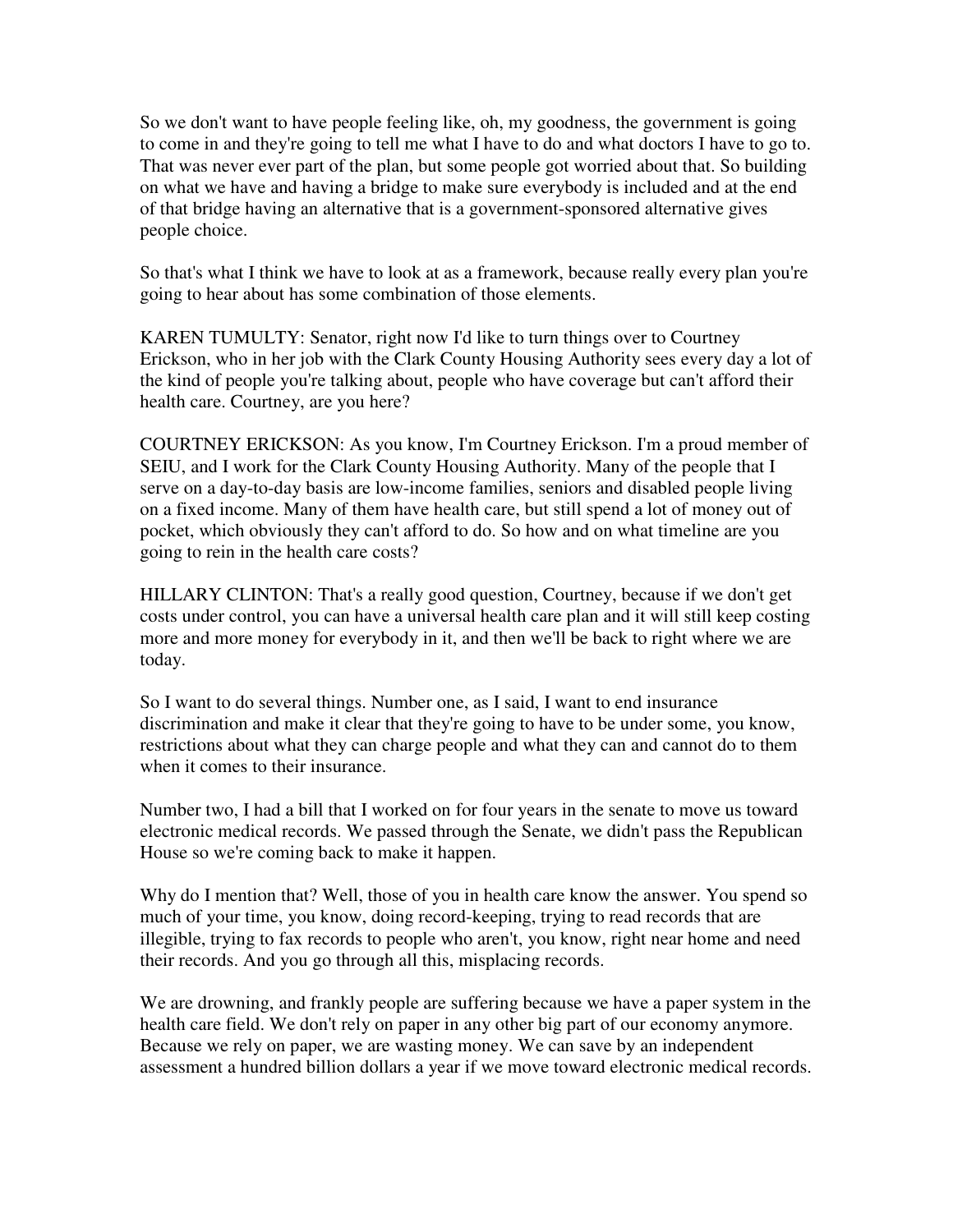So we don't want to have people feeling like, oh, my goodness, the government is going to come in and they're going to tell me what I have to do and what doctors I have to go to. That was never ever part of the plan, but some people got worried about that. So building on what we have and having a bridge to make sure everybody is included and at the end of that bridge having an alternative that is a government-sponsored alternative gives people choice.

So that's what I think we have to look at as a framework, because really every plan you're going to hear about has some combination of those elements.

KAREN TUMULTY: Senator, right now I'd like to turn things over to Courtney Erickson, who in her job with the Clark County Housing Authority sees every day a lot of the kind of people you're talking about, people who have coverage but can't afford their health care. Courtney, are you here?

COURTNEY ERICKSON: As you know, I'm Courtney Erickson. I'm a proud member of SEIU, and I work for the Clark County Housing Authority. Many of the people that I serve on a day-to-day basis are low-income families, seniors and disabled people living on a fixed income. Many of them have health care, but still spend a lot of money out of pocket, which obviously they can't afford to do. So how and on what timeline are you going to rein in the health care costs?

HILLARY CLINTON: That's a really good question, Courtney, because if we don't get costs under control, you can have a universal health care plan and it will still keep costing more and more money for everybody in it, and then we'll be back to right where we are today.

So I want to do several things. Number one, as I said, I want to end insurance discrimination and make it clear that they're going to have to be under some, you know, restrictions about what they can charge people and what they can and cannot do to them when it comes to their insurance.

Number two, I had a bill that I worked on for four years in the senate to move us toward electronic medical records. We passed through the Senate, we didn't pass the Republican House so we're coming back to make it happen.

Why do I mention that? Well, those of you in health care know the answer. You spend so much of your time, you know, doing record-keeping, trying to read records that are illegible, trying to fax records to people who aren't, you know, right near home and need their records. And you go through all this, misplacing records.

We are drowning, and frankly people are suffering because we have a paper system in the health care field. We don't rely on paper in any other big part of our economy anymore. Because we rely on paper, we are wasting money. We can save by an independent assessment a hundred billion dollars a year if we move toward electronic medical records.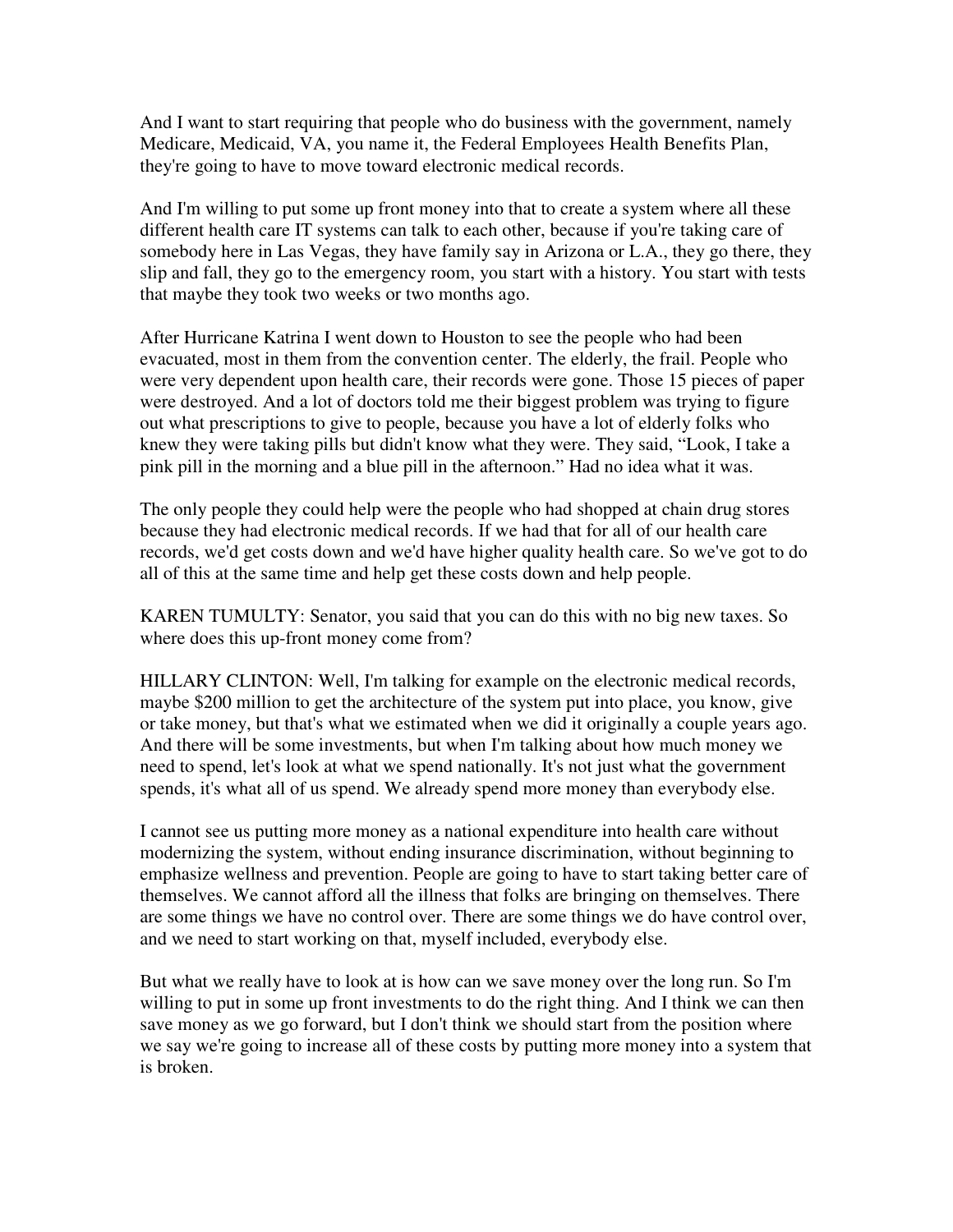And I want to start requiring that people who do business with the government, namely Medicare, Medicaid, VA, you name it, the Federal Employees Health Benefits Plan, they're going to have to move toward electronic medical records.

And I'm willing to put some up front money into that to create a system where all these different health care IT systems can talk to each other, because if you're taking care of somebody here in Las Vegas, they have family say in Arizona or L.A., they go there, they slip and fall, they go to the emergency room, you start with a history. You start with tests that maybe they took two weeks or two months ago.

After Hurricane Katrina I went down to Houston to see the people who had been evacuated, most in them from the convention center. The elderly, the frail. People who were very dependent upon health care, their records were gone. Those 15 pieces of paper were destroyed. And a lot of doctors told me their biggest problem was trying to figure out what prescriptions to give to people, because you have a lot of elderly folks who knew they were taking pills but didn't know what they were. They said, "Look, I take a pink pill in the morning and a blue pill in the afternoon." Had no idea what it was.

The only people they could help were the people who had shopped at chain drug stores because they had electronic medical records. If we had that for all of our health care records, we'd get costs down and we'd have higher quality health care. So we've got to do all of this at the same time and help get these costs down and help people.

KAREN TUMULTY: Senator, you said that you can do this with no big new taxes. So where does this up-front money come from?

HILLARY CLINTON: Well, I'm talking for example on the electronic medical records, maybe \$200 million to get the architecture of the system put into place, you know, give or take money, but that's what we estimated when we did it originally a couple years ago. And there will be some investments, but when I'm talking about how much money we need to spend, let's look at what we spend nationally. It's not just what the government spends, it's what all of us spend. We already spend more money than everybody else.

I cannot see us putting more money as a national expenditure into health care without modernizing the system, without ending insurance discrimination, without beginning to emphasize wellness and prevention. People are going to have to start taking better care of themselves. We cannot afford all the illness that folks are bringing on themselves. There are some things we have no control over. There are some things we do have control over, and we need to start working on that, myself included, everybody else.

But what we really have to look at is how can we save money over the long run. So I'm willing to put in some up front investments to do the right thing. And I think we can then save money as we go forward, but I don't think we should start from the position where we say we're going to increase all of these costs by putting more money into a system that is broken.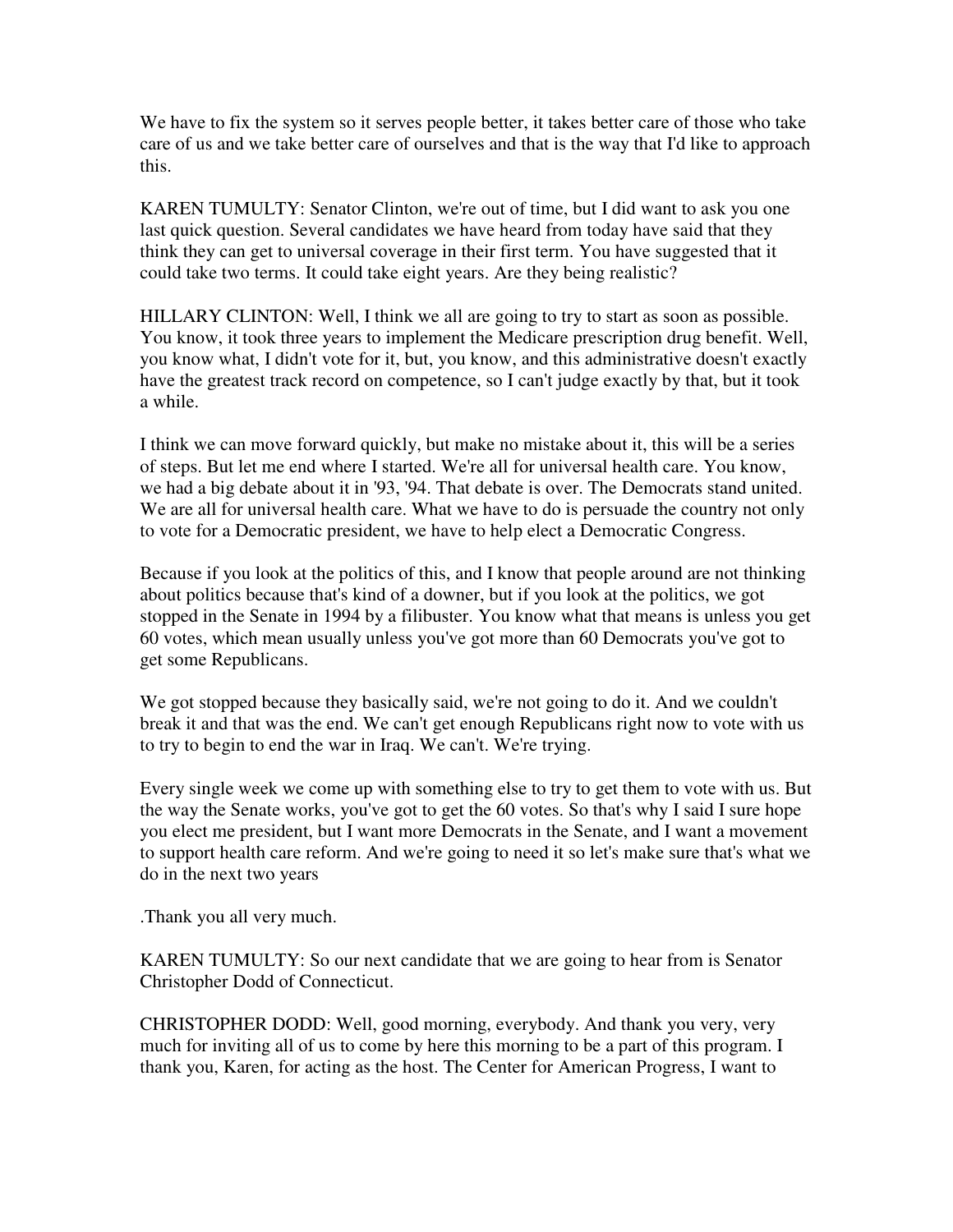We have to fix the system so it serves people better, it takes better care of those who take care of us and we take better care of ourselves and that is the way that I'd like to approach this.

KAREN TUMULTY: Senator Clinton, we're out of time, but I did want to ask you one last quick question. Several candidates we have heard from today have said that they think they can get to universal coverage in their first term. You have suggested that it could take two terms. It could take eight years. Are they being realistic?

HILLARY CLINTON: Well, I think we all are going to try to start as soon as possible. You know, it took three years to implement the Medicare prescription drug benefit. Well, you know what, I didn't vote for it, but, you know, and this administrative doesn't exactly have the greatest track record on competence, so I can't judge exactly by that, but it took a while.

I think we can move forward quickly, but make no mistake about it, this will be a series of steps. But let me end where I started. We're all for universal health care. You know, we had a big debate about it in '93, '94. That debate is over. The Democrats stand united. We are all for universal health care. What we have to do is persuade the country not only to vote for a Democratic president, we have to help elect a Democratic Congress.

Because if you look at the politics of this, and I know that people around are not thinking about politics because that's kind of a downer, but if you look at the politics, we got stopped in the Senate in 1994 by a filibuster. You know what that means is unless you get 60 votes, which mean usually unless you've got more than 60 Democrats you've got to get some Republicans.

We got stopped because they basically said, we're not going to do it. And we couldn't break it and that was the end. We can't get enough Republicans right now to vote with us to try to begin to end the war in Iraq. We can't. We're trying.

Every single week we come up with something else to try to get them to vote with us. But the way the Senate works, you've got to get the 60 votes. So that's why I said I sure hope you elect me president, but I want more Democrats in the Senate, and I want a movement to support health care reform. And we're going to need it so let's make sure that's what we do in the next two years

.Thank you all very much.

KAREN TUMULTY: So our next candidate that we are going to hear from is Senator Christopher Dodd of Connecticut.

CHRISTOPHER DODD: Well, good morning, everybody. And thank you very, very much for inviting all of us to come by here this morning to be a part of this program. I thank you, Karen, for acting as the host. The Center for American Progress, I want to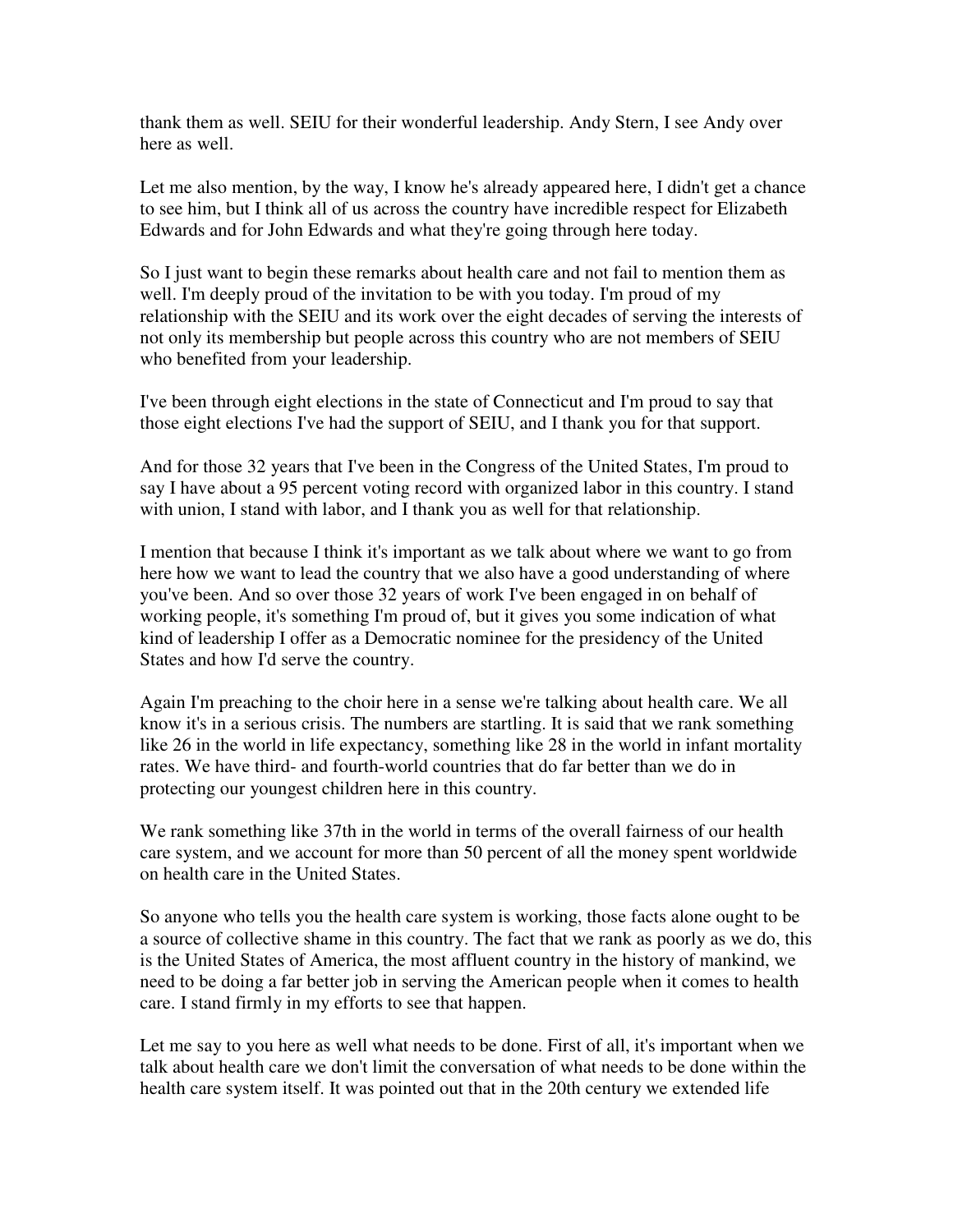thank them as well. SEIU for their wonderful leadership. Andy Stern, I see Andy over here as well.

Let me also mention, by the way, I know he's already appeared here, I didn't get a chance to see him, but I think all of us across the country have incredible respect for Elizabeth Edwards and for John Edwards and what they're going through here today.

So I just want to begin these remarks about health care and not fail to mention them as well. I'm deeply proud of the invitation to be with you today. I'm proud of my relationship with the SEIU and its work over the eight decades of serving the interests of not only its membership but people across this country who are not members of SEIU who benefited from your leadership.

I've been through eight elections in the state of Connecticut and I'm proud to say that those eight elections I've had the support of SEIU, and I thank you for that support.

And for those 32 years that I've been in the Congress of the United States, I'm proud to say I have about a 95 percent voting record with organized labor in this country. I stand with union, I stand with labor, and I thank you as well for that relationship.

I mention that because I think it's important as we talk about where we want to go from here how we want to lead the country that we also have a good understanding of where you've been. And so over those 32 years of work I've been engaged in on behalf of working people, it's something I'm proud of, but it gives you some indication of what kind of leadership I offer as a Democratic nominee for the presidency of the United States and how I'd serve the country.

Again I'm preaching to the choir here in a sense we're talking about health care. We all know it's in a serious crisis. The numbers are startling. It is said that we rank something like 26 in the world in life expectancy, something like 28 in the world in infant mortality rates. We have third- and fourth-world countries that do far better than we do in protecting our youngest children here in this country.

We rank something like 37th in the world in terms of the overall fairness of our health care system, and we account for more than 50 percent of all the money spent worldwide on health care in the United States.

So anyone who tells you the health care system is working, those facts alone ought to be a source of collective shame in this country. The fact that we rank as poorly as we do, this is the United States of America, the most affluent country in the history of mankind, we need to be doing a far better job in serving the American people when it comes to health care. I stand firmly in my efforts to see that happen.

Let me say to you here as well what needs to be done. First of all, it's important when we talk about health care we don't limit the conversation of what needs to be done within the health care system itself. It was pointed out that in the 20th century we extended life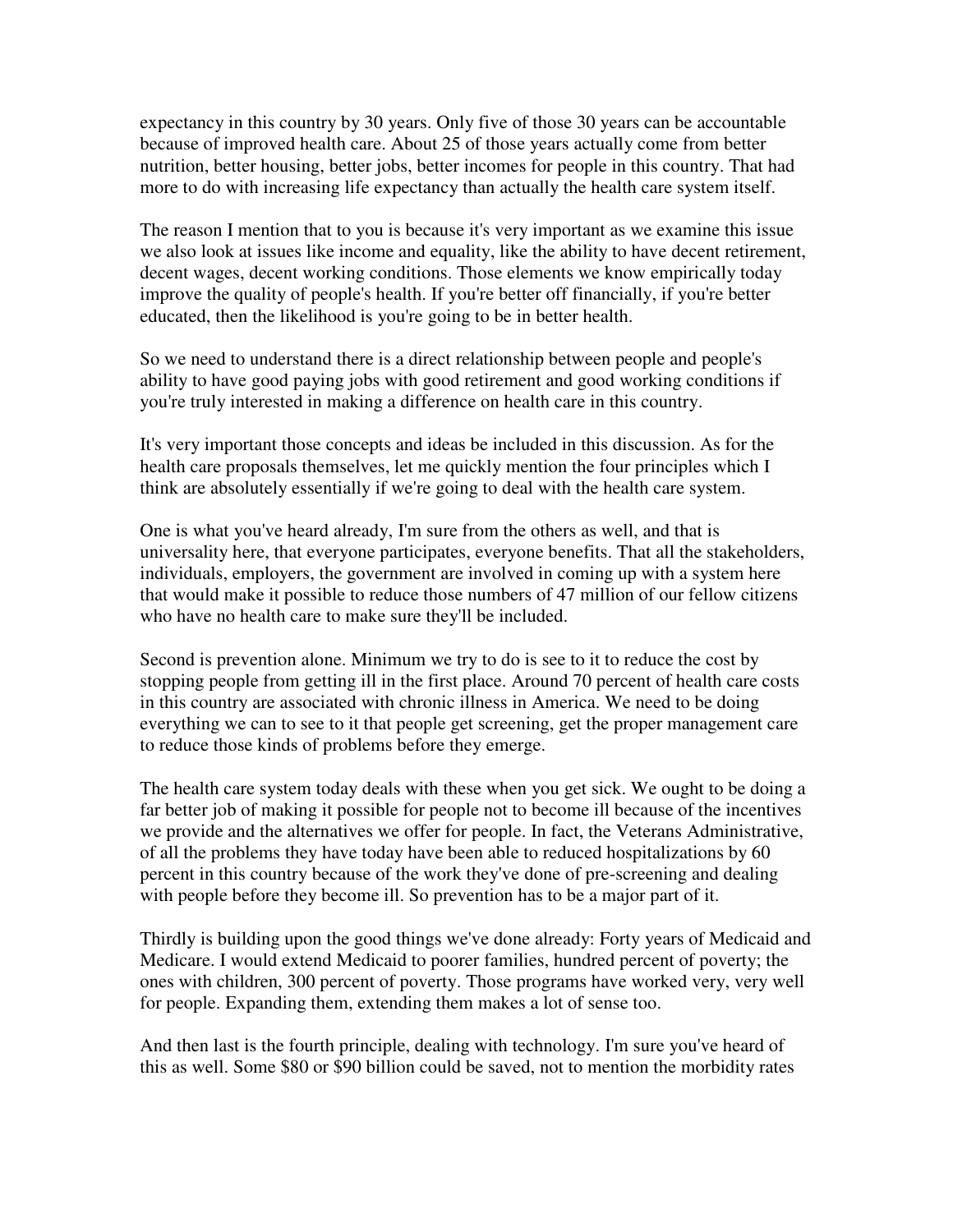expectancy in this country by 30 years. Only five of those 30 years can be accountable because of improved health care. About 25 of those years actually come from better nutrition, better housing, better jobs, better incomes for people in this country. That had more to do with increasing life expectancy than actually the health care system itself.

The reason I mention that to you is because it's very important as we examine this issue we also look at issues like income and equality, like the ability to have decent retirement, decent wages, decent working conditions. Those elements we know empirically today improve the quality of people's health. If you're better off financially, if you're better educated, then the likelihood is you're going to be in better health.

So we need to understand there is a direct relationship between people and people's ability to have good paying jobs with good retirement and good working conditions if you're truly interested in making a difference on health care in this country.

It's very important those concepts and ideas be included in this discussion. As for the health care proposals themselves, let me quickly mention the four principles which I think are absolutely essentially if we're going to deal with the health care system.

One is what you've heard already, I'm sure from the others as well, and that is universality here, that everyone participates, everyone benefits. That all the stakeholders, individuals, employers, the government are involved in coming up with a system here that would make it possible to reduce those numbers of 47 million of our fellow citizens who have no health care to make sure they'll be included.

Second is prevention alone. Minimum we try to do is see to it to reduce the cost by stopping people from getting ill in the first place. Around 70 percent of health care costs in this country are associated with chronic illness in America. We need to be doing everything we can to see to it that people get screening, get the proper management care to reduce those kinds of problems before they emerge.

The health care system today deals with these when you get sick. We ought to be doing a far better job of making it possible for people not to become ill because of the incentives we provide and the alternatives we offer for people. In fact, the Veterans Administrative, of all the problems they have today have been able to reduced hospitalizations by 60 percent in this country because of the work they've done of pre-screening and dealing with people before they become ill. So prevention has to be a major part of it.

Thirdly is building upon the good things we've done already: Forty years of Medicaid and Medicare. I would extend Medicaid to poorer families, hundred percent of poverty; the ones with children, 300 percent of poverty. Those programs have worked very, very well for people. Expanding them, extending them makes a lot of sense too.

And then last is the fourth principle, dealing with technology. I'm sure you've heard of this as well. Some \$80 or \$90 billion could be saved, not to mention the morbidity rates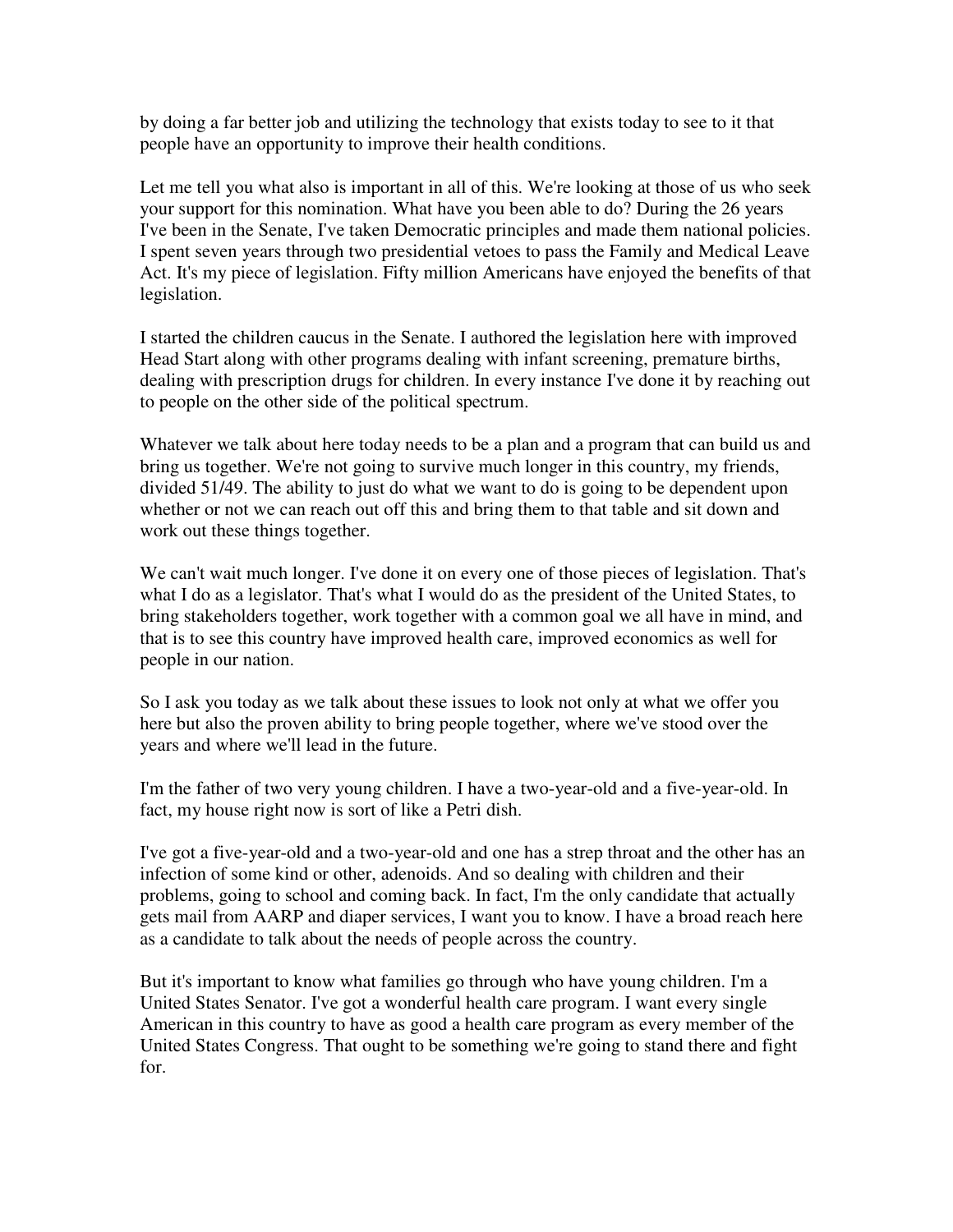by doing a far better job and utilizing the technology that exists today to see to it that people have an opportunity to improve their health conditions.

Let me tell you what also is important in all of this. We're looking at those of us who seek your support for this nomination. What have you been able to do? During the 26 years I've been in the Senate, I've taken Democratic principles and made them national policies. I spent seven years through two presidential vetoes to pass the Family and Medical Leave Act. It's my piece of legislation. Fifty million Americans have enjoyed the benefits of that legislation.

I started the children caucus in the Senate. I authored the legislation here with improved Head Start along with other programs dealing with infant screening, premature births, dealing with prescription drugs for children. In every instance I've done it by reaching out to people on the other side of the political spectrum.

Whatever we talk about here today needs to be a plan and a program that can build us and bring us together. We're not going to survive much longer in this country, my friends, divided 51/49. The ability to just do what we want to do is going to be dependent upon whether or not we can reach out off this and bring them to that table and sit down and work out these things together.

We can't wait much longer. I've done it on every one of those pieces of legislation. That's what I do as a legislator. That's what I would do as the president of the United States, to bring stakeholders together, work together with a common goal we all have in mind, and that is to see this country have improved health care, improved economics as well for people in our nation.

So I ask you today as we talk about these issues to look not only at what we offer you here but also the proven ability to bring people together, where we've stood over the years and where we'll lead in the future.

I'm the father of two very young children. I have a two-year-old and a five-year-old. In fact, my house right now is sort of like a Petri dish.

I've got a five-year-old and a two-year-old and one has a strep throat and the other has an infection of some kind or other, adenoids. And so dealing with children and their problems, going to school and coming back. In fact, I'm the only candidate that actually gets mail from AARP and diaper services, I want you to know. I have a broad reach here as a candidate to talk about the needs of people across the country.

But it's important to know what families go through who have young children. I'm a United States Senator. I've got a wonderful health care program. I want every single American in this country to have as good a health care program as every member of the United States Congress. That ought to be something we're going to stand there and fight for.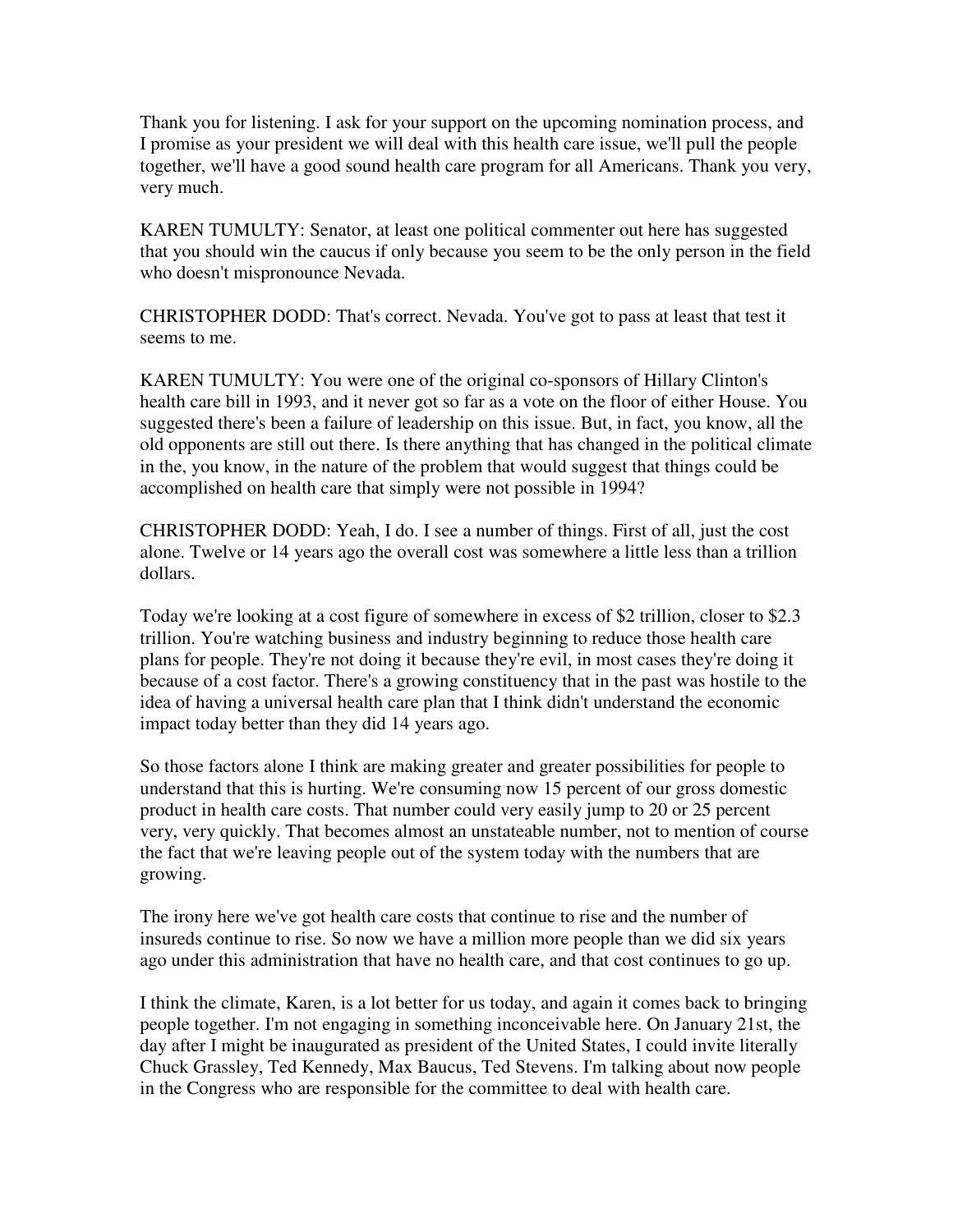Thank you for listening. I ask for your support on the upcoming nomination process, and I promise as your president we will deal with this health care issue, we'll pull the people together, we'll have a good sound health care program for all Americans. Thank you very, very much.

KAREN TUMULTY: Senator, at least one political commenter out here has suggested that you should win the caucus if only because you seem to be the only person in the field who doesn't mispronounce Nevada.

CHRISTOPHER DODD: That's correct. Nevada. You've got to pass at least that test it seems to me.

KAREN TUMULTY: You were one of the original co-sponsors of Hillary Clinton's health care bill in 1993, and it never got so far as a vote on the floor of either House. You suggested there's been a failure of leadership on this issue. But, in fact, you know, all the old opponents are still out there. Is there anything that has changed in the political climate in the, you know, in the nature of the problem that would suggest that things could be accomplished on health care that simply were not possible in 1994?

CHRISTOPHER DODD: Yeah, I do. I see a number of things. First of all, just the cost alone. Twelve or 14 years ago the overall cost was somewhere a little less than a trillion dollars.

Today we're looking at a cost figure of somewhere in excess of \$2 trillion, closer to \$2.3 trillion. You're watching business and industry beginning to reduce those health care plans for people. They're not doing it because they're evil, in most cases they're doing it because of a cost factor. There's a growing constituency that in the past was hostile to the idea of having a universal health care plan that I think didn't understand the economic impact today better than they did 14 years ago.

So those factors alone I think are making greater and greater possibilities for people to understand that this is hurting. We're consuming now 15 percent of our gross domestic product in health care costs. That number could very easily jump to 20 or 25 percent very, very quickly. That becomes almost an unstateable number, not to mention of course the fact that we're leaving people out of the system today with the numbers that are growing.

The irony here we've got health care costs that continue to rise and the number of insureds continue to rise. So now we have a million more people than we did six years ago under this administration that have no health care, and that cost continues to go up.

I think the climate, Karen, is a lot better for us today, and again it comes back to bringing people together. I'm not engaging in something inconceivable here. On January 21st, the day after I might be inaugurated as president of the United States, I could invite literally Chuck Grassley, Ted Kennedy, Max Baucus, Ted Stevens. I'm talking about now people in the Congress who are responsible for the committee to deal with health care.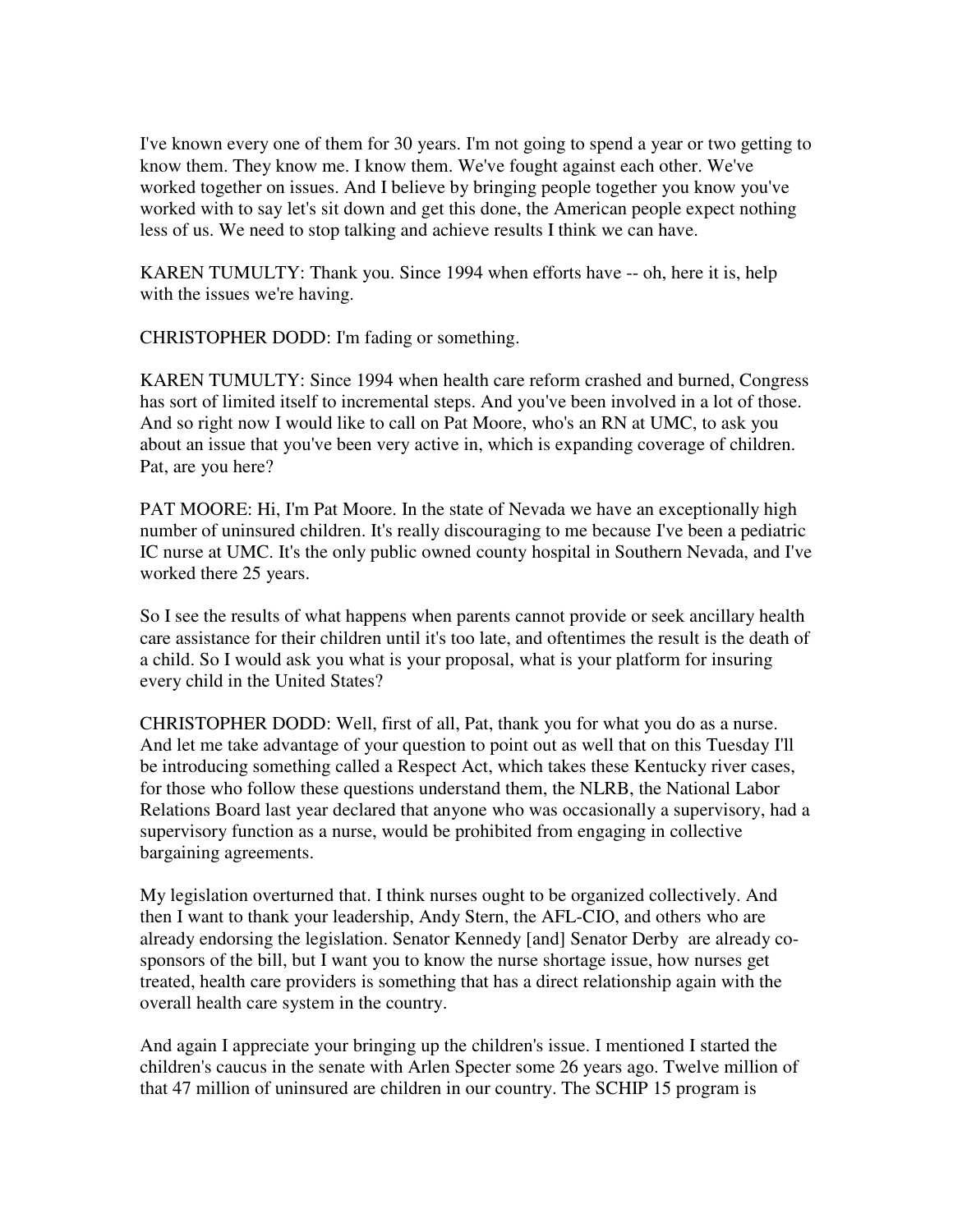I've known every one of them for 30 years. I'm not going to spend a year or two getting to know them. They know me. I know them. We've fought against each other. We've worked together on issues. And I believe by bringing people together you know you've worked with to say let's sit down and get this done, the American people expect nothing less of us. We need to stop talking and achieve results I think we can have.

KAREN TUMULTY: Thank you. Since 1994 when efforts have -- oh, here it is, help with the issues we're having.

CHRISTOPHER DODD: I'm fading or something.

KAREN TUMULTY: Since 1994 when health care reform crashed and burned, Congress has sort of limited itself to incremental steps. And you've been involved in a lot of those. And so right now I would like to call on Pat Moore, who's an RN at UMC, to ask you about an issue that you've been very active in, which is expanding coverage of children. Pat, are you here?

PAT MOORE: Hi, I'm Pat Moore. In the state of Nevada we have an exceptionally high number of uninsured children. It's really discouraging to me because I've been a pediatric IC nurse at UMC. It's the only public owned county hospital in Southern Nevada, and I've worked there 25 years.

So I see the results of what happens when parents cannot provide or seek ancillary health care assistance for their children until it's too late, and oftentimes the result is the death of a child. So I would ask you what is your proposal, what is your platform for insuring every child in the United States?

CHRISTOPHER DODD: Well, first of all, Pat, thank you for what you do as a nurse. And let me take advantage of your question to point out as well that on this Tuesday I'll be introducing something called a Respect Act, which takes these Kentucky river cases, for those who follow these questions understand them, the NLRB, the National Labor Relations Board last year declared that anyone who was occasionally a supervisory, had a supervisory function as a nurse, would be prohibited from engaging in collective bargaining agreements.

My legislation overturned that. I think nurses ought to be organized collectively. And then I want to thank your leadership, Andy Stern, the AFL-CIO, and others who are already endorsing the legislation. Senator Kennedy [and] Senator Derby are already cosponsors of the bill, but I want you to know the nurse shortage issue, how nurses get treated, health care providers is something that has a direct relationship again with the overall health care system in the country.

And again I appreciate your bringing up the children's issue. I mentioned I started the children's caucus in the senate with Arlen Specter some 26 years ago. Twelve million of that 47 million of uninsured are children in our country. The SCHIP 15 program is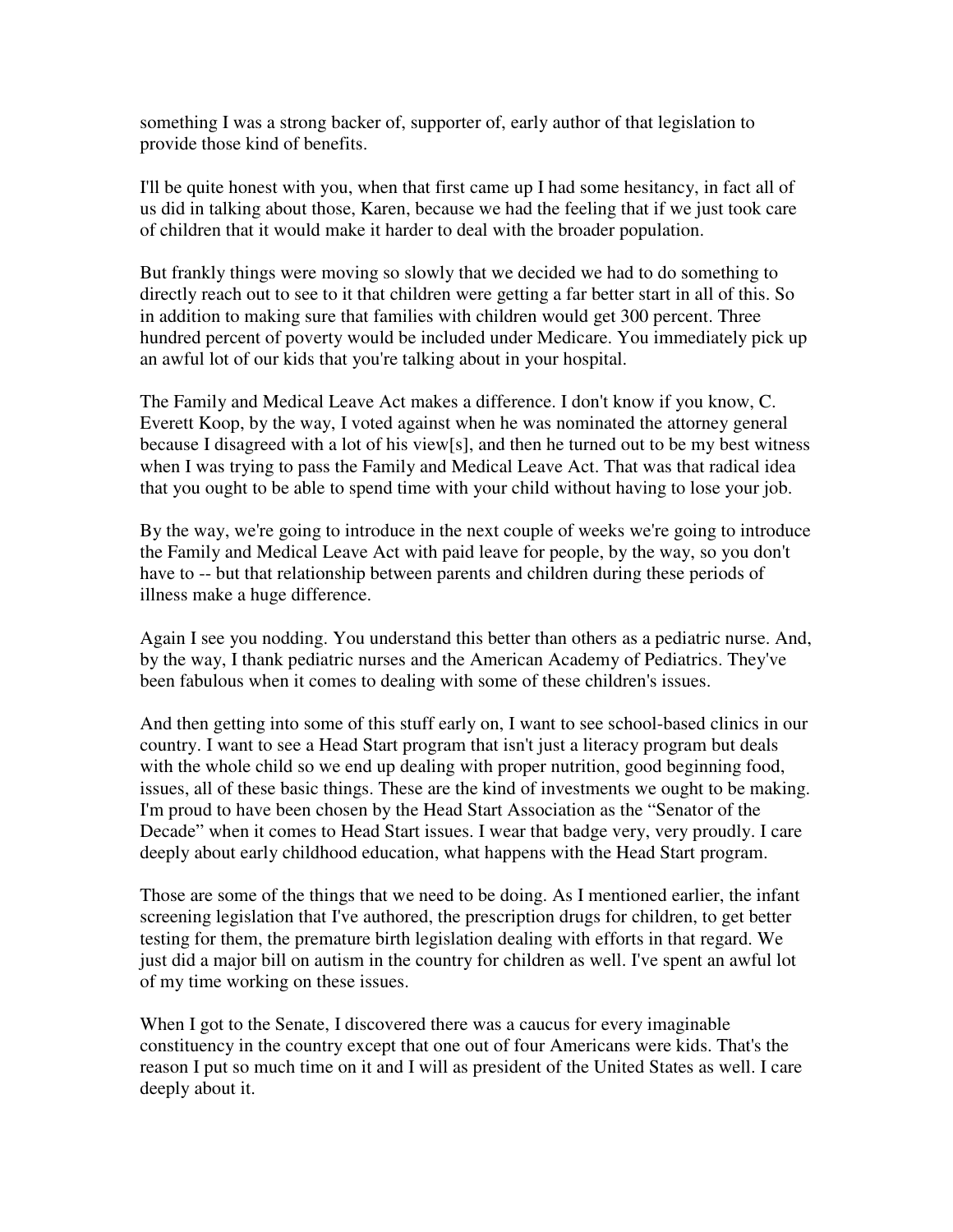something I was a strong backer of, supporter of, early author of that legislation to provide those kind of benefits.

I'll be quite honest with you, when that first came up I had some hesitancy, in fact all of us did in talking about those, Karen, because we had the feeling that if we just took care of children that it would make it harder to deal with the broader population.

But frankly things were moving so slowly that we decided we had to do something to directly reach out to see to it that children were getting a far better start in all of this. So in addition to making sure that families with children would get 300 percent. Three hundred percent of poverty would be included under Medicare. You immediately pick up an awful lot of our kids that you're talking about in your hospital.

The Family and Medical Leave Act makes a difference. I don't know if you know, C. Everett Koop, by the way, I voted against when he was nominated the attorney general because I disagreed with a lot of his view[s], and then he turned out to be my best witness when I was trying to pass the Family and Medical Leave Act. That was that radical idea that you ought to be able to spend time with your child without having to lose your job.

By the way, we're going to introduce in the next couple of weeks we're going to introduce the Family and Medical Leave Act with paid leave for people, by the way, so you don't have to -- but that relationship between parents and children during these periods of illness make a huge difference.

Again I see you nodding. You understand this better than others as a pediatric nurse. And, by the way, I thank pediatric nurses and the American Academy of Pediatrics. They've been fabulous when it comes to dealing with some of these children's issues.

And then getting into some of this stuff early on, I want to see school-based clinics in our country. I want to see a Head Start program that isn't just a literacy program but deals with the whole child so we end up dealing with proper nutrition, good beginning food, issues, all of these basic things. These are the kind of investments we ought to be making. I'm proud to have been chosen by the Head Start Association as the "Senator of the Decade" when it comes to Head Start issues. I wear that badge very, very proudly. I care deeply about early childhood education, what happens with the Head Start program.

Those are some of the things that we need to be doing. As I mentioned earlier, the infant screening legislation that I've authored, the prescription drugs for children, to get better testing for them, the premature birth legislation dealing with efforts in that regard. We just did a major bill on autism in the country for children as well. I've spent an awful lot of my time working on these issues.

When I got to the Senate, I discovered there was a caucus for every imaginable constituency in the country except that one out of four Americans were kids. That's the reason I put so much time on it and I will as president of the United States as well. I care deeply about it.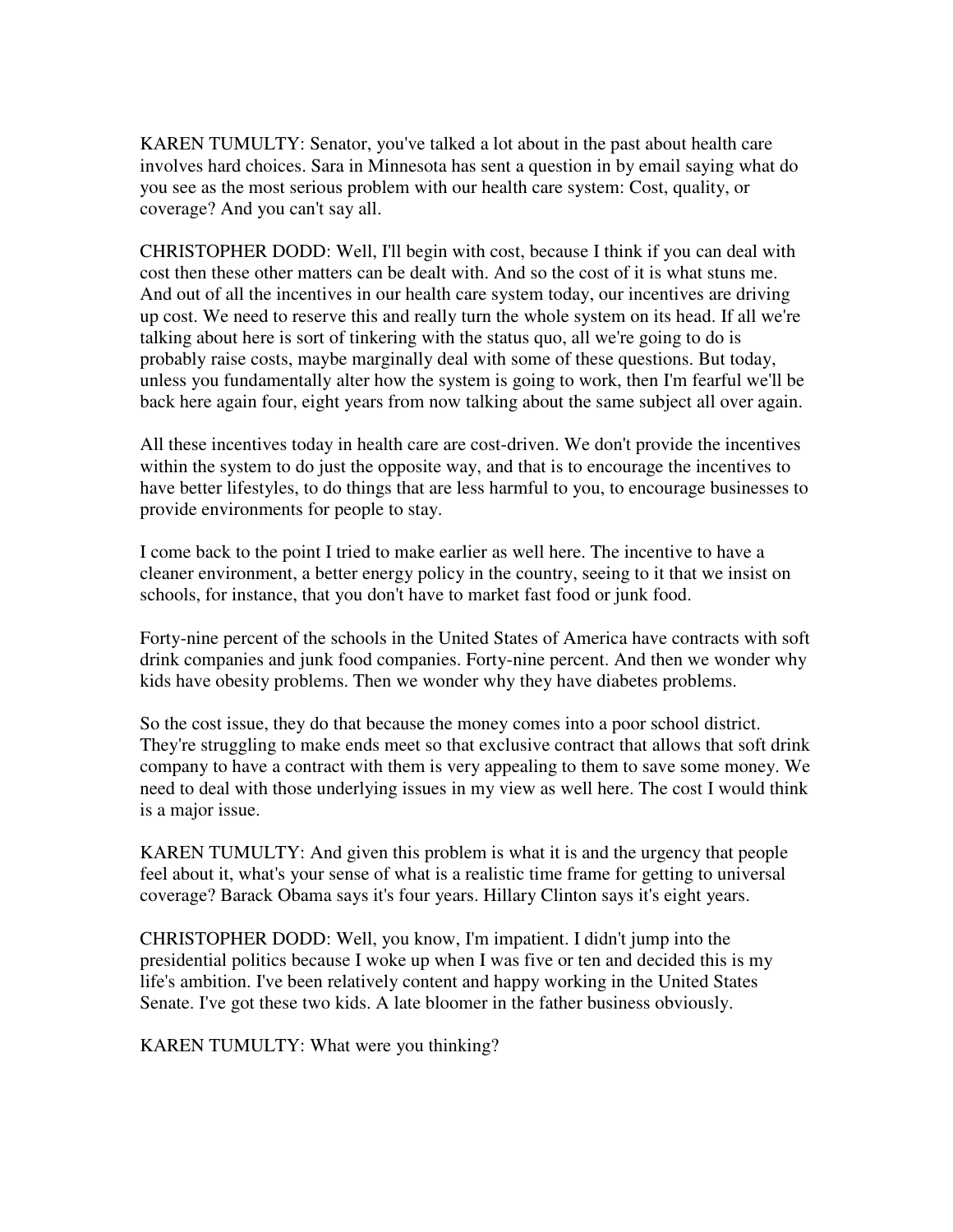KAREN TUMULTY: Senator, you've talked a lot about in the past about health care involves hard choices. Sara in Minnesota has sent a question in by email saying what do you see as the most serious problem with our health care system: Cost, quality, or coverage? And you can't say all.

CHRISTOPHER DODD: Well, I'll begin with cost, because I think if you can deal with cost then these other matters can be dealt with. And so the cost of it is what stuns me. And out of all the incentives in our health care system today, our incentives are driving up cost. We need to reserve this and really turn the whole system on its head. If all we're talking about here is sort of tinkering with the status quo, all we're going to do is probably raise costs, maybe marginally deal with some of these questions. But today, unless you fundamentally alter how the system is going to work, then I'm fearful we'll be back here again four, eight years from now talking about the same subject all over again.

All these incentives today in health care are cost-driven. We don't provide the incentives within the system to do just the opposite way, and that is to encourage the incentives to have better lifestyles, to do things that are less harmful to you, to encourage businesses to provide environments for people to stay.

I come back to the point I tried to make earlier as well here. The incentive to have a cleaner environment, a better energy policy in the country, seeing to it that we insist on schools, for instance, that you don't have to market fast food or junk food.

Forty-nine percent of the schools in the United States of America have contracts with soft drink companies and junk food companies. Forty-nine percent. And then we wonder why kids have obesity problems. Then we wonder why they have diabetes problems.

So the cost issue, they do that because the money comes into a poor school district. They're struggling to make ends meet so that exclusive contract that allows that soft drink company to have a contract with them is very appealing to them to save some money. We need to deal with those underlying issues in my view as well here. The cost I would think is a major issue.

KAREN TUMULTY: And given this problem is what it is and the urgency that people feel about it, what's your sense of what is a realistic time frame for getting to universal coverage? Barack Obama says it's four years. Hillary Clinton says it's eight years.

CHRISTOPHER DODD: Well, you know, I'm impatient. I didn't jump into the presidential politics because I woke up when I was five or ten and decided this is my life's ambition. I've been relatively content and happy working in the United States Senate. I've got these two kids. A late bloomer in the father business obviously.

KAREN TUMULTY: What were you thinking?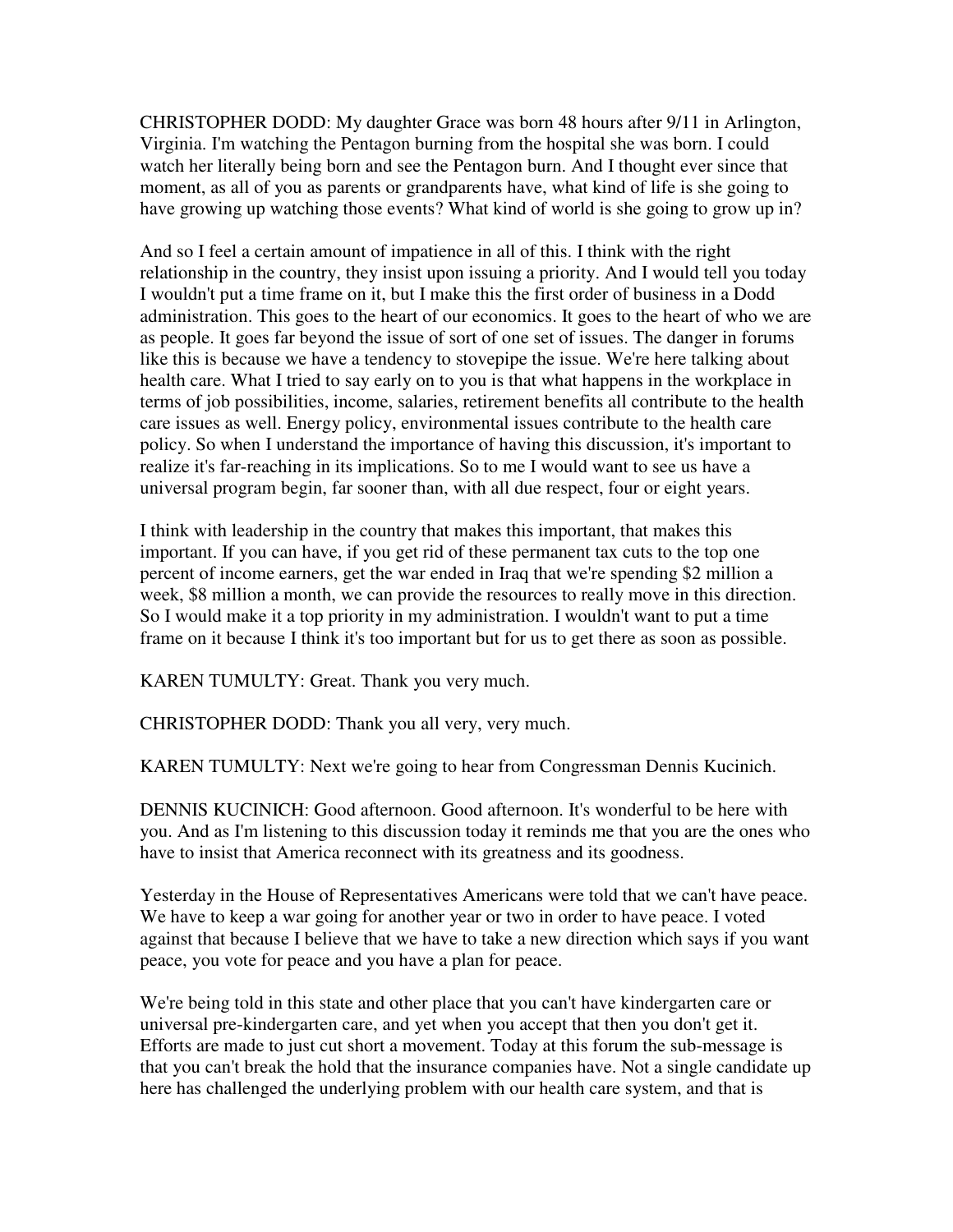CHRISTOPHER DODD: My daughter Grace was born 48 hours after 9/11 in Arlington, Virginia. I'm watching the Pentagon burning from the hospital she was born. I could watch her literally being born and see the Pentagon burn. And I thought ever since that moment, as all of you as parents or grandparents have, what kind of life is she going to have growing up watching those events? What kind of world is she going to grow up in?

And so I feel a certain amount of impatience in all of this. I think with the right relationship in the country, they insist upon issuing a priority. And I would tell you today I wouldn't put a time frame on it, but I make this the first order of business in a Dodd administration. This goes to the heart of our economics. It goes to the heart of who we are as people. It goes far beyond the issue of sort of one set of issues. The danger in forums like this is because we have a tendency to stovepipe the issue. We're here talking about health care. What I tried to say early on to you is that what happens in the workplace in terms of job possibilities, income, salaries, retirement benefits all contribute to the health care issues as well. Energy policy, environmental issues contribute to the health care policy. So when I understand the importance of having this discussion, it's important to realize it's far-reaching in its implications. So to me I would want to see us have a universal program begin, far sooner than, with all due respect, four or eight years.

I think with leadership in the country that makes this important, that makes this important. If you can have, if you get rid of these permanent tax cuts to the top one percent of income earners, get the war ended in Iraq that we're spending \$2 million a week, \$8 million a month, we can provide the resources to really move in this direction. So I would make it a top priority in my administration. I wouldn't want to put a time frame on it because I think it's too important but for us to get there as soon as possible.

KAREN TUMULTY: Great. Thank you very much.

CHRISTOPHER DODD: Thank you all very, very much.

KAREN TUMULTY: Next we're going to hear from Congressman Dennis Kucinich.

DENNIS KUCINICH: Good afternoon. Good afternoon. It's wonderful to be here with you. And as I'm listening to this discussion today it reminds me that you are the ones who have to insist that America reconnect with its greatness and its goodness.

Yesterday in the House of Representatives Americans were told that we can't have peace. We have to keep a war going for another year or two in order to have peace. I voted against that because I believe that we have to take a new direction which says if you want peace, you vote for peace and you have a plan for peace.

We're being told in this state and other place that you can't have kindergarten care or universal pre-kindergarten care, and yet when you accept that then you don't get it. Efforts are made to just cut short a movement. Today at this forum the sub-message is that you can't break the hold that the insurance companies have. Not a single candidate up here has challenged the underlying problem with our health care system, and that is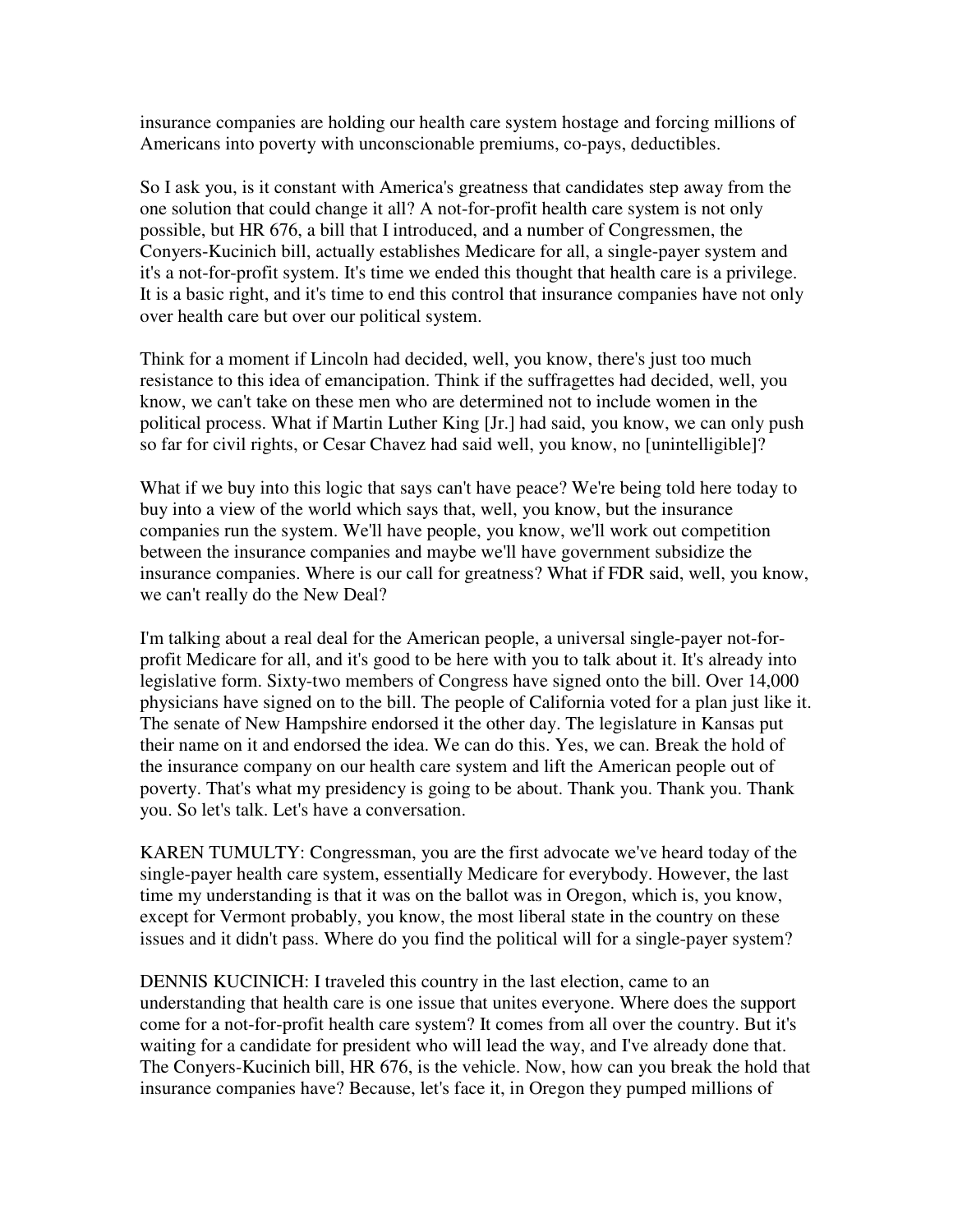insurance companies are holding our health care system hostage and forcing millions of Americans into poverty with unconscionable premiums, co-pays, deductibles.

So I ask you, is it constant with America's greatness that candidates step away from the one solution that could change it all? A not-for-profit health care system is not only possible, but HR 676, a bill that I introduced, and a number of Congressmen, the Conyers-Kucinich bill, actually establishes Medicare for all, a single-payer system and it's a not-for-profit system. It's time we ended this thought that health care is a privilege. It is a basic right, and it's time to end this control that insurance companies have not only over health care but over our political system.

Think for a moment if Lincoln had decided, well, you know, there's just too much resistance to this idea of emancipation. Think if the suffragettes had decided, well, you know, we can't take on these men who are determined not to include women in the political process. What if Martin Luther King [Jr.] had said, you know, we can only push so far for civil rights, or Cesar Chavez had said well, you know, no [unintelligible]?

What if we buy into this logic that says can't have peace? We're being told here today to buy into a view of the world which says that, well, you know, but the insurance companies run the system. We'll have people, you know, we'll work out competition between the insurance companies and maybe we'll have government subsidize the insurance companies. Where is our call for greatness? What if FDR said, well, you know, we can't really do the New Deal?

I'm talking about a real deal for the American people, a universal single-payer not-forprofit Medicare for all, and it's good to be here with you to talk about it. It's already into legislative form. Sixty-two members of Congress have signed onto the bill. Over 14,000 physicians have signed on to the bill. The people of California voted for a plan just like it. The senate of New Hampshire endorsed it the other day. The legislature in Kansas put their name on it and endorsed the idea. We can do this. Yes, we can. Break the hold of the insurance company on our health care system and lift the American people out of poverty. That's what my presidency is going to be about. Thank you. Thank you. Thank you. So let's talk. Let's have a conversation.

KAREN TUMULTY: Congressman, you are the first advocate we've heard today of the single-payer health care system, essentially Medicare for everybody. However, the last time my understanding is that it was on the ballot was in Oregon, which is, you know, except for Vermont probably, you know, the most liberal state in the country on these issues and it didn't pass. Where do you find the political will for a single-payer system?

DENNIS KUCINICH: I traveled this country in the last election, came to an understanding that health care is one issue that unites everyone. Where does the support come for a not-for-profit health care system? It comes from all over the country. But it's waiting for a candidate for president who will lead the way, and I've already done that. The Conyers-Kucinich bill, HR 676, is the vehicle. Now, how can you break the hold that insurance companies have? Because, let's face it, in Oregon they pumped millions of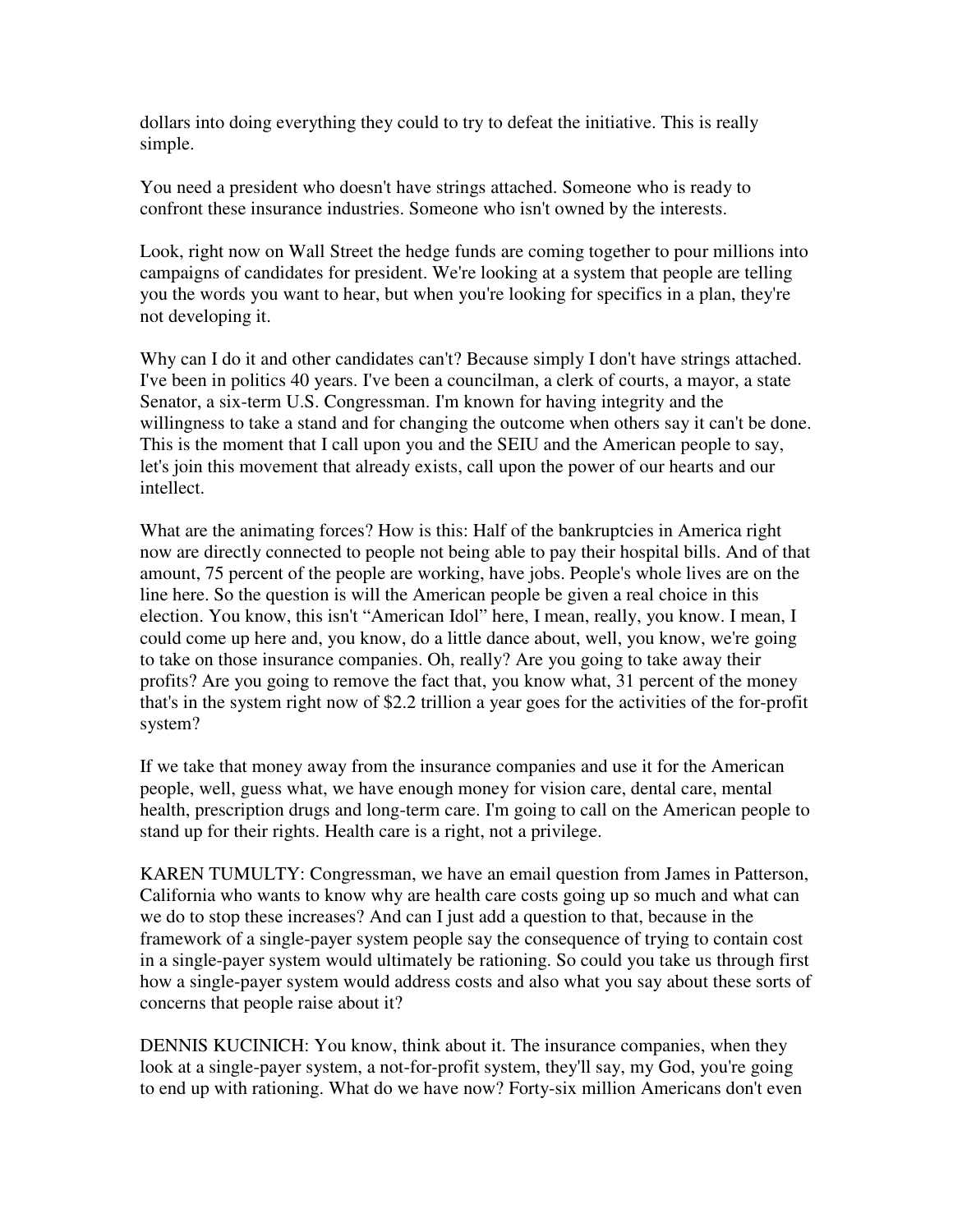dollars into doing everything they could to try to defeat the initiative. This is really simple.

You need a president who doesn't have strings attached. Someone who is ready to confront these insurance industries. Someone who isn't owned by the interests.

Look, right now on Wall Street the hedge funds are coming together to pour millions into campaigns of candidates for president. We're looking at a system that people are telling you the words you want to hear, but when you're looking for specifics in a plan, they're not developing it.

Why can I do it and other candidates can't? Because simply I don't have strings attached. I've been in politics 40 years. I've been a councilman, a clerk of courts, a mayor, a state Senator, a six-term U.S. Congressman. I'm known for having integrity and the willingness to take a stand and for changing the outcome when others say it can't be done. This is the moment that I call upon you and the SEIU and the American people to say, let's join this movement that already exists, call upon the power of our hearts and our intellect.

What are the animating forces? How is this: Half of the bankruptcies in America right now are directly connected to people not being able to pay their hospital bills. And of that amount, 75 percent of the people are working, have jobs. People's whole lives are on the line here. So the question is will the American people be given a real choice in this election. You know, this isn't "American Idol" here, I mean, really, you know. I mean, I could come up here and, you know, do a little dance about, well, you know, we're going to take on those insurance companies. Oh, really? Are you going to take away their profits? Are you going to remove the fact that, you know what, 31 percent of the money that's in the system right now of \$2.2 trillion a year goes for the activities of the for-profit system?

If we take that money away from the insurance companies and use it for the American people, well, guess what, we have enough money for vision care, dental care, mental health, prescription drugs and long-term care. I'm going to call on the American people to stand up for their rights. Health care is a right, not a privilege.

KAREN TUMULTY: Congressman, we have an email question from James in Patterson, California who wants to know why are health care costs going up so much and what can we do to stop these increases? And can I just add a question to that, because in the framework of a single-payer system people say the consequence of trying to contain cost in a single-payer system would ultimately be rationing. So could you take us through first how a single-payer system would address costs and also what you say about these sorts of concerns that people raise about it?

DENNIS KUCINICH: You know, think about it. The insurance companies, when they look at a single-payer system, a not-for-profit system, they'll say, my God, you're going to end up with rationing. What do we have now? Forty-six million Americans don't even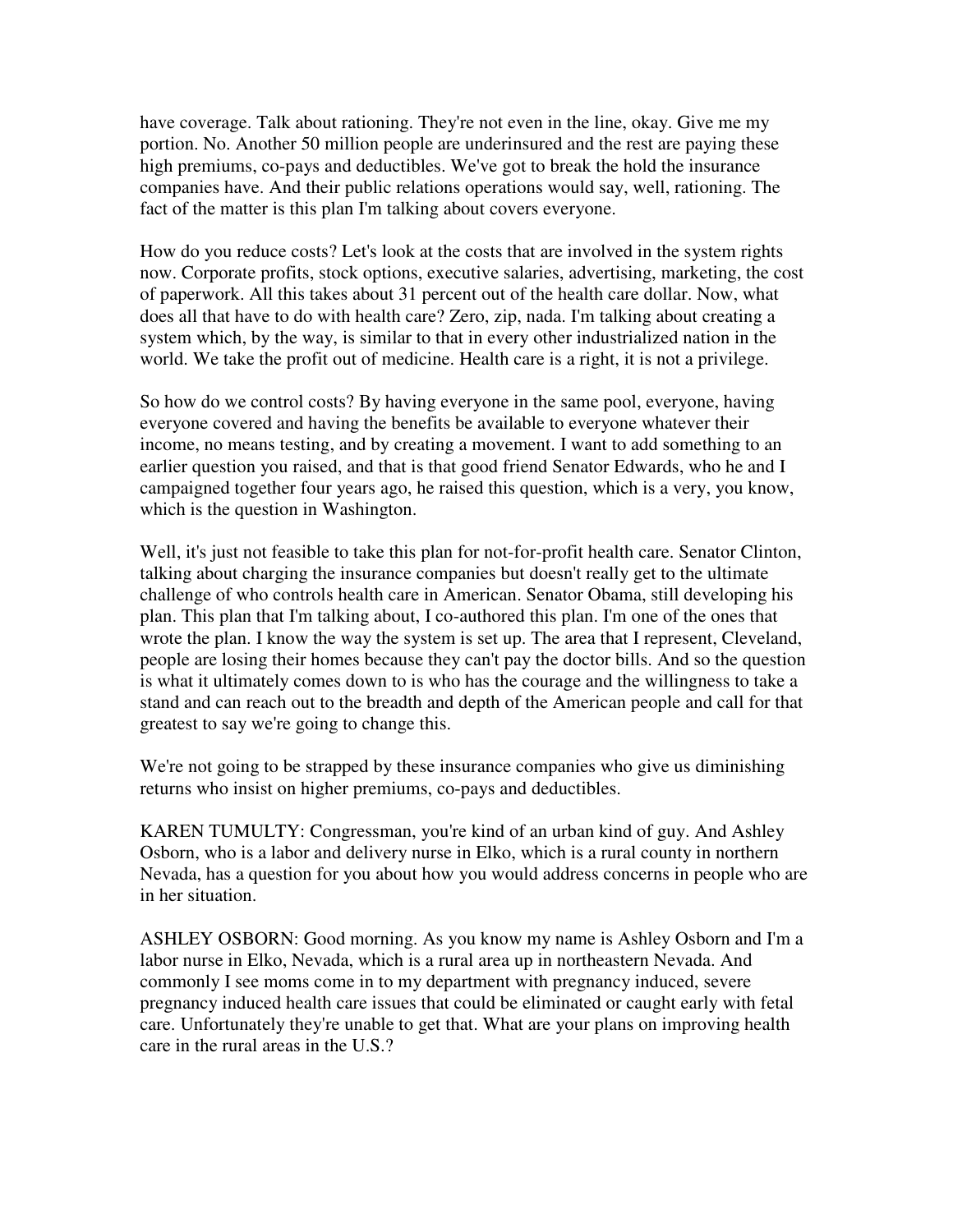have coverage. Talk about rationing. They're not even in the line, okay. Give me my portion. No. Another 50 million people are underinsured and the rest are paying these high premiums, co-pays and deductibles. We've got to break the hold the insurance companies have. And their public relations operations would say, well, rationing. The fact of the matter is this plan I'm talking about covers everyone.

How do you reduce costs? Let's look at the costs that are involved in the system rights now. Corporate profits, stock options, executive salaries, advertising, marketing, the cost of paperwork. All this takes about 31 percent out of the health care dollar. Now, what does all that have to do with health care? Zero, zip, nada. I'm talking about creating a system which, by the way, is similar to that in every other industrialized nation in the world. We take the profit out of medicine. Health care is a right, it is not a privilege.

So how do we control costs? By having everyone in the same pool, everyone, having everyone covered and having the benefits be available to everyone whatever their income, no means testing, and by creating a movement. I want to add something to an earlier question you raised, and that is that good friend Senator Edwards, who he and I campaigned together four years ago, he raised this question, which is a very, you know, which is the question in Washington.

Well, it's just not feasible to take this plan for not-for-profit health care. Senator Clinton, talking about charging the insurance companies but doesn't really get to the ultimate challenge of who controls health care in American. Senator Obama, still developing his plan. This plan that I'm talking about, I co-authored this plan. I'm one of the ones that wrote the plan. I know the way the system is set up. The area that I represent, Cleveland, people are losing their homes because they can't pay the doctor bills. And so the question is what it ultimately comes down to is who has the courage and the willingness to take a stand and can reach out to the breadth and depth of the American people and call for that greatest to say we're going to change this.

We're not going to be strapped by these insurance companies who give us diminishing returns who insist on higher premiums, co-pays and deductibles.

KAREN TUMULTY: Congressman, you're kind of an urban kind of guy. And Ashley Osborn, who is a labor and delivery nurse in Elko, which is a rural county in northern Nevada, has a question for you about how you would address concerns in people who are in her situation.

ASHLEY OSBORN: Good morning. As you know my name is Ashley Osborn and I'm a labor nurse in Elko, Nevada, which is a rural area up in northeastern Nevada. And commonly I see moms come in to my department with pregnancy induced, severe pregnancy induced health care issues that could be eliminated or caught early with fetal care. Unfortunately they're unable to get that. What are your plans on improving health care in the rural areas in the U.S.?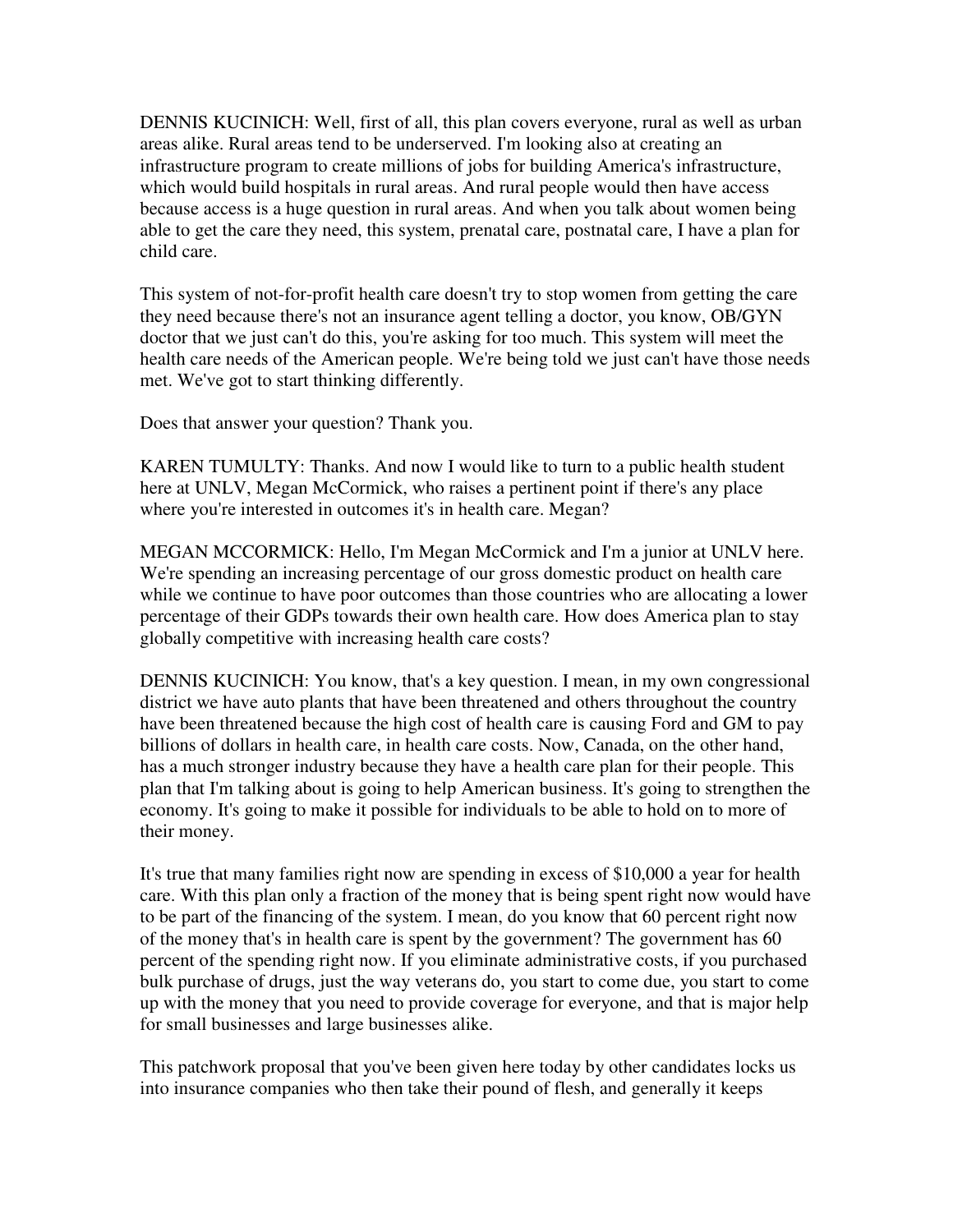DENNIS KUCINICH: Well, first of all, this plan covers everyone, rural as well as urban areas alike. Rural areas tend to be underserved. I'm looking also at creating an infrastructure program to create millions of jobs for building America's infrastructure, which would build hospitals in rural areas. And rural people would then have access because access is a huge question in rural areas. And when you talk about women being able to get the care they need, this system, prenatal care, postnatal care, I have a plan for child care.

This system of not-for-profit health care doesn't try to stop women from getting the care they need because there's not an insurance agent telling a doctor, you know, OB/GYN doctor that we just can't do this, you're asking for too much. This system will meet the health care needs of the American people. We're being told we just can't have those needs met. We've got to start thinking differently.

Does that answer your question? Thank you.

KAREN TUMULTY: Thanks. And now I would like to turn to a public health student here at UNLV, Megan McCormick, who raises a pertinent point if there's any place where you're interested in outcomes it's in health care. Megan?

MEGAN MCCORMICK: Hello, I'm Megan McCormick and I'm a junior at UNLV here. We're spending an increasing percentage of our gross domestic product on health care while we continue to have poor outcomes than those countries who are allocating a lower percentage of their GDPs towards their own health care. How does America plan to stay globally competitive with increasing health care costs?

DENNIS KUCINICH: You know, that's a key question. I mean, in my own congressional district we have auto plants that have been threatened and others throughout the country have been threatened because the high cost of health care is causing Ford and GM to pay billions of dollars in health care, in health care costs. Now, Canada, on the other hand, has a much stronger industry because they have a health care plan for their people. This plan that I'm talking about is going to help American business. It's going to strengthen the economy. It's going to make it possible for individuals to be able to hold on to more of their money.

It's true that many families right now are spending in excess of \$10,000 a year for health care. With this plan only a fraction of the money that is being spent right now would have to be part of the financing of the system. I mean, do you know that 60 percent right now of the money that's in health care is spent by the government? The government has 60 percent of the spending right now. If you eliminate administrative costs, if you purchased bulk purchase of drugs, just the way veterans do, you start to come due, you start to come up with the money that you need to provide coverage for everyone, and that is major help for small businesses and large businesses alike.

This patchwork proposal that you've been given here today by other candidates locks us into insurance companies who then take their pound of flesh, and generally it keeps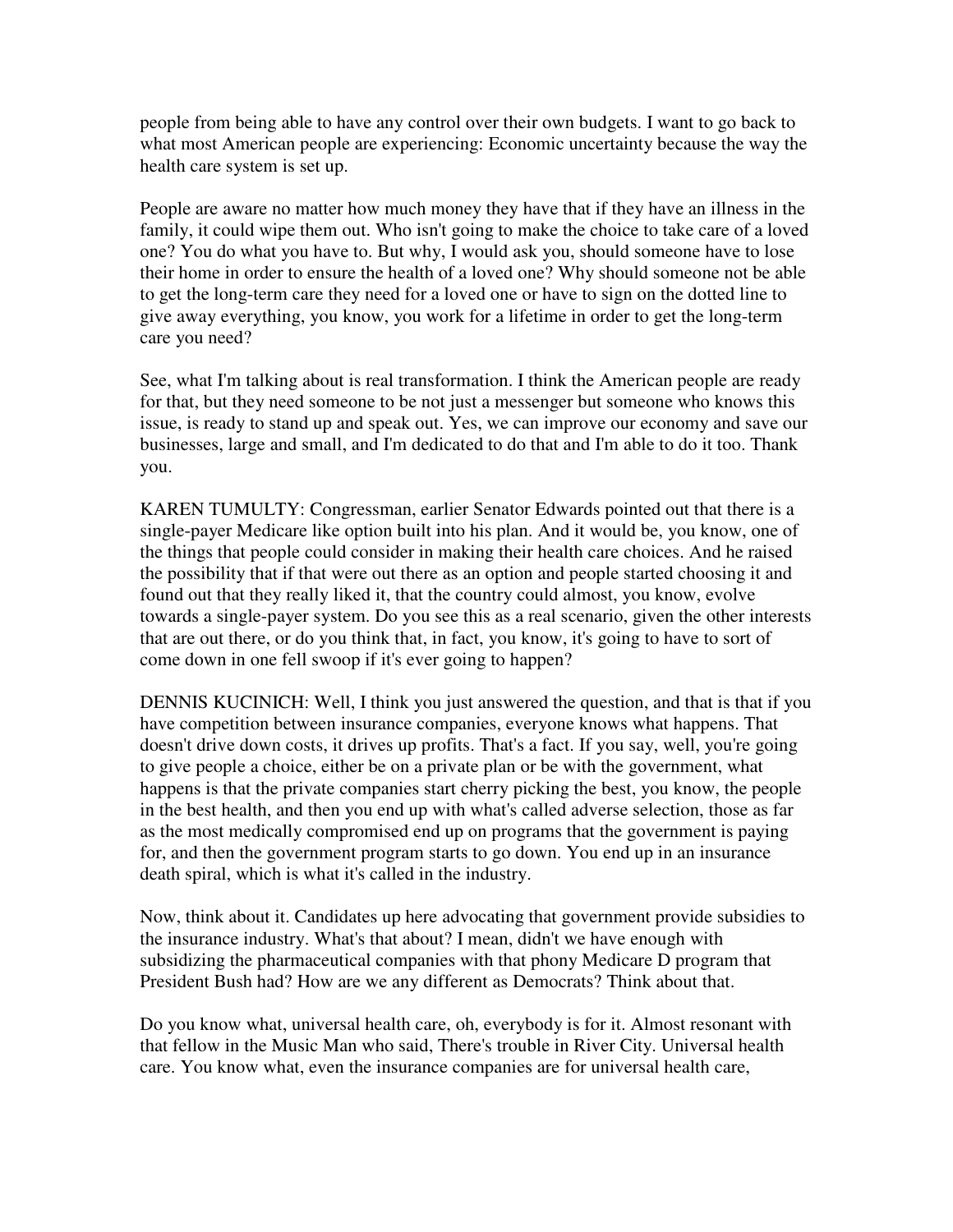people from being able to have any control over their own budgets. I want to go back to what most American people are experiencing: Economic uncertainty because the way the health care system is set up.

People are aware no matter how much money they have that if they have an illness in the family, it could wipe them out. Who isn't going to make the choice to take care of a loved one? You do what you have to. But why, I would ask you, should someone have to lose their home in order to ensure the health of a loved one? Why should someone not be able to get the long-term care they need for a loved one or have to sign on the dotted line to give away everything, you know, you work for a lifetime in order to get the long-term care you need?

See, what I'm talking about is real transformation. I think the American people are ready for that, but they need someone to be not just a messenger but someone who knows this issue, is ready to stand up and speak out. Yes, we can improve our economy and save our businesses, large and small, and I'm dedicated to do that and I'm able to do it too. Thank you.

KAREN TUMULTY: Congressman, earlier Senator Edwards pointed out that there is a single-payer Medicare like option built into his plan. And it would be, you know, one of the things that people could consider in making their health care choices. And he raised the possibility that if that were out there as an option and people started choosing it and found out that they really liked it, that the country could almost, you know, evolve towards a single-payer system. Do you see this as a real scenario, given the other interests that are out there, or do you think that, in fact, you know, it's going to have to sort of come down in one fell swoop if it's ever going to happen?

DENNIS KUCINICH: Well, I think you just answered the question, and that is that if you have competition between insurance companies, everyone knows what happens. That doesn't drive down costs, it drives up profits. That's a fact. If you say, well, you're going to give people a choice, either be on a private plan or be with the government, what happens is that the private companies start cherry picking the best, you know, the people in the best health, and then you end up with what's called adverse selection, those as far as the most medically compromised end up on programs that the government is paying for, and then the government program starts to go down. You end up in an insurance death spiral, which is what it's called in the industry.

Now, think about it. Candidates up here advocating that government provide subsidies to the insurance industry. What's that about? I mean, didn't we have enough with subsidizing the pharmaceutical companies with that phony Medicare D program that President Bush had? How are we any different as Democrats? Think about that.

Do you know what, universal health care, oh, everybody is for it. Almost resonant with that fellow in the Music Man who said, There's trouble in River City. Universal health care. You know what, even the insurance companies are for universal health care,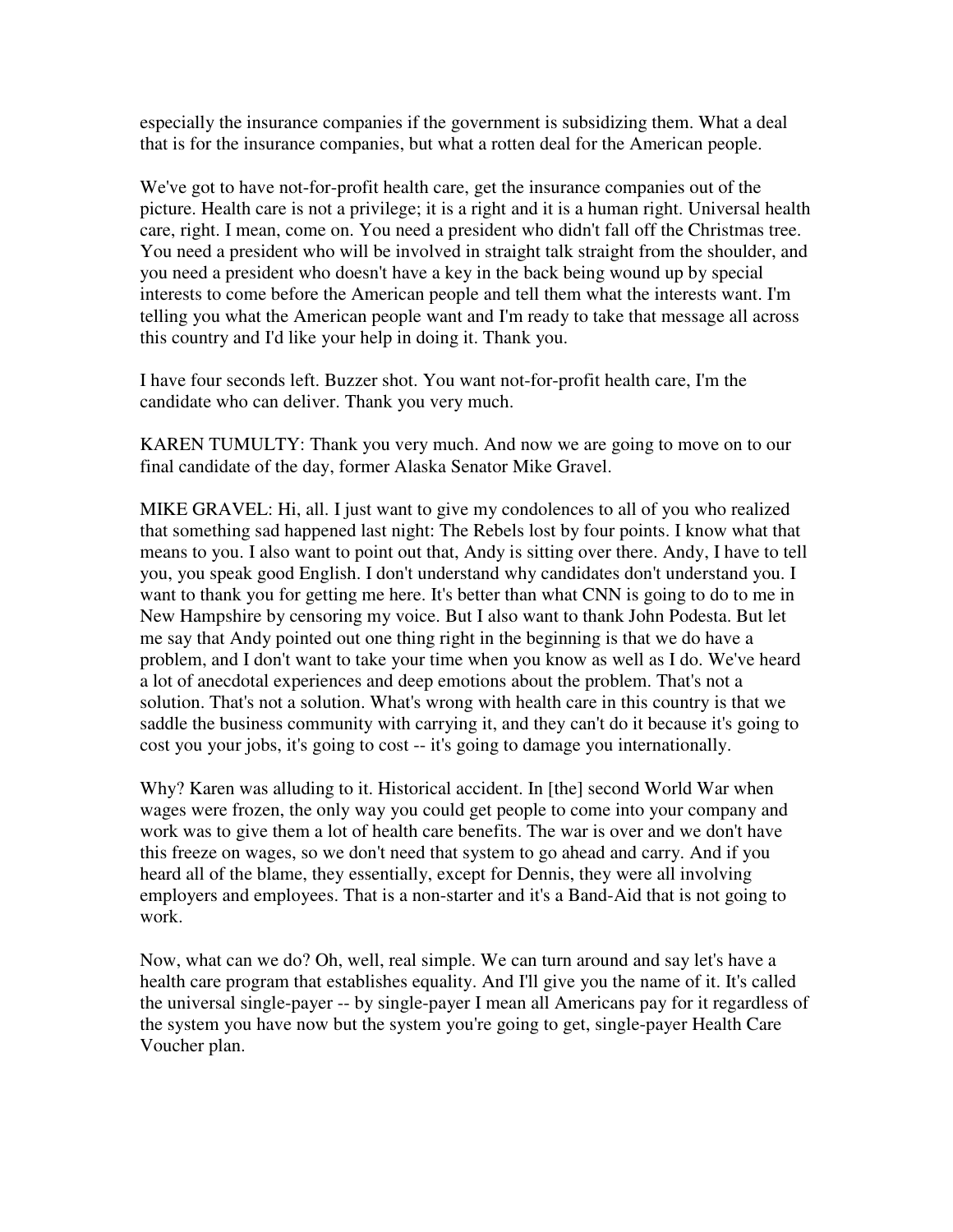especially the insurance companies if the government is subsidizing them. What a deal that is for the insurance companies, but what a rotten deal for the American people.

We've got to have not-for-profit health care, get the insurance companies out of the picture. Health care is not a privilege; it is a right and it is a human right. Universal health care, right. I mean, come on. You need a president who didn't fall off the Christmas tree. You need a president who will be involved in straight talk straight from the shoulder, and you need a president who doesn't have a key in the back being wound up by special interests to come before the American people and tell them what the interests want. I'm telling you what the American people want and I'm ready to take that message all across this country and I'd like your help in doing it. Thank you.

I have four seconds left. Buzzer shot. You want not-for-profit health care, I'm the candidate who can deliver. Thank you very much.

KAREN TUMULTY: Thank you very much. And now we are going to move on to our final candidate of the day, former Alaska Senator Mike Gravel.

MIKE GRAVEL: Hi, all. I just want to give my condolences to all of you who realized that something sad happened last night: The Rebels lost by four points. I know what that means to you. I also want to point out that, Andy is sitting over there. Andy, I have to tell you, you speak good English. I don't understand why candidates don't understand you. I want to thank you for getting me here. It's better than what CNN is going to do to me in New Hampshire by censoring my voice. But I also want to thank John Podesta. But let me say that Andy pointed out one thing right in the beginning is that we do have a problem, and I don't want to take your time when you know as well as I do. We've heard a lot of anecdotal experiences and deep emotions about the problem. That's not a solution. That's not a solution. What's wrong with health care in this country is that we saddle the business community with carrying it, and they can't do it because it's going to cost you your jobs, it's going to cost -- it's going to damage you internationally.

Why? Karen was alluding to it. Historical accident. In [the] second World War when wages were frozen, the only way you could get people to come into your company and work was to give them a lot of health care benefits. The war is over and we don't have this freeze on wages, so we don't need that system to go ahead and carry. And if you heard all of the blame, they essentially, except for Dennis, they were all involving employers and employees. That is a non-starter and it's a Band-Aid that is not going to work.

Now, what can we do? Oh, well, real simple. We can turn around and say let's have a health care program that establishes equality. And I'll give you the name of it. It's called the universal single-payer -- by single-payer I mean all Americans pay for it regardless of the system you have now but the system you're going to get, single-payer Health Care Voucher plan.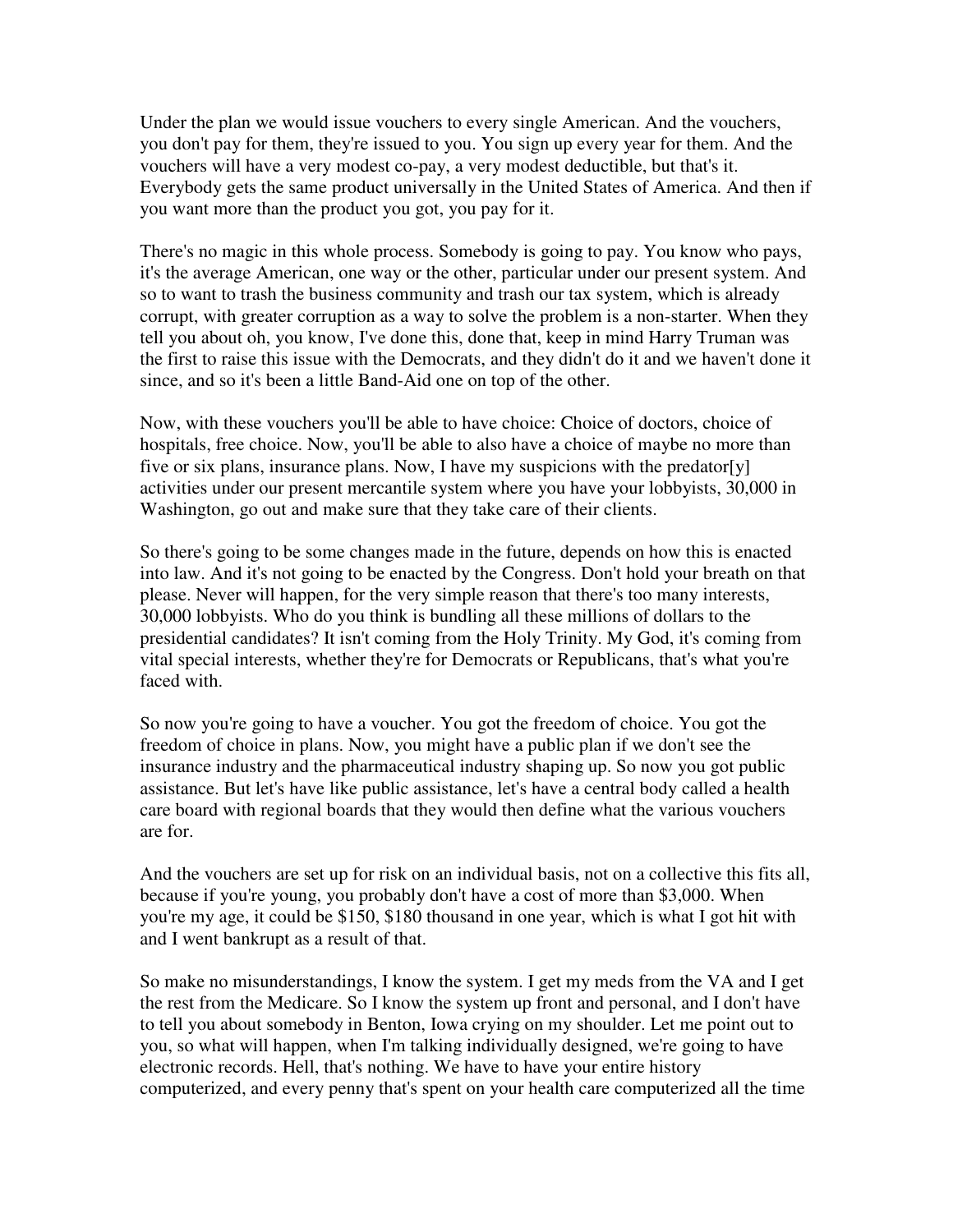Under the plan we would issue vouchers to every single American. And the vouchers, you don't pay for them, they're issued to you. You sign up every year for them. And the vouchers will have a very modest co-pay, a very modest deductible, but that's it. Everybody gets the same product universally in the United States of America. And then if you want more than the product you got, you pay for it.

There's no magic in this whole process. Somebody is going to pay. You know who pays, it's the average American, one way or the other, particular under our present system. And so to want to trash the business community and trash our tax system, which is already corrupt, with greater corruption as a way to solve the problem is a non-starter. When they tell you about oh, you know, I've done this, done that, keep in mind Harry Truman was the first to raise this issue with the Democrats, and they didn't do it and we haven't done it since, and so it's been a little Band-Aid one on top of the other.

Now, with these vouchers you'll be able to have choice: Choice of doctors, choice of hospitals, free choice. Now, you'll be able to also have a choice of maybe no more than five or six plans, insurance plans. Now, I have my suspicions with the predator[y] activities under our present mercantile system where you have your lobbyists, 30,000 in Washington, go out and make sure that they take care of their clients.

So there's going to be some changes made in the future, depends on how this is enacted into law. And it's not going to be enacted by the Congress. Don't hold your breath on that please. Never will happen, for the very simple reason that there's too many interests, 30,000 lobbyists. Who do you think is bundling all these millions of dollars to the presidential candidates? It isn't coming from the Holy Trinity. My God, it's coming from vital special interests, whether they're for Democrats or Republicans, that's what you're faced with.

So now you're going to have a voucher. You got the freedom of choice. You got the freedom of choice in plans. Now, you might have a public plan if we don't see the insurance industry and the pharmaceutical industry shaping up. So now you got public assistance. But let's have like public assistance, let's have a central body called a health care board with regional boards that they would then define what the various vouchers are for.

And the vouchers are set up for risk on an individual basis, not on a collective this fits all, because if you're young, you probably don't have a cost of more than \$3,000. When you're my age, it could be \$150, \$180 thousand in one year, which is what I got hit with and I went bankrupt as a result of that.

So make no misunderstandings, I know the system. I get my meds from the VA and I get the rest from the Medicare. So I know the system up front and personal, and I don't have to tell you about somebody in Benton, Iowa crying on my shoulder. Let me point out to you, so what will happen, when I'm talking individually designed, we're going to have electronic records. Hell, that's nothing. We have to have your entire history computerized, and every penny that's spent on your health care computerized all the time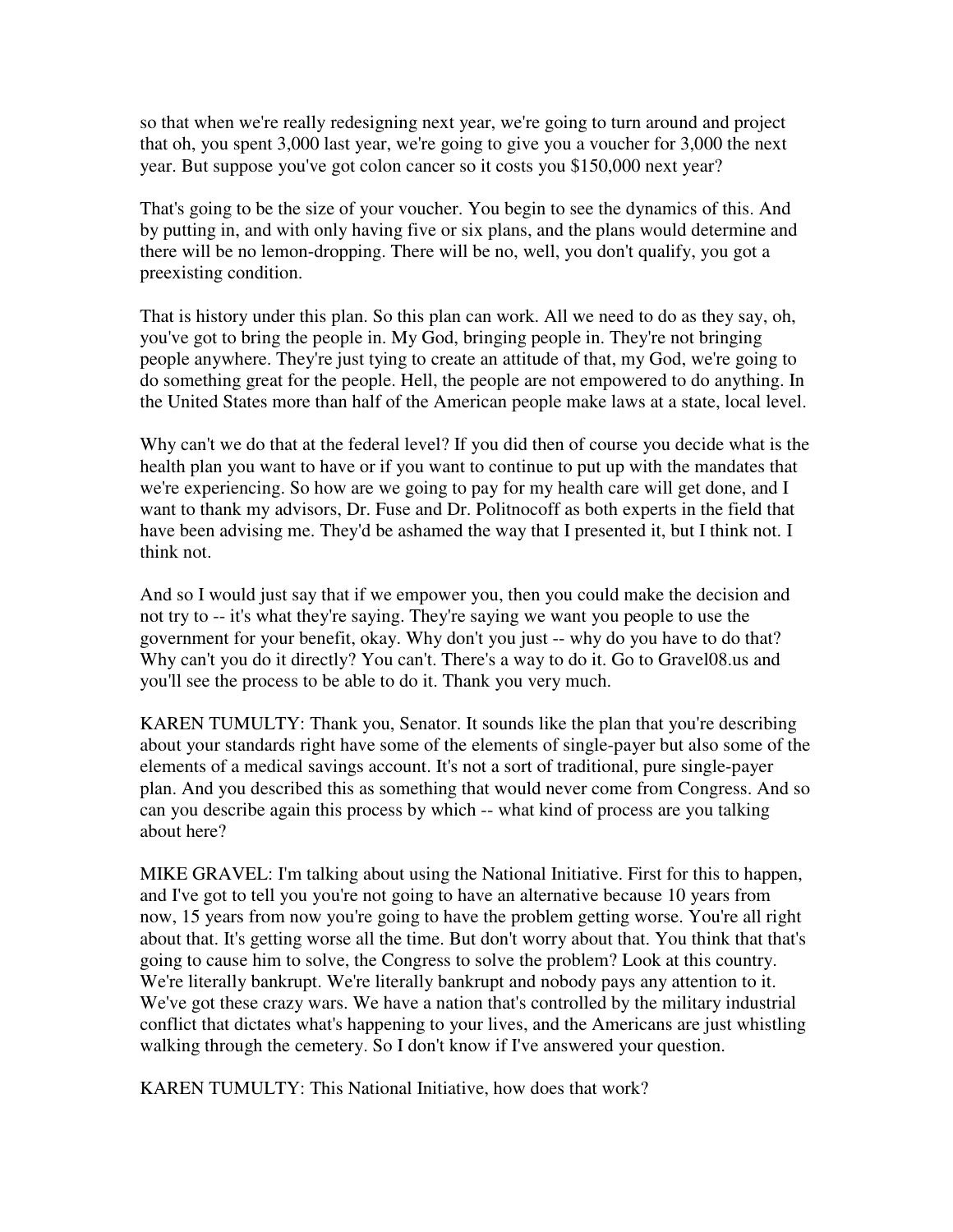so that when we're really redesigning next year, we're going to turn around and project that oh, you spent 3,000 last year, we're going to give you a voucher for 3,000 the next year. But suppose you've got colon cancer so it costs you \$150,000 next year?

That's going to be the size of your voucher. You begin to see the dynamics of this. And by putting in, and with only having five or six plans, and the plans would determine and there will be no lemon-dropping. There will be no, well, you don't qualify, you got a preexisting condition.

That is history under this plan. So this plan can work. All we need to do as they say, oh, you've got to bring the people in. My God, bringing people in. They're not bringing people anywhere. They're just tying to create an attitude of that, my God, we're going to do something great for the people. Hell, the people are not empowered to do anything. In the United States more than half of the American people make laws at a state, local level.

Why can't we do that at the federal level? If you did then of course you decide what is the health plan you want to have or if you want to continue to put up with the mandates that we're experiencing. So how are we going to pay for my health care will get done, and I want to thank my advisors, Dr. Fuse and Dr. Politnocoff as both experts in the field that have been advising me. They'd be ashamed the way that I presented it, but I think not. I think not.

And so I would just say that if we empower you, then you could make the decision and not try to -- it's what they're saying. They're saying we want you people to use the government for your benefit, okay. Why don't you just -- why do you have to do that? Why can't you do it directly? You can't. There's a way to do it. Go to Gravel08.us and you'll see the process to be able to do it. Thank you very much.

KAREN TUMULTY: Thank you, Senator. It sounds like the plan that you're describing about your standards right have some of the elements of single-payer but also some of the elements of a medical savings account. It's not a sort of traditional, pure single-payer plan. And you described this as something that would never come from Congress. And so can you describe again this process by which -- what kind of process are you talking about here?

MIKE GRAVEL: I'm talking about using the National Initiative. First for this to happen, and I've got to tell you you're not going to have an alternative because 10 years from now, 15 years from now you're going to have the problem getting worse. You're all right about that. It's getting worse all the time. But don't worry about that. You think that that's going to cause him to solve, the Congress to solve the problem? Look at this country. We're literally bankrupt. We're literally bankrupt and nobody pays any attention to it. We've got these crazy wars. We have a nation that's controlled by the military industrial conflict that dictates what's happening to your lives, and the Americans are just whistling walking through the cemetery. So I don't know if I've answered your question.

KAREN TUMULTY: This National Initiative, how does that work?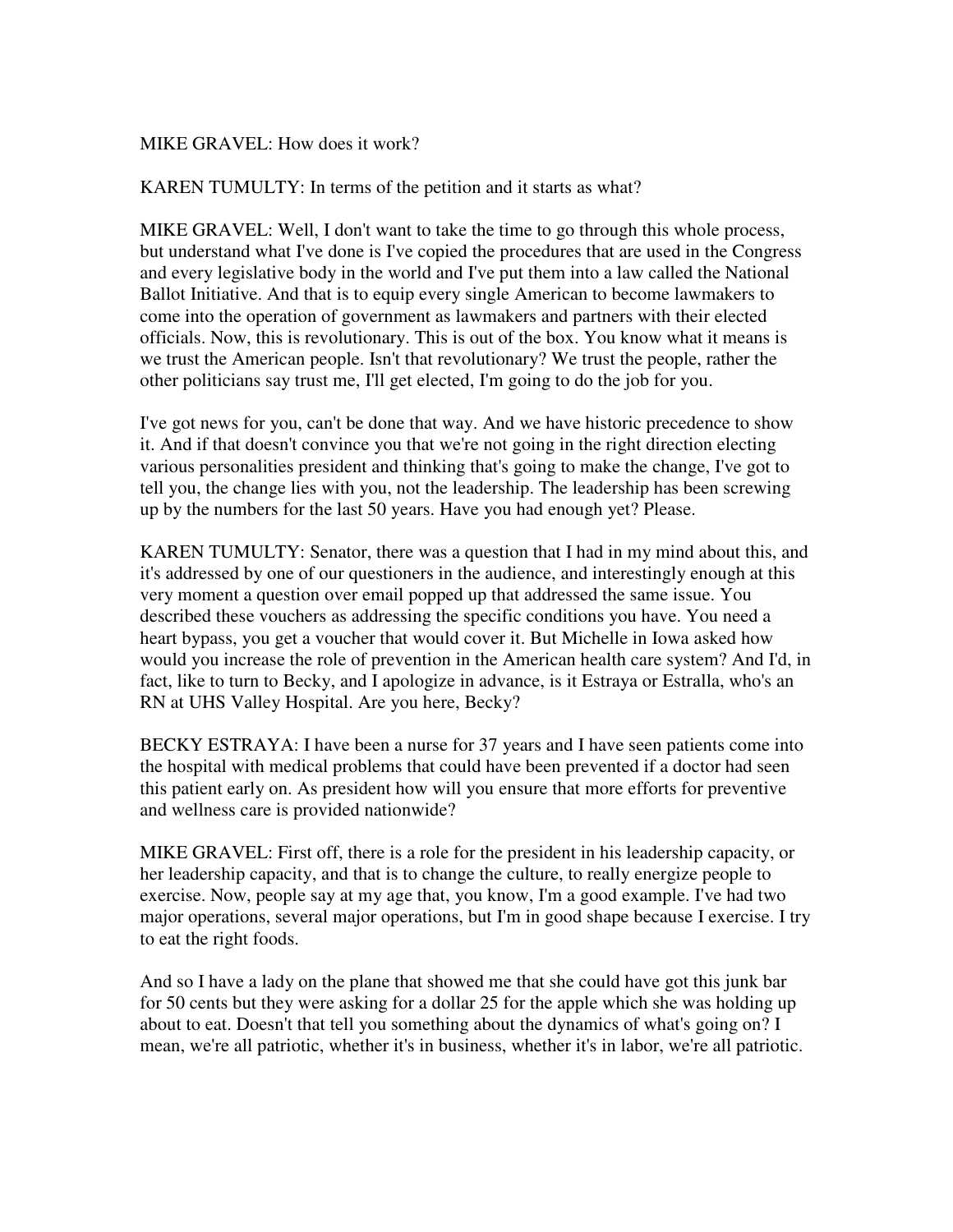## MIKE GRAVEL: How does it work?

KAREN TUMULTY: In terms of the petition and it starts as what?

MIKE GRAVEL: Well, I don't want to take the time to go through this whole process, but understand what I've done is I've copied the procedures that are used in the Congress and every legislative body in the world and I've put them into a law called the National Ballot Initiative. And that is to equip every single American to become lawmakers to come into the operation of government as lawmakers and partners with their elected officials. Now, this is revolutionary. This is out of the box. You know what it means is we trust the American people. Isn't that revolutionary? We trust the people, rather the other politicians say trust me, I'll get elected, I'm going to do the job for you.

I've got news for you, can't be done that way. And we have historic precedence to show it. And if that doesn't convince you that we're not going in the right direction electing various personalities president and thinking that's going to make the change, I've got to tell you, the change lies with you, not the leadership. The leadership has been screwing up by the numbers for the last 50 years. Have you had enough yet? Please.

KAREN TUMULTY: Senator, there was a question that I had in my mind about this, and it's addressed by one of our questioners in the audience, and interestingly enough at this very moment a question over email popped up that addressed the same issue. You described these vouchers as addressing the specific conditions you have. You need a heart bypass, you get a voucher that would cover it. But Michelle in Iowa asked how would you increase the role of prevention in the American health care system? And I'd, in fact, like to turn to Becky, and I apologize in advance, is it Estraya or Estralla, who's an RN at UHS Valley Hospital. Are you here, Becky?

BECKY ESTRAYA: I have been a nurse for 37 years and I have seen patients come into the hospital with medical problems that could have been prevented if a doctor had seen this patient early on. As president how will you ensure that more efforts for preventive and wellness care is provided nationwide?

MIKE GRAVEL: First off, there is a role for the president in his leadership capacity, or her leadership capacity, and that is to change the culture, to really energize people to exercise. Now, people say at my age that, you know, I'm a good example. I've had two major operations, several major operations, but I'm in good shape because I exercise. I try to eat the right foods.

And so I have a lady on the plane that showed me that she could have got this junk bar for 50 cents but they were asking for a dollar 25 for the apple which she was holding up about to eat. Doesn't that tell you something about the dynamics of what's going on? I mean, we're all patriotic, whether it's in business, whether it's in labor, we're all patriotic.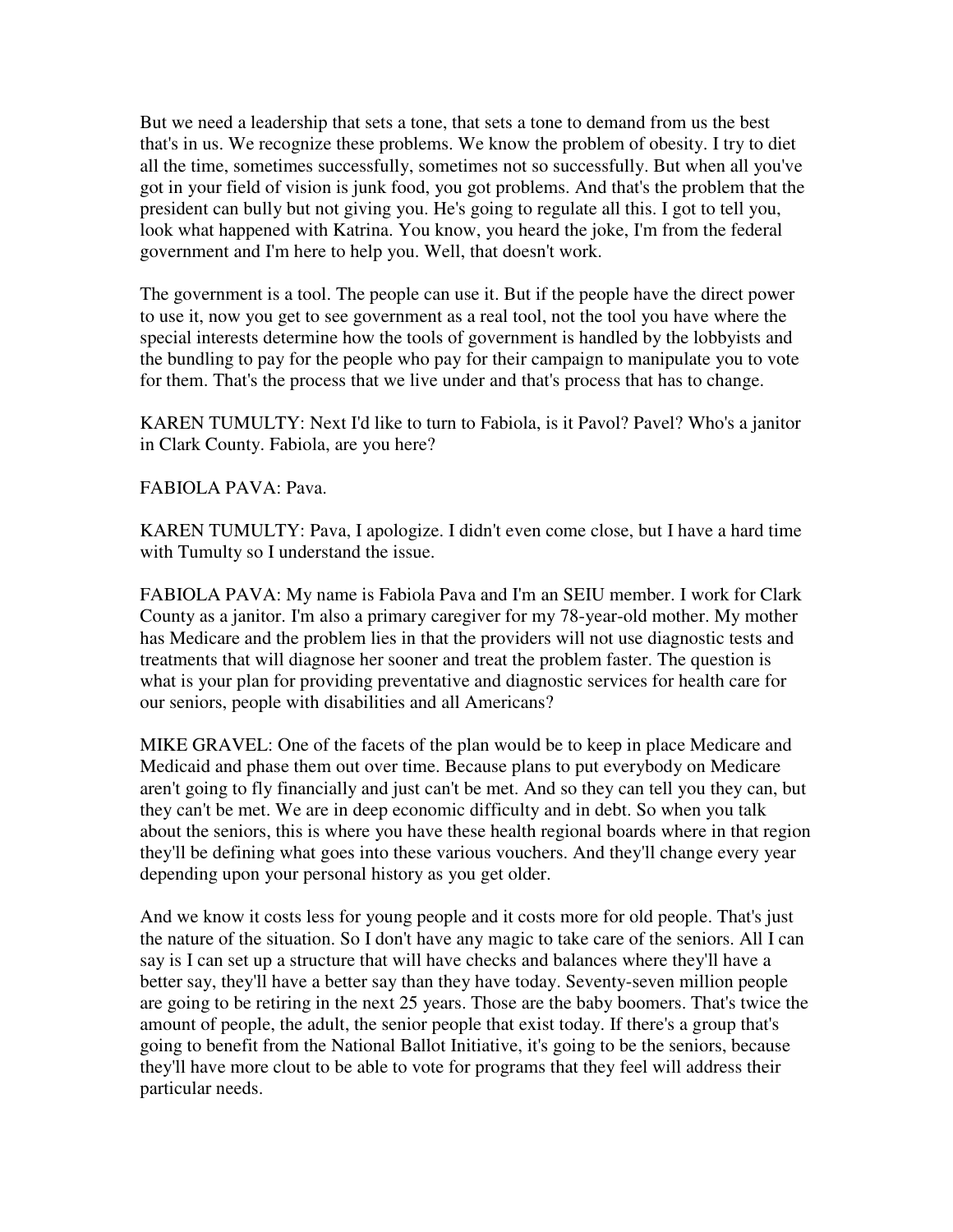But we need a leadership that sets a tone, that sets a tone to demand from us the best that's in us. We recognize these problems. We know the problem of obesity. I try to diet all the time, sometimes successfully, sometimes not so successfully. But when all you've got in your field of vision is junk food, you got problems. And that's the problem that the president can bully but not giving you. He's going to regulate all this. I got to tell you, look what happened with Katrina. You know, you heard the joke, I'm from the federal government and I'm here to help you. Well, that doesn't work.

The government is a tool. The people can use it. But if the people have the direct power to use it, now you get to see government as a real tool, not the tool you have where the special interests determine how the tools of government is handled by the lobbyists and the bundling to pay for the people who pay for their campaign to manipulate you to vote for them. That's the process that we live under and that's process that has to change.

KAREN TUMULTY: Next I'd like to turn to Fabiola, is it Pavol? Pavel? Who's a janitor in Clark County. Fabiola, are you here?

FABIOLA PAVA: Pava.

KAREN TUMULTY: Pava, I apologize. I didn't even come close, but I have a hard time with Tumulty so I understand the issue.

FABIOLA PAVA: My name is Fabiola Pava and I'm an SEIU member. I work for Clark County as a janitor. I'm also a primary caregiver for my 78-year-old mother. My mother has Medicare and the problem lies in that the providers will not use diagnostic tests and treatments that will diagnose her sooner and treat the problem faster. The question is what is your plan for providing preventative and diagnostic services for health care for our seniors, people with disabilities and all Americans?

MIKE GRAVEL: One of the facets of the plan would be to keep in place Medicare and Medicaid and phase them out over time. Because plans to put everybody on Medicare aren't going to fly financially and just can't be met. And so they can tell you they can, but they can't be met. We are in deep economic difficulty and in debt. So when you talk about the seniors, this is where you have these health regional boards where in that region they'll be defining what goes into these various vouchers. And they'll change every year depending upon your personal history as you get older.

And we know it costs less for young people and it costs more for old people. That's just the nature of the situation. So I don't have any magic to take care of the seniors. All I can say is I can set up a structure that will have checks and balances where they'll have a better say, they'll have a better say than they have today. Seventy-seven million people are going to be retiring in the next 25 years. Those are the baby boomers. That's twice the amount of people, the adult, the senior people that exist today. If there's a group that's going to benefit from the National Ballot Initiative, it's going to be the seniors, because they'll have more clout to be able to vote for programs that they feel will address their particular needs.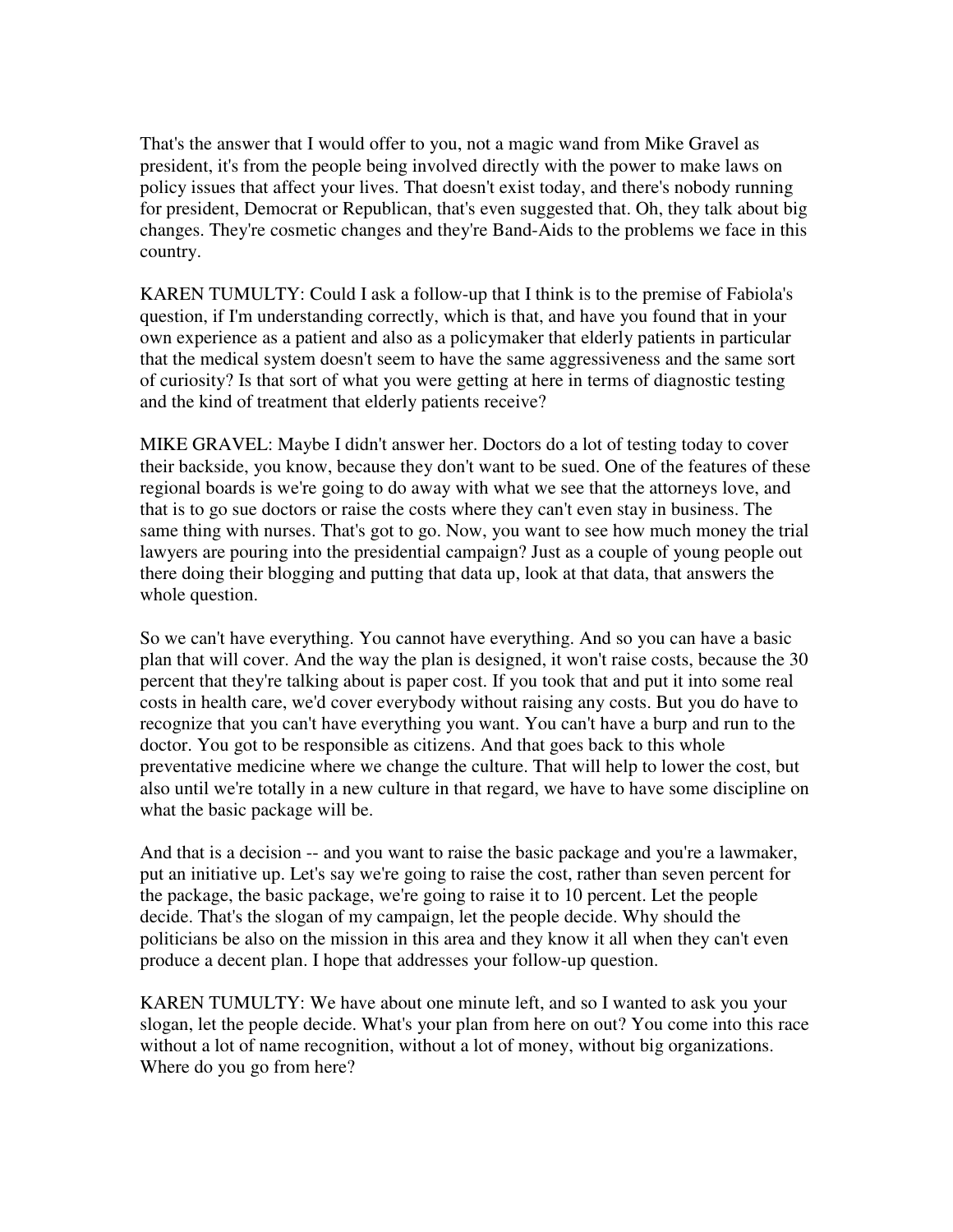That's the answer that I would offer to you, not a magic wand from Mike Gravel as president, it's from the people being involved directly with the power to make laws on policy issues that affect your lives. That doesn't exist today, and there's nobody running for president, Democrat or Republican, that's even suggested that. Oh, they talk about big changes. They're cosmetic changes and they're Band-Aids to the problems we face in this country.

KAREN TUMULTY: Could I ask a follow-up that I think is to the premise of Fabiola's question, if I'm understanding correctly, which is that, and have you found that in your own experience as a patient and also as a policymaker that elderly patients in particular that the medical system doesn't seem to have the same aggressiveness and the same sort of curiosity? Is that sort of what you were getting at here in terms of diagnostic testing and the kind of treatment that elderly patients receive?

MIKE GRAVEL: Maybe I didn't answer her. Doctors do a lot of testing today to cover their backside, you know, because they don't want to be sued. One of the features of these regional boards is we're going to do away with what we see that the attorneys love, and that is to go sue doctors or raise the costs where they can't even stay in business. The same thing with nurses. That's got to go. Now, you want to see how much money the trial lawyers are pouring into the presidential campaign? Just as a couple of young people out there doing their blogging and putting that data up, look at that data, that answers the whole question.

So we can't have everything. You cannot have everything. And so you can have a basic plan that will cover. And the way the plan is designed, it won't raise costs, because the 30 percent that they're talking about is paper cost. If you took that and put it into some real costs in health care, we'd cover everybody without raising any costs. But you do have to recognize that you can't have everything you want. You can't have a burp and run to the doctor. You got to be responsible as citizens. And that goes back to this whole preventative medicine where we change the culture. That will help to lower the cost, but also until we're totally in a new culture in that regard, we have to have some discipline on what the basic package will be.

And that is a decision -- and you want to raise the basic package and you're a lawmaker, put an initiative up. Let's say we're going to raise the cost, rather than seven percent for the package, the basic package, we're going to raise it to 10 percent. Let the people decide. That's the slogan of my campaign, let the people decide. Why should the politicians be also on the mission in this area and they know it all when they can't even produce a decent plan. I hope that addresses your follow-up question.

KAREN TUMULTY: We have about one minute left, and so I wanted to ask you your slogan, let the people decide. What's your plan from here on out? You come into this race without a lot of name recognition, without a lot of money, without big organizations. Where do you go from here?